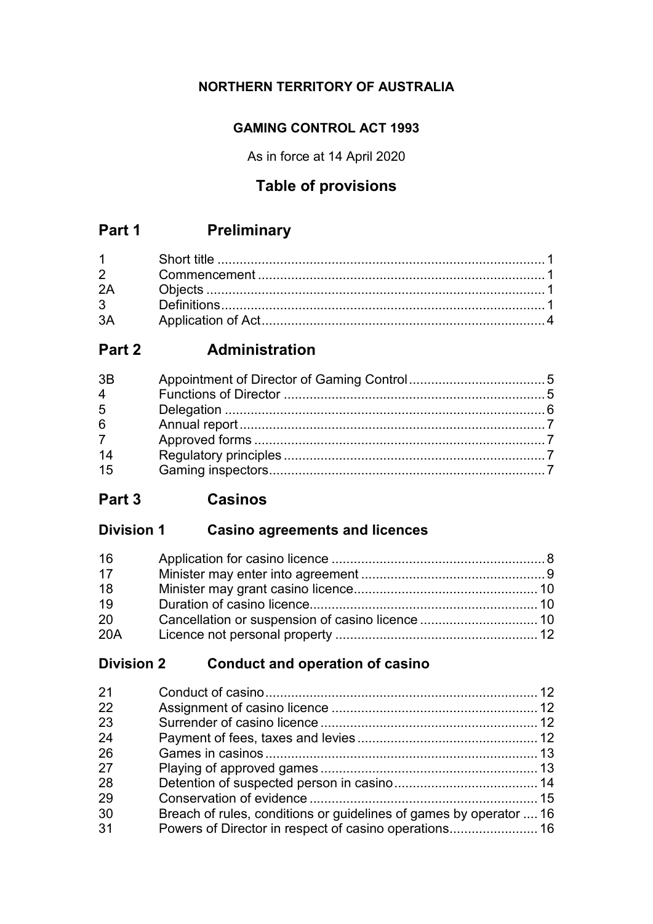## **NORTHERN TERRITORY OF AUSTRALIA**

## **GAMING CONTROL ACT 1993**

As in force at 14 April 2020

# **Table of provisions**

# **Part 1 Preliminary**

| 2A |  |
|----|--|
|    |  |
| 3A |  |

# **Part 2 Administration**

| 3B             |  |
|----------------|--|
| $\overline{4}$ |  |
| 5              |  |
| 6              |  |
| 7 <sup>7</sup> |  |
| 14             |  |
| 15             |  |

**Part 3 Casinos**

## **Division 1 Casino agreements and licences**

| 16  |  |
|-----|--|
| 17  |  |
| 18  |  |
| 19  |  |
| 20  |  |
| 20A |  |

## **Division 2 Conduct and operation of casino**

| 21 |                                                                    |  |
|----|--------------------------------------------------------------------|--|
| 22 |                                                                    |  |
| 23 |                                                                    |  |
| 24 |                                                                    |  |
| 26 |                                                                    |  |
| 27 |                                                                    |  |
| 28 |                                                                    |  |
| 29 |                                                                    |  |
| 30 | Breach of rules, conditions or guidelines of games by operator  16 |  |
| 31 | Powers of Director in respect of casino operations 16              |  |
|    |                                                                    |  |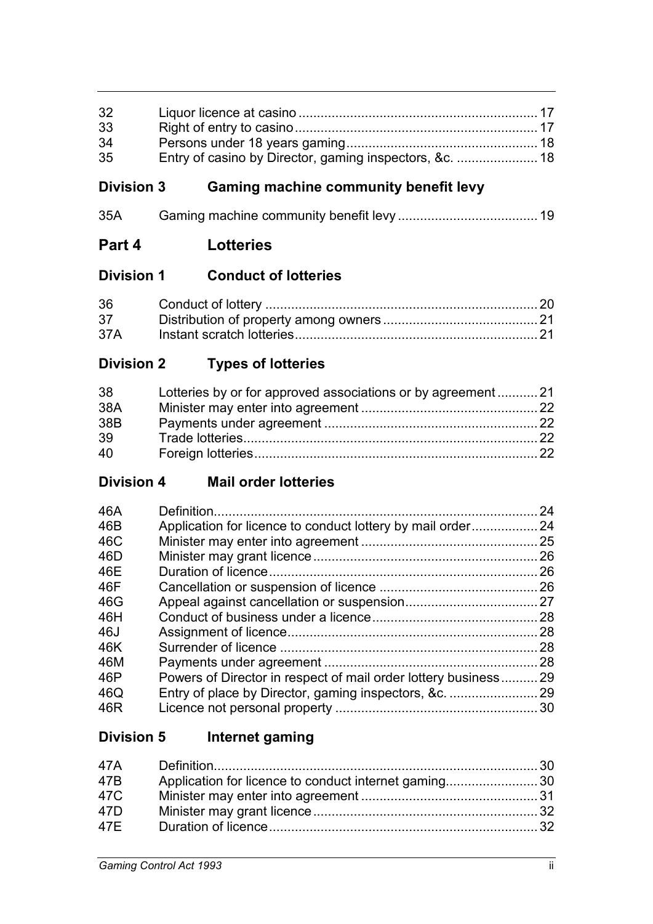| 32<br>33                     |                                                                 |  |
|------------------------------|-----------------------------------------------------------------|--|
| 34<br>35                     | Entry of casino by Director, gaming inspectors, &c.  18         |  |
| <b>Division 3</b>            | <b>Gaming machine community benefit levy</b>                    |  |
| 35A                          |                                                                 |  |
| Part 4                       | <b>Lotteries</b>                                                |  |
| <b>Division 1</b>            | <b>Conduct of lotteries</b>                                     |  |
| 36                           |                                                                 |  |
| 37<br>37A                    |                                                                 |  |
| <b>Division 2</b>            | <b>Types of lotteries</b>                                       |  |
| 38<br>38A<br>38B<br>39<br>40 | Lotteries by or for approved associations or by agreement 21    |  |
| <b>Division 4</b>            | <b>Mail order lotteries</b>                                     |  |
| 46A                          |                                                                 |  |
| 46B                          | Application for licence to conduct lottery by mail order 24     |  |
| 46C                          |                                                                 |  |
| 46D                          |                                                                 |  |
| 46E                          |                                                                 |  |
| 46F                          |                                                                 |  |
| 46G                          |                                                                 |  |
| 46H                          |                                                                 |  |
| 46J                          |                                                                 |  |
| 46K                          |                                                                 |  |
| 46M                          |                                                                 |  |
| 46P                          | Powers of Director in respect of mail order lottery business 29 |  |
| 46Q                          |                                                                 |  |
| 46R                          |                                                                 |  |
| <b>Division 5</b>            | Internet gaming                                                 |  |

| 47A — |                                                      |  |
|-------|------------------------------------------------------|--|
| 47B   | Application for licence to conduct internet gaming30 |  |
| 47C   |                                                      |  |
| 47D   |                                                      |  |
| 47E   |                                                      |  |
|       |                                                      |  |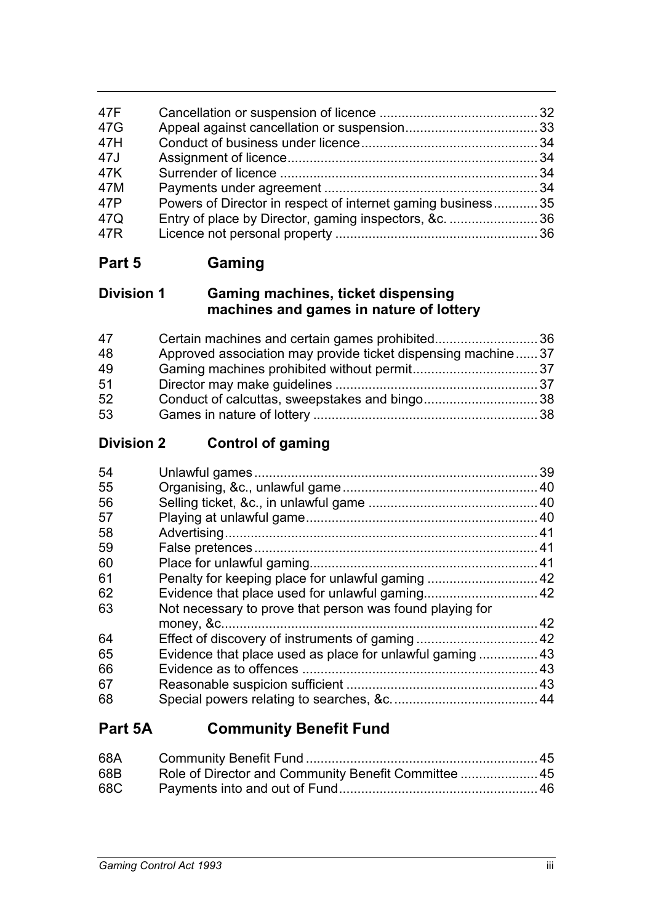| 47F        |                                                             |  |
|------------|-------------------------------------------------------------|--|
| 47G<br>47H |                                                             |  |
| 47J        |                                                             |  |
| 47K        |                                                             |  |
| 47M        |                                                             |  |
| 47P        | Powers of Director in respect of internet gaming business35 |  |
| 47Q        | Entry of place by Director, gaming inspectors, &c.  36      |  |
| 47R        |                                                             |  |

**Part 5 Gaming**

## **Division 1 Gaming machines, ticket dispensing machines and games in nature of lottery**

| 47 | Certain machines and certain games prohibited36              |  |
|----|--------------------------------------------------------------|--|
| 48 | Approved association may provide ticket dispensing machine37 |  |
| 49 |                                                              |  |
| 51 |                                                              |  |
| 52 |                                                              |  |
| 53 |                                                              |  |

# **Division 2 Control of gaming**

| 54 |                                                          | .39 |
|----|----------------------------------------------------------|-----|
| 55 |                                                          |     |
| 56 |                                                          |     |
| 57 |                                                          |     |
| 58 |                                                          |     |
| 59 |                                                          |     |
| 60 |                                                          |     |
| 61 |                                                          |     |
| 62 |                                                          |     |
| 63 | Not necessary to prove that person was found playing for |     |
|    |                                                          | 42  |
| 64 |                                                          |     |
| 65 |                                                          |     |
| 66 |                                                          | 43  |
| 67 |                                                          |     |
| 68 |                                                          |     |
|    |                                                          |     |

# **Part 5A Community Benefit Fund**

| 68A |                                                      |  |
|-----|------------------------------------------------------|--|
| 68B | Role of Director and Community Benefit Committee  45 |  |
| 68C |                                                      |  |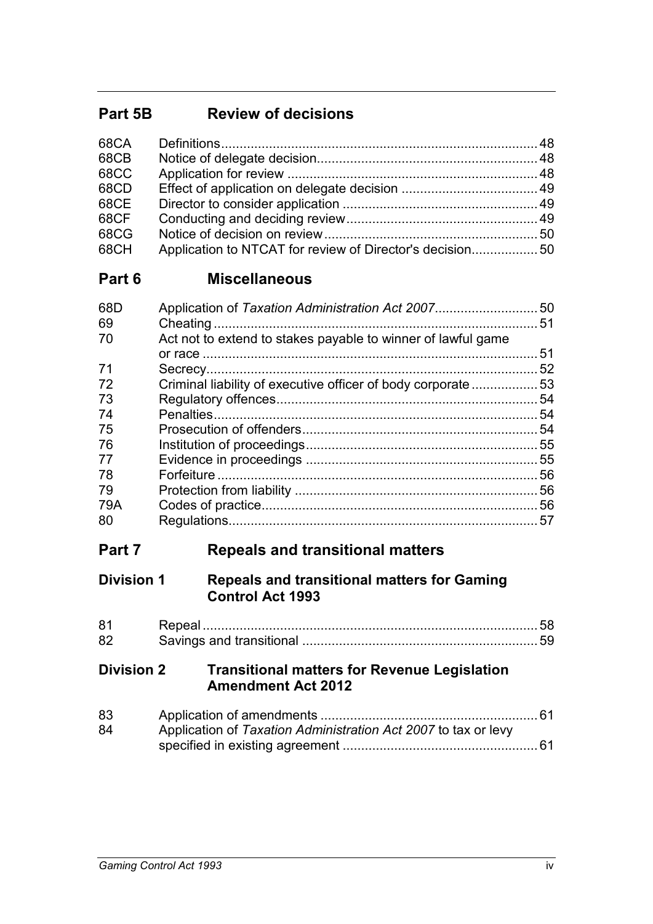# **Part 5B Review of decisions**

| 68CA        |                                                          |  |
|-------------|----------------------------------------------------------|--|
| 68CB        |                                                          |  |
| <b>68CC</b> |                                                          |  |
| 68CD        |                                                          |  |
| 68CE        |                                                          |  |
| 68CF        |                                                          |  |
| 68CG        |                                                          |  |
| 68CH        | Application to NTCAT for review of Director's decision50 |  |

# **Part 6 Miscellaneous**

| 68D<br>69 | Application of Taxation Administration Act 2007              | 50<br>51 |
|-----------|--------------------------------------------------------------|----------|
| 70        | Act not to extend to stakes payable to winner of lawful game |          |
|           |                                                              | 51       |
| 71        |                                                              | 52       |
| 72        | Criminal liability of executive officer of body corporate53  |          |
| 73        |                                                              | 54       |
| 74        |                                                              | 54       |
| 75        |                                                              | 54       |
| 76        |                                                              |          |
| 77        |                                                              | 55       |
| 78        |                                                              | 56       |
| 79        |                                                              | 56       |
| 79A       |                                                              | 56       |
| 80        |                                                              | 57       |

# **Part 7 Repeals and transitional matters**

## **Division 1 Repeals and transitional matters for Gaming Control Act 1993**

| 81 |  |
|----|--|
| 82 |  |

## **Division 2 Transitional matters for Revenue Legislation Amendment Act 2012**

| 83 |                                                                |  |
|----|----------------------------------------------------------------|--|
| 84 | Application of Taxation Administration Act 2007 to tax or levy |  |
|    |                                                                |  |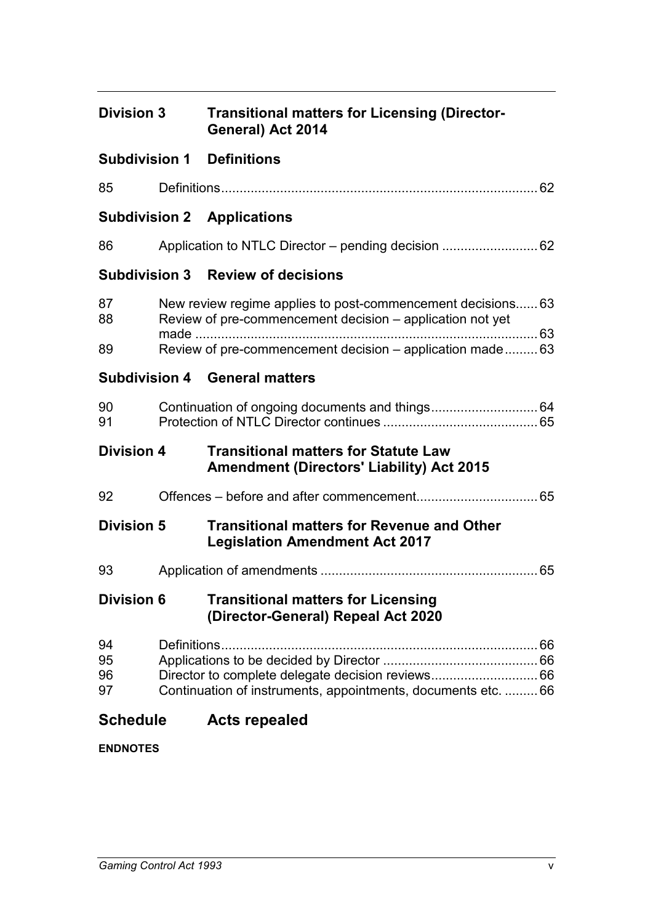| <b>Division 3</b> | <b>Transitional matters for Licensing (Director-</b> |
|-------------------|------------------------------------------------------|
|                   | General) Act 2014                                    |

## **Subdivision 1 Definitions**

| 85             | 62                                                                                                                                                                                    |
|----------------|---------------------------------------------------------------------------------------------------------------------------------------------------------------------------------------|
|                | <b>Subdivision 2 Applications</b>                                                                                                                                                     |
| 86             |                                                                                                                                                                                       |
|                | <b>Subdivision 3 Review of decisions</b>                                                                                                                                              |
| 87<br>88<br>89 | New review regime applies to post-commencement decisions 63<br>Review of pre-commencement decision – application not yet<br>Review of pre-commencement decision – application made 63 |
|                | <b>Subdivision 4 General matters</b>                                                                                                                                                  |
| 90<br>91       |                                                                                                                                                                                       |

# **Division 4 Transitional matters for Statute Law Amendment (Directors' Liability) Act 2015**

| 92 |  |
|----|--|
|----|--|

## **Division 5 Transitional matters for Revenue and Other Legislation Amendment Act 2017**

| 93 |  |  |
|----|--|--|
|----|--|--|

## **Division 6 Transitional matters for Licensing (Director-General) Repeal Act 2020**

| 94 |                                                               |  |
|----|---------------------------------------------------------------|--|
| 95 |                                                               |  |
| 96 |                                                               |  |
| 97 | Continuation of instruments, appointments, documents etc.  66 |  |

# **Schedule Acts repealed**

**ENDNOTES**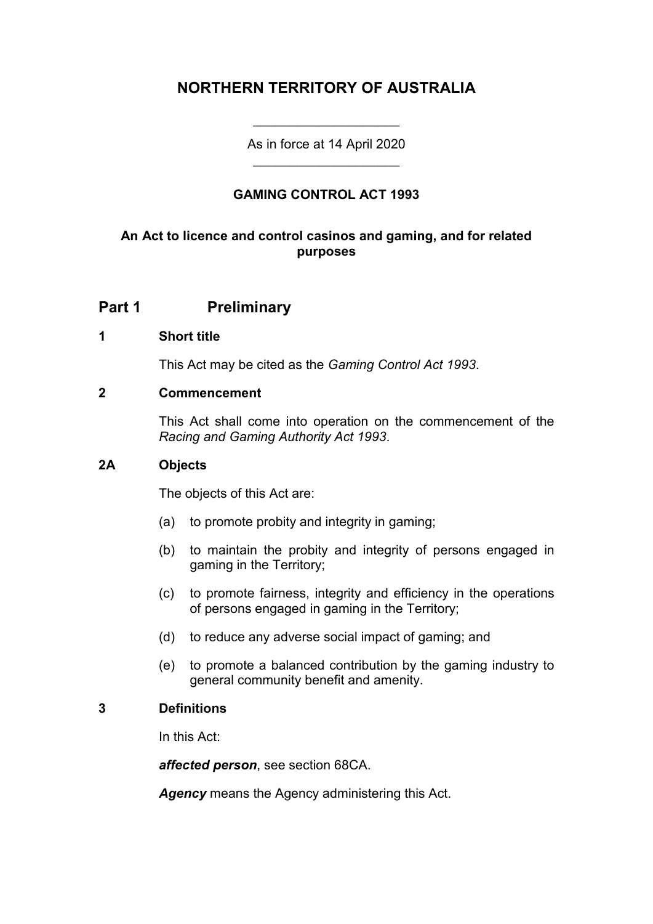## **NORTHERN TERRITORY OF AUSTRALIA**

As in force at 14 April 2020 \_\_\_\_\_\_\_\_\_\_\_\_\_\_\_\_\_\_\_\_

\_\_\_\_\_\_\_\_\_\_\_\_\_\_\_\_\_\_\_\_

## **GAMING CONTROL ACT 1993**

## **An Act to licence and control casinos and gaming, and for related purposes**

## **Part 1 Preliminary**

#### **1 Short title**

This Act may be cited as the *Gaming Control Act 1993*.

#### **2 Commencement**

This Act shall come into operation on the commencement of the *Racing and Gaming Authority Act 1993*.

#### **2A Objects**

The objects of this Act are:

- (a) to promote probity and integrity in gaming;
- (b) to maintain the probity and integrity of persons engaged in gaming in the Territory;
- (c) to promote fairness, integrity and efficiency in the operations of persons engaged in gaming in the Territory;
- (d) to reduce any adverse social impact of gaming; and
- (e) to promote a balanced contribution by the gaming industry to general community benefit and amenity.

### **3 Definitions**

In this Act:

*affected person*, see section 68CA.

*Agency* means the Agency administering this Act.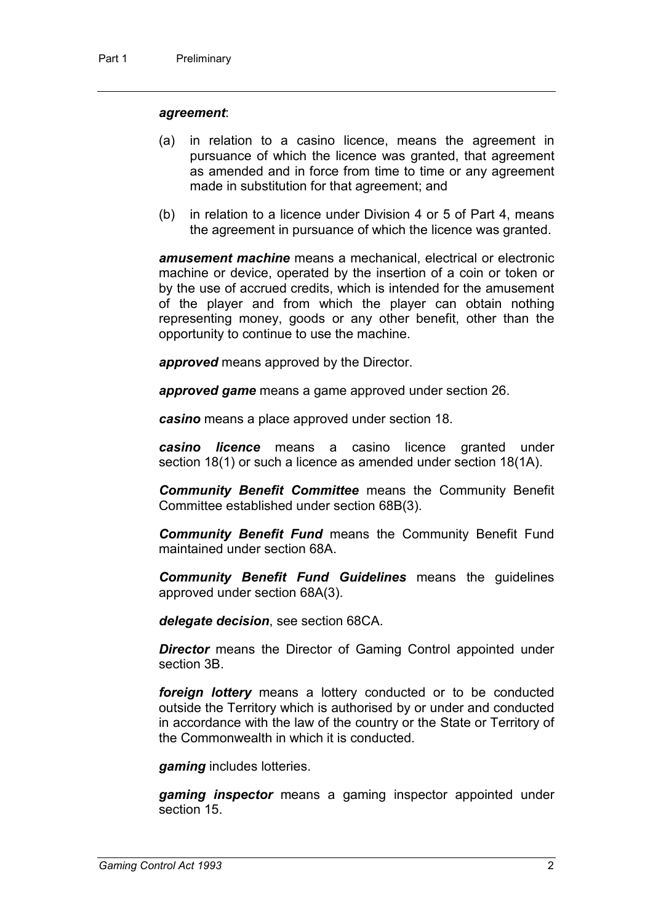#### *agreement*:

- (a) in relation to a casino licence, means the agreement in pursuance of which the licence was granted, that agreement as amended and in force from time to time or any agreement made in substitution for that agreement; and
- (b) in relation to a licence under Division 4 or 5 of Part 4, means the agreement in pursuance of which the licence was granted.

*amusement machine* means a mechanical, electrical or electronic machine or device, operated by the insertion of a coin or token or by the use of accrued credits, which is intended for the amusement of the player and from which the player can obtain nothing representing money, goods or any other benefit, other than the opportunity to continue to use the machine.

*approved* means approved by the Director.

*approved game* means a game approved under section 26.

*casino* means a place approved under section 18.

*casino licence* means a casino licence granted under section 18(1) or such a licence as amended under section 18(1A).

*Community Benefit Committee* means the Community Benefit Committee established under section 68B(3).

*Community Benefit Fund* means the Community Benefit Fund maintained under section 68A.

*Community Benefit Fund Guidelines* means the guidelines approved under section 68A(3).

*delegate decision*, see section 68CA.

**Director** means the Director of Gaming Control appointed under section 3B.

*foreign lottery* means a lottery conducted or to be conducted outside the Territory which is authorised by or under and conducted in accordance with the law of the country or the State or Territory of the Commonwealth in which it is conducted.

*gaming* includes lotteries.

*gaming inspector* means a gaming inspector appointed under section 15.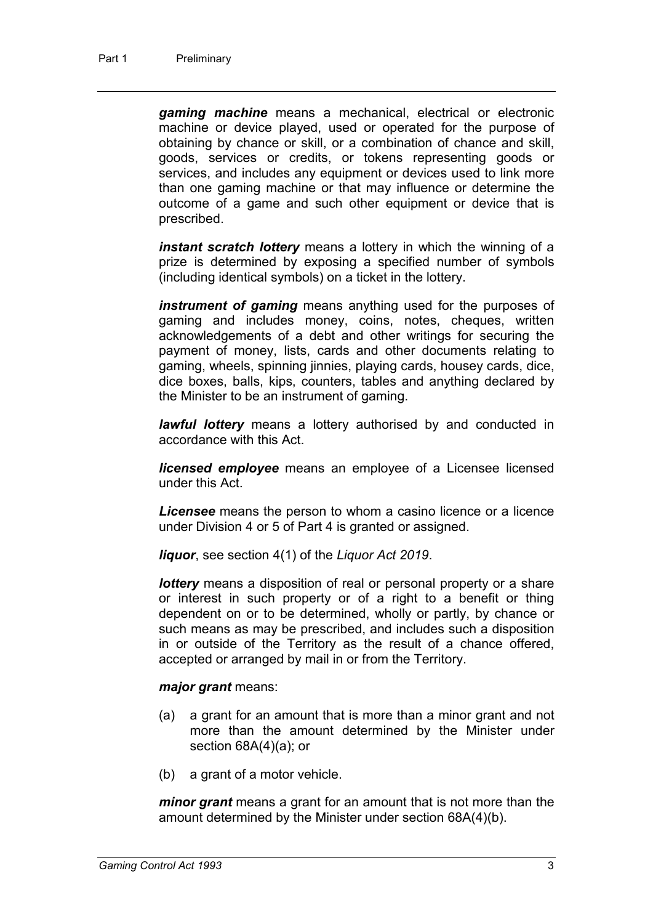*gaming machine* means a mechanical, electrical or electronic machine or device played, used or operated for the purpose of obtaining by chance or skill, or a combination of chance and skill, goods, services or credits, or tokens representing goods or services, and includes any equipment or devices used to link more than one gaming machine or that may influence or determine the outcome of a game and such other equipment or device that is prescribed.

*instant scratch lottery* means a lottery in which the winning of a prize is determined by exposing a specified number of symbols (including identical symbols) on a ticket in the lottery.

*instrument of gaming* means anything used for the purposes of gaming and includes money, coins, notes, cheques, written acknowledgements of a debt and other writings for securing the payment of money, lists, cards and other documents relating to gaming, wheels, spinning jinnies, playing cards, housey cards, dice, dice boxes, balls, kips, counters, tables and anything declared by the Minister to be an instrument of gaming.

*lawful lottery* means a lottery authorised by and conducted in accordance with this Act.

*licensed employee* means an employee of a Licensee licensed under this Act.

*Licensee* means the person to whom a casino licence or a licence under Division 4 or 5 of Part 4 is granted or assigned.

*liquor*, see section 4(1) of the *Liquor Act 2019*.

*lottery* means a disposition of real or personal property or a share or interest in such property or of a right to a benefit or thing dependent on or to be determined, wholly or partly, by chance or such means as may be prescribed, and includes such a disposition in or outside of the Territory as the result of a chance offered, accepted or arranged by mail in or from the Territory.

#### *major grant* means:

- (a) a grant for an amount that is more than a minor grant and not more than the amount determined by the Minister under section 68A(4)(a); or
- (b) a grant of a motor vehicle.

*minor grant* means a grant for an amount that is not more than the amount determined by the Minister under section 68A(4)(b).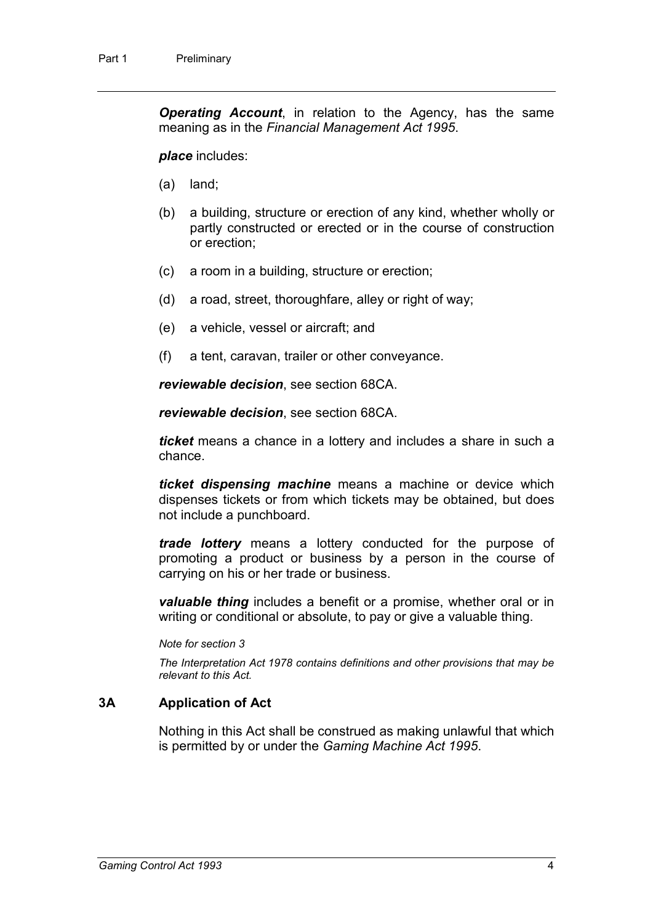*Operating Account*, in relation to the Agency, has the same meaning as in the *Financial Management Act 1995*.

#### *place* includes:

- (a) land;
- (b) a building, structure or erection of any kind, whether wholly or partly constructed or erected or in the course of construction or erection;
- (c) a room in a building, structure or erection;
- (d) a road, street, thoroughfare, alley or right of way;
- (e) a vehicle, vessel or aircraft; and
- (f) a tent, caravan, trailer or other conveyance.

*reviewable decision*, see section 68CA.

*reviewable decision*, see section 68CA.

*ticket* means a chance in a lottery and includes a share in such a chance.

*ticket dispensing machine* means a machine or device which dispenses tickets or from which tickets may be obtained, but does not include a punchboard.

*trade lottery* means a lottery conducted for the purpose of promoting a product or business by a person in the course of carrying on his or her trade or business.

*valuable thing* includes a benefit or a promise, whether oral or in writing or conditional or absolute, to pay or give a valuable thing.

*Note for section 3*

*The Interpretation Act 1978 contains definitions and other provisions that may be relevant to this Act.*

## **3A Application of Act**

Nothing in this Act shall be construed as making unlawful that which is permitted by or under the *Gaming Machine Act 1995*.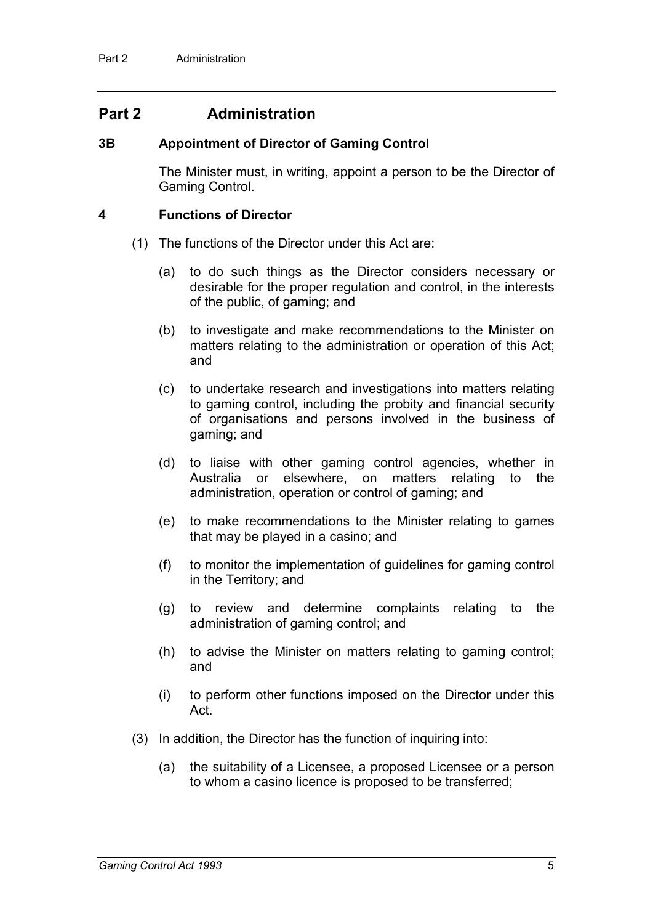## **Part 2 Administration**

#### **3B Appointment of Director of Gaming Control**

The Minister must, in writing, appoint a person to be the Director of Gaming Control.

#### **4 Functions of Director**

- (1) The functions of the Director under this Act are:
	- (a) to do such things as the Director considers necessary or desirable for the proper regulation and control, in the interests of the public, of gaming; and
	- (b) to investigate and make recommendations to the Minister on matters relating to the administration or operation of this Act; and
	- (c) to undertake research and investigations into matters relating to gaming control, including the probity and financial security of organisations and persons involved in the business of gaming; and
	- (d) to liaise with other gaming control agencies, whether in Australia or elsewhere, on matters relating to the administration, operation or control of gaming; and
	- (e) to make recommendations to the Minister relating to games that may be played in a casino; and
	- (f) to monitor the implementation of guidelines for gaming control in the Territory; and
	- (g) to review and determine complaints relating to the administration of gaming control; and
	- (h) to advise the Minister on matters relating to gaming control; and
	- (i) to perform other functions imposed on the Director under this Act.
- (3) In addition, the Director has the function of inquiring into:
	- (a) the suitability of a Licensee, a proposed Licensee or a person to whom a casino licence is proposed to be transferred;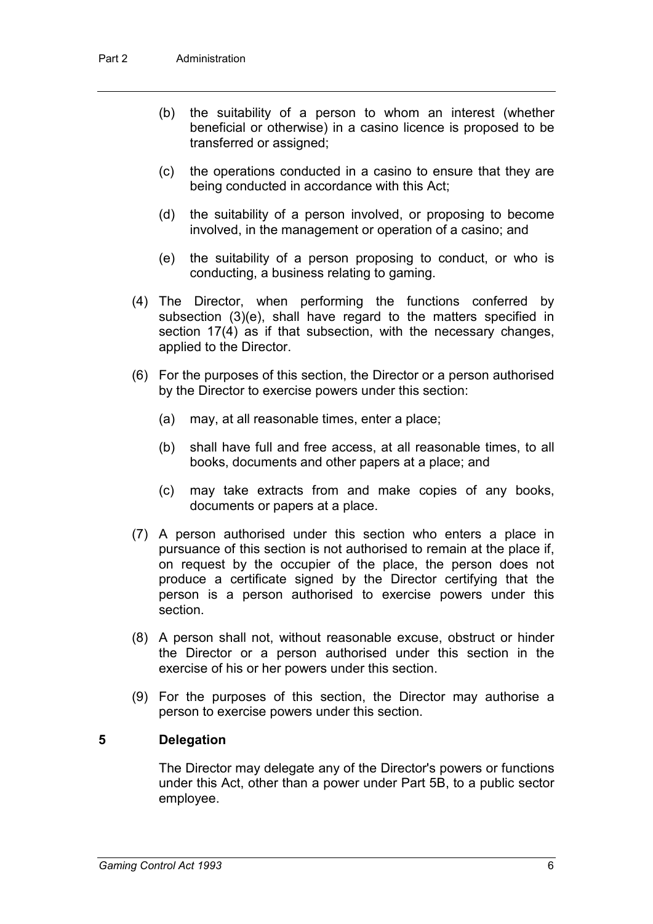- (b) the suitability of a person to whom an interest (whether beneficial or otherwise) in a casino licence is proposed to be transferred or assigned;
- (c) the operations conducted in a casino to ensure that they are being conducted in accordance with this Act;
- (d) the suitability of a person involved, or proposing to become involved, in the management or operation of a casino; and
- (e) the suitability of a person proposing to conduct, or who is conducting, a business relating to gaming.
- (4) The Director, when performing the functions conferred by subsection (3)(e), shall have regard to the matters specified in section 17(4) as if that subsection, with the necessary changes, applied to the Director.
- (6) For the purposes of this section, the Director or a person authorised by the Director to exercise powers under this section:
	- (a) may, at all reasonable times, enter a place;
	- (b) shall have full and free access, at all reasonable times, to all books, documents and other papers at a place; and
	- (c) may take extracts from and make copies of any books, documents or papers at a place.
- (7) A person authorised under this section who enters a place in pursuance of this section is not authorised to remain at the place if, on request by the occupier of the place, the person does not produce a certificate signed by the Director certifying that the person is a person authorised to exercise powers under this section.
- (8) A person shall not, without reasonable excuse, obstruct or hinder the Director or a person authorised under this section in the exercise of his or her powers under this section.
- (9) For the purposes of this section, the Director may authorise a person to exercise powers under this section.

#### **5 Delegation**

The Director may delegate any of the Director's powers or functions under this Act, other than a power under Part 5B, to a public sector employee.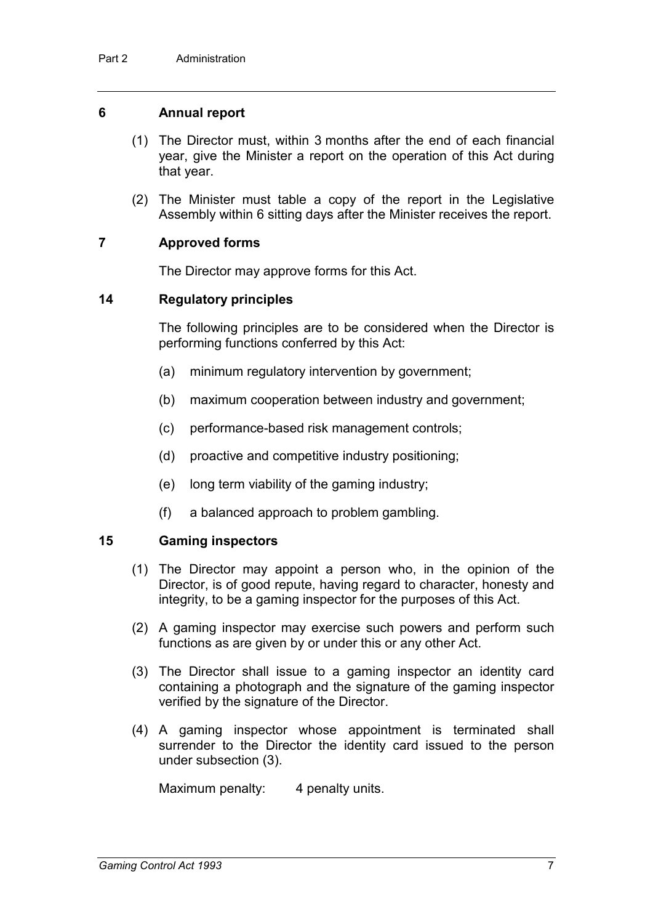#### **6 Annual report**

- (1) The Director must, within 3 months after the end of each financial year, give the Minister a report on the operation of this Act during that year.
- (2) The Minister must table a copy of the report in the Legislative Assembly within 6 sitting days after the Minister receives the report.

#### **7 Approved forms**

The Director may approve forms for this Act.

#### **14 Regulatory principles**

The following principles are to be considered when the Director is performing functions conferred by this Act:

- (a) minimum regulatory intervention by government;
- (b) maximum cooperation between industry and government;
- (c) performance-based risk management controls;
- (d) proactive and competitive industry positioning;
- (e) long term viability of the gaming industry;
- (f) a balanced approach to problem gambling.

#### **15 Gaming inspectors**

- (1) The Director may appoint a person who, in the opinion of the Director, is of good repute, having regard to character, honesty and integrity, to be a gaming inspector for the purposes of this Act.
- (2) A gaming inspector may exercise such powers and perform such functions as are given by or under this or any other Act.
- (3) The Director shall issue to a gaming inspector an identity card containing a photograph and the signature of the gaming inspector verified by the signature of the Director.
- (4) A gaming inspector whose appointment is terminated shall surrender to the Director the identity card issued to the person under subsection (3).

Maximum penalty: 4 penalty units.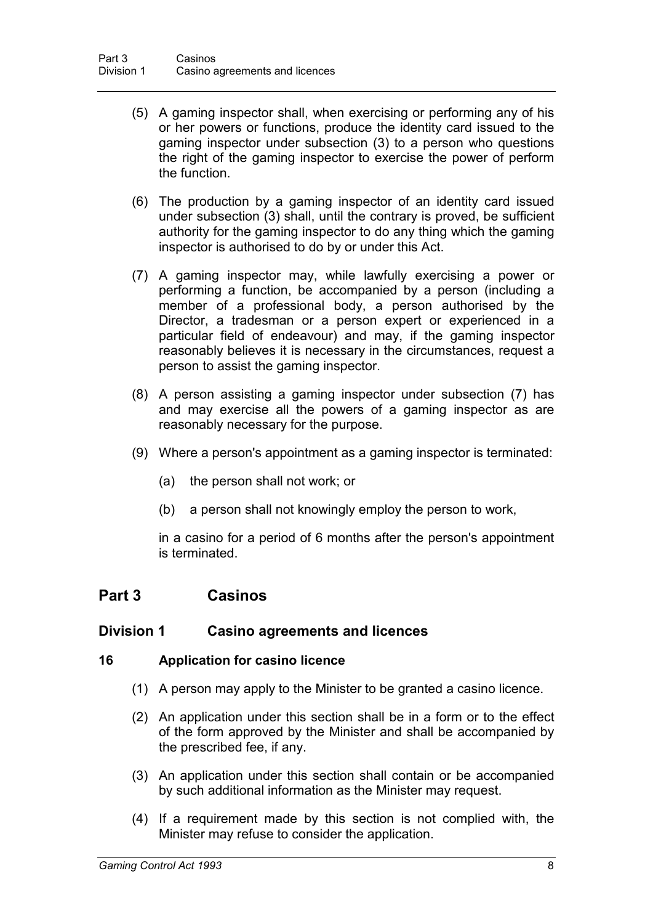- (5) A gaming inspector shall, when exercising or performing any of his or her powers or functions, produce the identity card issued to the gaming inspector under subsection (3) to a person who questions the right of the gaming inspector to exercise the power of perform the function.
- (6) The production by a gaming inspector of an identity card issued under subsection (3) shall, until the contrary is proved, be sufficient authority for the gaming inspector to do any thing which the gaming inspector is authorised to do by or under this Act.
- (7) A gaming inspector may, while lawfully exercising a power or performing a function, be accompanied by a person (including a member of a professional body, a person authorised by the Director, a tradesman or a person expert or experienced in a particular field of endeavour) and may, if the gaming inspector reasonably believes it is necessary in the circumstances, request a person to assist the gaming inspector.
- (8) A person assisting a gaming inspector under subsection (7) has and may exercise all the powers of a gaming inspector as are reasonably necessary for the purpose.
- (9) Where a person's appointment as a gaming inspector is terminated:
	- (a) the person shall not work; or
	- (b) a person shall not knowingly employ the person to work,

in a casino for a period of 6 months after the person's appointment is terminated.

## **Part 3 Casinos**

#### **Division 1 Casino agreements and licences**

#### **16 Application for casino licence**

- (1) A person may apply to the Minister to be granted a casino licence.
- (2) An application under this section shall be in a form or to the effect of the form approved by the Minister and shall be accompanied by the prescribed fee, if any.
- (3) An application under this section shall contain or be accompanied by such additional information as the Minister may request.
- (4) If a requirement made by this section is not complied with, the Minister may refuse to consider the application.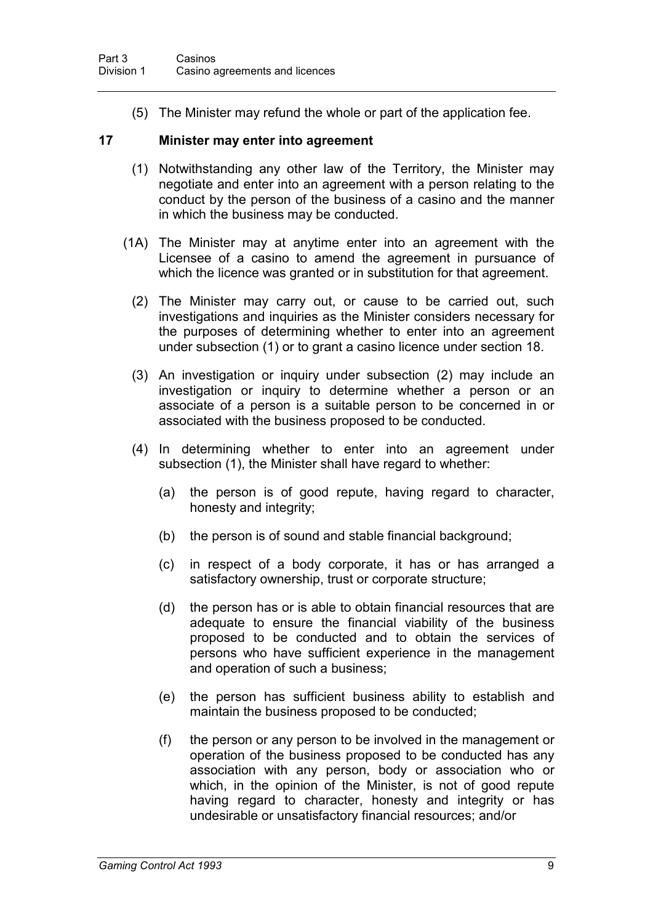(5) The Minister may refund the whole or part of the application fee.

#### **17 Minister may enter into agreement**

- (1) Notwithstanding any other law of the Territory, the Minister may negotiate and enter into an agreement with a person relating to the conduct by the person of the business of a casino and the manner in which the business may be conducted.
- (1A) The Minister may at anytime enter into an agreement with the Licensee of a casino to amend the agreement in pursuance of which the licence was granted or in substitution for that agreement.
	- (2) The Minister may carry out, or cause to be carried out, such investigations and inquiries as the Minister considers necessary for the purposes of determining whether to enter into an agreement under subsection (1) or to grant a casino licence under section 18.
	- (3) An investigation or inquiry under subsection (2) may include an investigation or inquiry to determine whether a person or an associate of a person is a suitable person to be concerned in or associated with the business proposed to be conducted.
	- (4) In determining whether to enter into an agreement under subsection (1), the Minister shall have regard to whether:
		- (a) the person is of good repute, having regard to character, honesty and integrity;
		- (b) the person is of sound and stable financial background;
		- (c) in respect of a body corporate, it has or has arranged a satisfactory ownership, trust or corporate structure;
		- (d) the person has or is able to obtain financial resources that are adequate to ensure the financial viability of the business proposed to be conducted and to obtain the services of persons who have sufficient experience in the management and operation of such a business;
		- (e) the person has sufficient business ability to establish and maintain the business proposed to be conducted;
		- (f) the person or any person to be involved in the management or operation of the business proposed to be conducted has any association with any person, body or association who or which, in the opinion of the Minister, is not of good repute having regard to character, honesty and integrity or has undesirable or unsatisfactory financial resources; and/or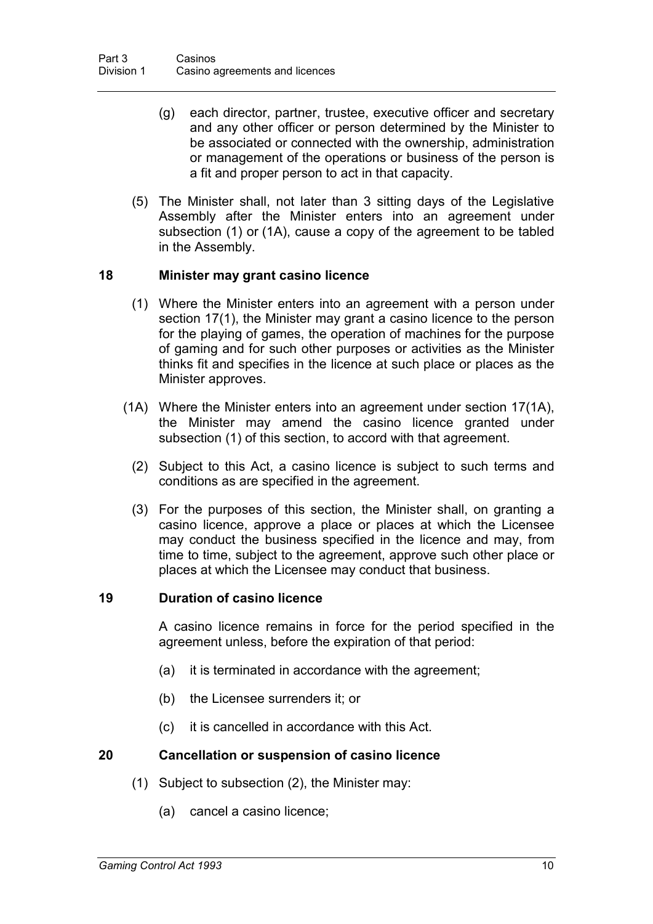- (g) each director, partner, trustee, executive officer and secretary and any other officer or person determined by the Minister to be associated or connected with the ownership, administration or management of the operations or business of the person is a fit and proper person to act in that capacity.
- (5) The Minister shall, not later than 3 sitting days of the Legislative Assembly after the Minister enters into an agreement under subsection (1) or (1A), cause a copy of the agreement to be tabled in the Assembly.

#### **18 Minister may grant casino licence**

- (1) Where the Minister enters into an agreement with a person under section 17(1), the Minister may grant a casino licence to the person for the playing of games, the operation of machines for the purpose of gaming and for such other purposes or activities as the Minister thinks fit and specifies in the licence at such place or places as the Minister approves.
- (1A) Where the Minister enters into an agreement under section 17(1A), the Minister may amend the casino licence granted under subsection (1) of this section, to accord with that agreement.
	- (2) Subject to this Act, a casino licence is subject to such terms and conditions as are specified in the agreement.
	- (3) For the purposes of this section, the Minister shall, on granting a casino licence, approve a place or places at which the Licensee may conduct the business specified in the licence and may, from time to time, subject to the agreement, approve such other place or places at which the Licensee may conduct that business.

#### **19 Duration of casino licence**

A casino licence remains in force for the period specified in the agreement unless, before the expiration of that period:

- (a) it is terminated in accordance with the agreement;
- (b) the Licensee surrenders it; or
- (c) it is cancelled in accordance with this Act.

#### **20 Cancellation or suspension of casino licence**

- (1) Subject to subsection (2), the Minister may:
	- (a) cancel a casino licence;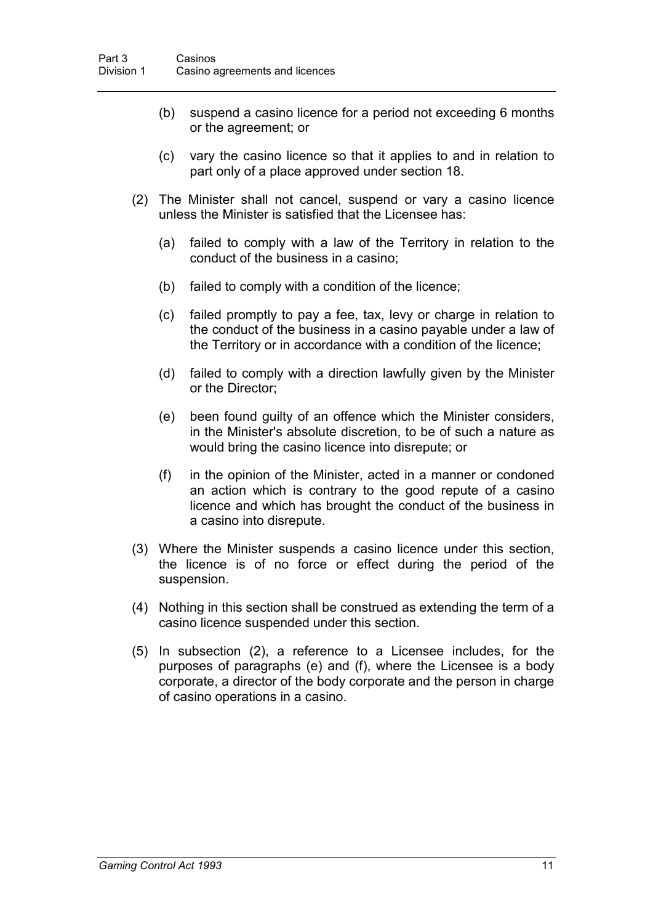- (b) suspend a casino licence for a period not exceeding 6 months or the agreement; or
- (c) vary the casino licence so that it applies to and in relation to part only of a place approved under section 18.
- (2) The Minister shall not cancel, suspend or vary a casino licence unless the Minister is satisfied that the Licensee has:
	- (a) failed to comply with a law of the Territory in relation to the conduct of the business in a casino;
	- (b) failed to comply with a condition of the licence;
	- (c) failed promptly to pay a fee, tax, levy or charge in relation to the conduct of the business in a casino payable under a law of the Territory or in accordance with a condition of the licence;
	- (d) failed to comply with a direction lawfully given by the Minister or the Director;
	- (e) been found guilty of an offence which the Minister considers, in the Minister's absolute discretion, to be of such a nature as would bring the casino licence into disrepute; or
	- (f) in the opinion of the Minister, acted in a manner or condoned an action which is contrary to the good repute of a casino licence and which has brought the conduct of the business in a casino into disrepute.
- (3) Where the Minister suspends a casino licence under this section, the licence is of no force or effect during the period of the suspension.
- (4) Nothing in this section shall be construed as extending the term of a casino licence suspended under this section.
- (5) In subsection (2), a reference to a Licensee includes, for the purposes of paragraphs (e) and (f), where the Licensee is a body corporate, a director of the body corporate and the person in charge of casino operations in a casino.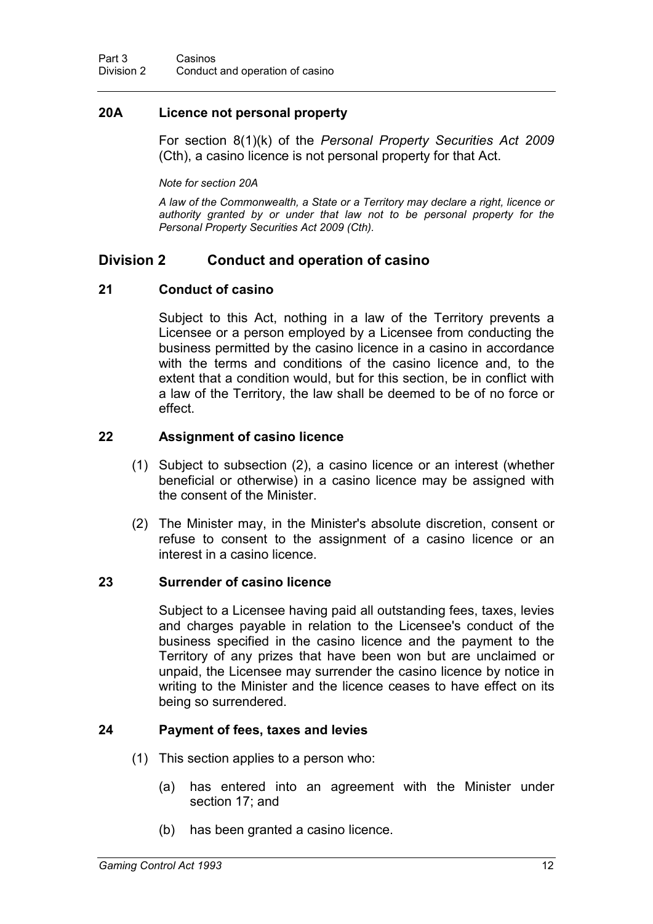### **20A Licence not personal property**

For section 8(1)(k) of the *Personal Property Securities Act 2009*  (Cth), a casino licence is not personal property for that Act.

*Note for section 20A*

*A law of the Commonwealth, a State or a Territory may declare a right, licence or authority granted by or under that law not to be personal property for the Personal Property Securities Act 2009 (Cth).*

## **Division 2 Conduct and operation of casino**

#### **21 Conduct of casino**

Subject to this Act, nothing in a law of the Territory prevents a Licensee or a person employed by a Licensee from conducting the business permitted by the casino licence in a casino in accordance with the terms and conditions of the casino licence and, to the extent that a condition would, but for this section, be in conflict with a law of the Territory, the law shall be deemed to be of no force or effect.

#### **22 Assignment of casino licence**

- (1) Subject to subsection (2), a casino licence or an interest (whether beneficial or otherwise) in a casino licence may be assigned with the consent of the Minister.
- (2) The Minister may, in the Minister's absolute discretion, consent or refuse to consent to the assignment of a casino licence or an interest in a casino licence.

#### **23 Surrender of casino licence**

Subject to a Licensee having paid all outstanding fees, taxes, levies and charges payable in relation to the Licensee's conduct of the business specified in the casino licence and the payment to the Territory of any prizes that have been won but are unclaimed or unpaid, the Licensee may surrender the casino licence by notice in writing to the Minister and the licence ceases to have effect on its being so surrendered.

#### **24 Payment of fees, taxes and levies**

- (1) This section applies to a person who:
	- (a) has entered into an agreement with the Minister under section 17; and
	- (b) has been granted a casino licence.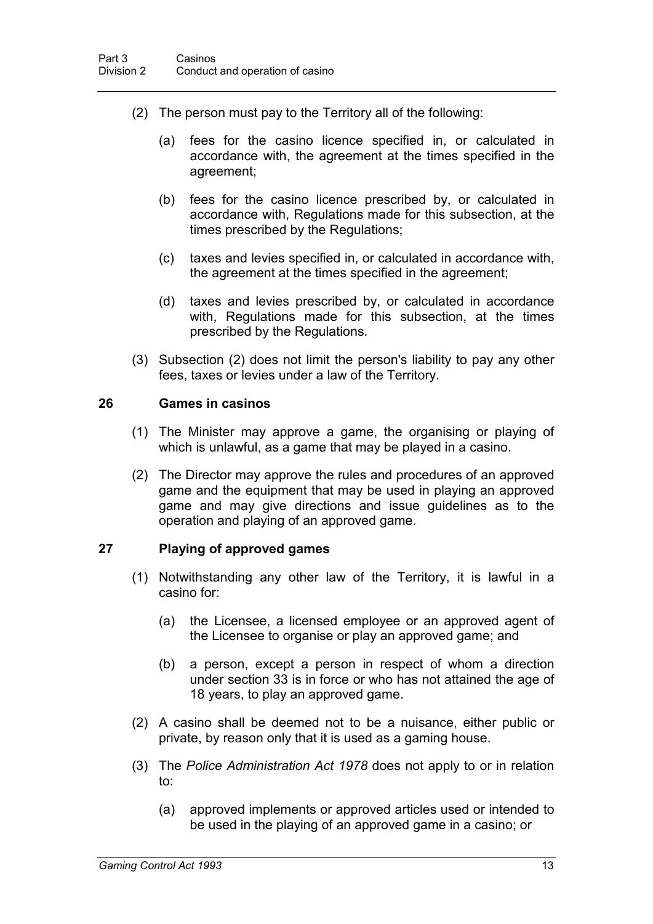- (2) The person must pay to the Territory all of the following:
	- (a) fees for the casino licence specified in, or calculated in accordance with, the agreement at the times specified in the agreement;
	- (b) fees for the casino licence prescribed by, or calculated in accordance with, Regulations made for this subsection, at the times prescribed by the Regulations;
	- (c) taxes and levies specified in, or calculated in accordance with, the agreement at the times specified in the agreement;
	- (d) taxes and levies prescribed by, or calculated in accordance with, Regulations made for this subsection, at the times prescribed by the Regulations.
- (3) Subsection (2) does not limit the person's liability to pay any other fees, taxes or levies under a law of the Territory.

#### **26 Games in casinos**

- (1) The Minister may approve a game, the organising or playing of which is unlawful, as a game that may be played in a casino.
- (2) The Director may approve the rules and procedures of an approved game and the equipment that may be used in playing an approved game and may give directions and issue guidelines as to the operation and playing of an approved game.

## **27 Playing of approved games**

- (1) Notwithstanding any other law of the Territory, it is lawful in a casino for:
	- (a) the Licensee, a licensed employee or an approved agent of the Licensee to organise or play an approved game; and
	- (b) a person, except a person in respect of whom a direction under section 33 is in force or who has not attained the age of 18 years, to play an approved game.
- (2) A casino shall be deemed not to be a nuisance, either public or private, by reason only that it is used as a gaming house.
- (3) The *Police Administration Act 1978* does not apply to or in relation to:
	- (a) approved implements or approved articles used or intended to be used in the playing of an approved game in a casino; or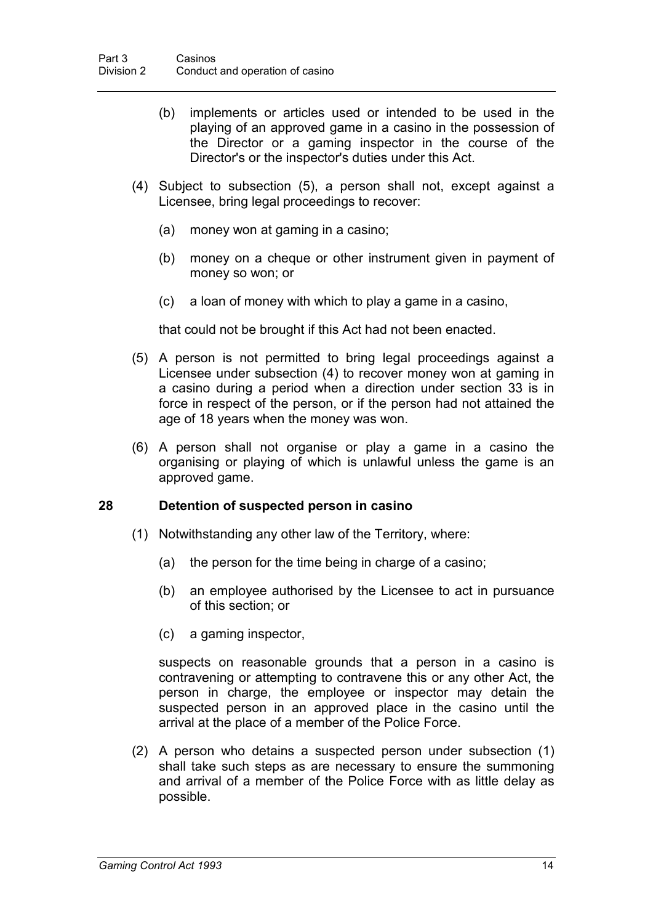- (b) implements or articles used or intended to be used in the playing of an approved game in a casino in the possession of the Director or a gaming inspector in the course of the Director's or the inspector's duties under this Act.
- (4) Subject to subsection (5), a person shall not, except against a Licensee, bring legal proceedings to recover:
	- (a) money won at gaming in a casino;
	- (b) money on a cheque or other instrument given in payment of money so won; or
	- (c) a loan of money with which to play a game in a casino,

that could not be brought if this Act had not been enacted.

- (5) A person is not permitted to bring legal proceedings against a Licensee under subsection (4) to recover money won at gaming in a casino during a period when a direction under section 33 is in force in respect of the person, or if the person had not attained the age of 18 years when the money was won.
- (6) A person shall not organise or play a game in a casino the organising or playing of which is unlawful unless the game is an approved game.

#### **28 Detention of suspected person in casino**

- (1) Notwithstanding any other law of the Territory, where:
	- (a) the person for the time being in charge of a casino;
	- (b) an employee authorised by the Licensee to act in pursuance of this section; or
	- (c) a gaming inspector,

suspects on reasonable grounds that a person in a casino is contravening or attempting to contravene this or any other Act, the person in charge, the employee or inspector may detain the suspected person in an approved place in the casino until the arrival at the place of a member of the Police Force.

(2) A person who detains a suspected person under subsection (1) shall take such steps as are necessary to ensure the summoning and arrival of a member of the Police Force with as little delay as possible.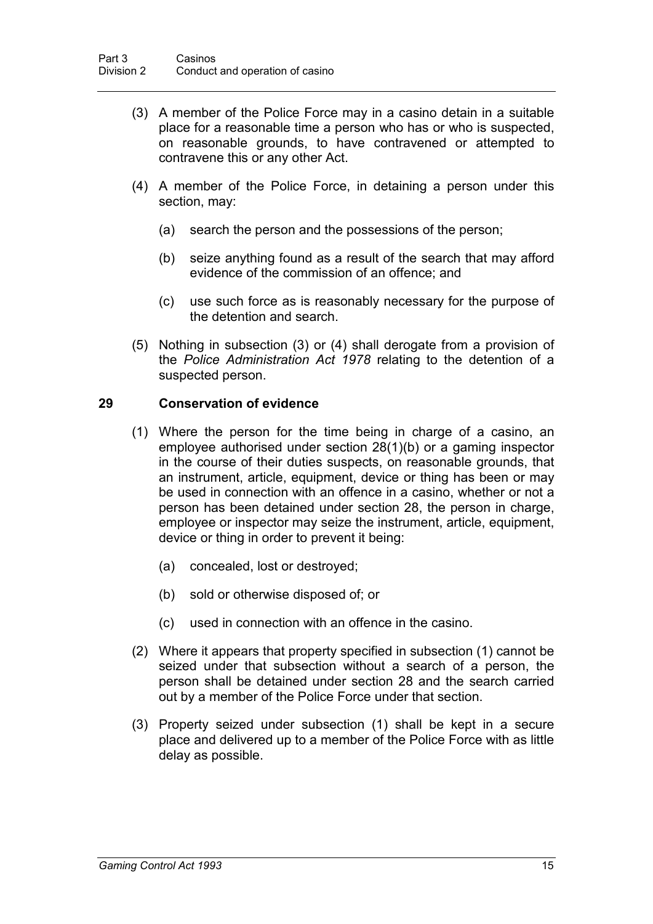- (3) A member of the Police Force may in a casino detain in a suitable place for a reasonable time a person who has or who is suspected, on reasonable grounds, to have contravened or attempted to contravene this or any other Act.
- (4) A member of the Police Force, in detaining a person under this section, may:
	- (a) search the person and the possessions of the person;
	- (b) seize anything found as a result of the search that may afford evidence of the commission of an offence; and
	- (c) use such force as is reasonably necessary for the purpose of the detention and search.
- (5) Nothing in subsection (3) or (4) shall derogate from a provision of the *Police Administration Act 1978* relating to the detention of a suspected person.

#### **29 Conservation of evidence**

- (1) Where the person for the time being in charge of a casino, an employee authorised under section 28(1)(b) or a gaming inspector in the course of their duties suspects, on reasonable grounds, that an instrument, article, equipment, device or thing has been or may be used in connection with an offence in a casino, whether or not a person has been detained under section 28, the person in charge, employee or inspector may seize the instrument, article, equipment, device or thing in order to prevent it being:
	- (a) concealed, lost or destroyed;
	- (b) sold or otherwise disposed of; or
	- (c) used in connection with an offence in the casino.
- (2) Where it appears that property specified in subsection (1) cannot be seized under that subsection without a search of a person, the person shall be detained under section 28 and the search carried out by a member of the Police Force under that section.
- (3) Property seized under subsection (1) shall be kept in a secure place and delivered up to a member of the Police Force with as little delay as possible.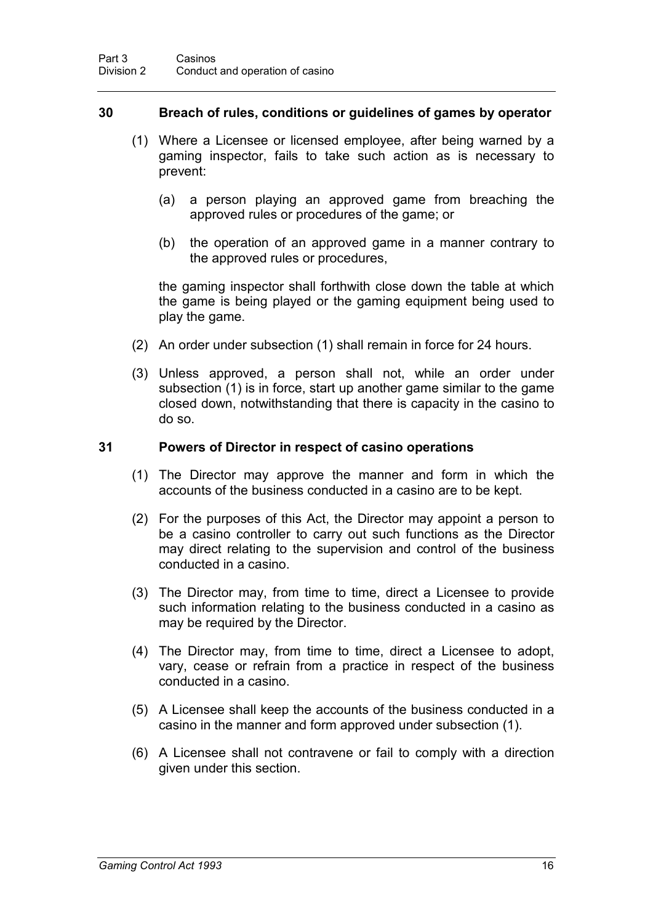#### **30 Breach of rules, conditions or guidelines of games by operator**

- (1) Where a Licensee or licensed employee, after being warned by a gaming inspector, fails to take such action as is necessary to prevent:
	- (a) a person playing an approved game from breaching the approved rules or procedures of the game; or
	- (b) the operation of an approved game in a manner contrary to the approved rules or procedures,

the gaming inspector shall forthwith close down the table at which the game is being played or the gaming equipment being used to play the game.

- (2) An order under subsection (1) shall remain in force for 24 hours.
- (3) Unless approved, a person shall not, while an order under subsection (1) is in force, start up another game similar to the game closed down, notwithstanding that there is capacity in the casino to do so.

#### **31 Powers of Director in respect of casino operations**

- (1) The Director may approve the manner and form in which the accounts of the business conducted in a casino are to be kept.
- (2) For the purposes of this Act, the Director may appoint a person to be a casino controller to carry out such functions as the Director may direct relating to the supervision and control of the business conducted in a casino.
- (3) The Director may, from time to time, direct a Licensee to provide such information relating to the business conducted in a casino as may be required by the Director.
- (4) The Director may, from time to time, direct a Licensee to adopt, vary, cease or refrain from a practice in respect of the business conducted in a casino.
- (5) A Licensee shall keep the accounts of the business conducted in a casino in the manner and form approved under subsection (1).
- (6) A Licensee shall not contravene or fail to comply with a direction given under this section.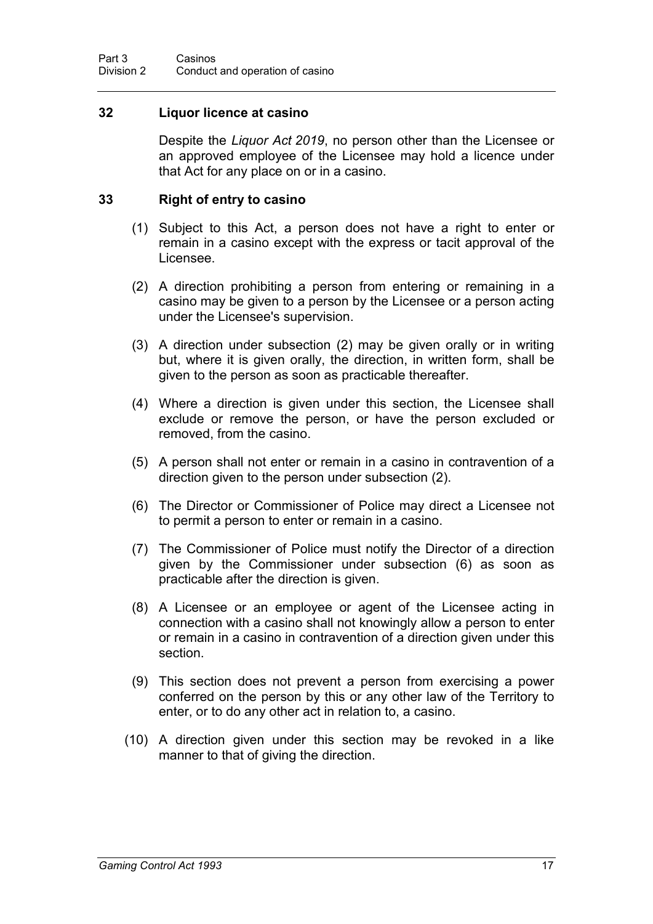#### **32 Liquor licence at casino**

Despite the *Liquor Act 2019*, no person other than the Licensee or an approved employee of the Licensee may hold a licence under that Act for any place on or in a casino.

#### **33 Right of entry to casino**

- (1) Subject to this Act, a person does not have a right to enter or remain in a casino except with the express or tacit approval of the Licensee.
- (2) A direction prohibiting a person from entering or remaining in a casino may be given to a person by the Licensee or a person acting under the Licensee's supervision.
- (3) A direction under subsection (2) may be given orally or in writing but, where it is given orally, the direction, in written form, shall be given to the person as soon as practicable thereafter.
- (4) Where a direction is given under this section, the Licensee shall exclude or remove the person, or have the person excluded or removed, from the casino.
- (5) A person shall not enter or remain in a casino in contravention of a direction given to the person under subsection (2).
- (6) The Director or Commissioner of Police may direct a Licensee not to permit a person to enter or remain in a casino.
- (7) The Commissioner of Police must notify the Director of a direction given by the Commissioner under subsection (6) as soon as practicable after the direction is given.
- (8) A Licensee or an employee or agent of the Licensee acting in connection with a casino shall not knowingly allow a person to enter or remain in a casino in contravention of a direction given under this section.
- (9) This section does not prevent a person from exercising a power conferred on the person by this or any other law of the Territory to enter, or to do any other act in relation to, a casino.
- (10) A direction given under this section may be revoked in a like manner to that of giving the direction.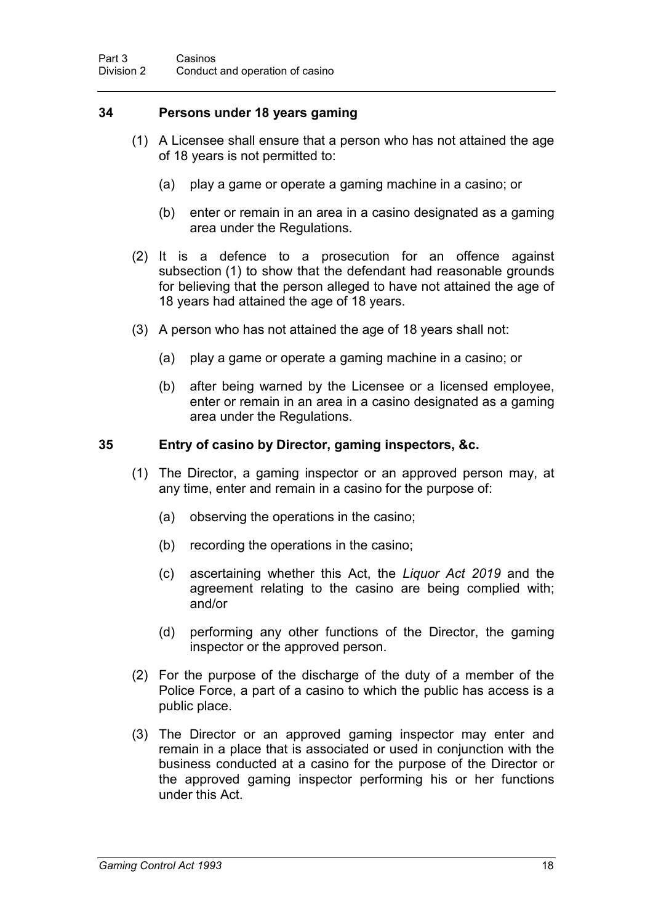### **34 Persons under 18 years gaming**

- (1) A Licensee shall ensure that a person who has not attained the age of 18 years is not permitted to:
	- (a) play a game or operate a gaming machine in a casino; or
	- (b) enter or remain in an area in a casino designated as a gaming area under the Regulations.
- (2) It is a defence to a prosecution for an offence against subsection (1) to show that the defendant had reasonable grounds for believing that the person alleged to have not attained the age of 18 years had attained the age of 18 years.
- (3) A person who has not attained the age of 18 years shall not:
	- (a) play a game or operate a gaming machine in a casino; or
	- (b) after being warned by the Licensee or a licensed employee, enter or remain in an area in a casino designated as a gaming area under the Regulations.

#### **35 Entry of casino by Director, gaming inspectors, &c.**

- (1) The Director, a gaming inspector or an approved person may, at any time, enter and remain in a casino for the purpose of:
	- (a) observing the operations in the casino;
	- (b) recording the operations in the casino;
	- (c) ascertaining whether this Act, the *Liquor Act 2019* and the agreement relating to the casino are being complied with; and/or
	- (d) performing any other functions of the Director, the gaming inspector or the approved person.
- (2) For the purpose of the discharge of the duty of a member of the Police Force, a part of a casino to which the public has access is a public place.
- (3) The Director or an approved gaming inspector may enter and remain in a place that is associated or used in conjunction with the business conducted at a casino for the purpose of the Director or the approved gaming inspector performing his or her functions under this Act.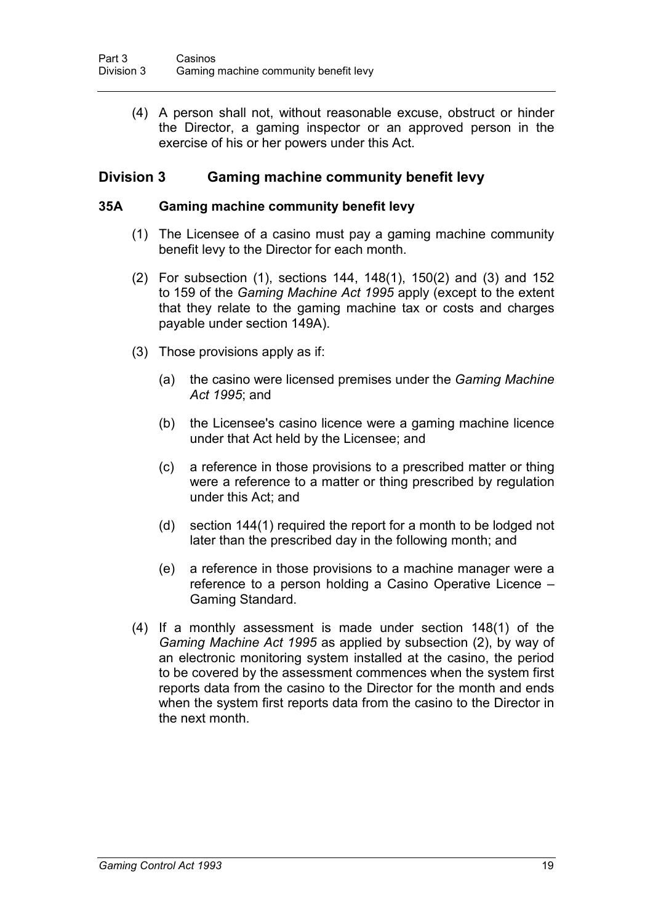(4) A person shall not, without reasonable excuse, obstruct or hinder the Director, a gaming inspector or an approved person in the exercise of his or her powers under this Act.

## **Division 3 Gaming machine community benefit levy**

#### **35A Gaming machine community benefit levy**

- (1) The Licensee of a casino must pay a gaming machine community benefit levy to the Director for each month.
- (2) For subsection (1), sections 144, 148(1), 150(2) and (3) and 152 to 159 of the *Gaming Machine Act 1995* apply (except to the extent that they relate to the gaming machine tax or costs and charges payable under section 149A).
- (3) Those provisions apply as if:
	- (a) the casino were licensed premises under the *Gaming Machine Act 1995*; and
	- (b) the Licensee's casino licence were a gaming machine licence under that Act held by the Licensee; and
	- (c) a reference in those provisions to a prescribed matter or thing were a reference to a matter or thing prescribed by regulation under this Act; and
	- (d) section 144(1) required the report for a month to be lodged not later than the prescribed day in the following month; and
	- (e) a reference in those provisions to a machine manager were a reference to a person holding a Casino Operative Licence – Gaming Standard.
- (4) If a monthly assessment is made under section 148(1) of the *Gaming Machine Act 1995* as applied by subsection (2), by way of an electronic monitoring system installed at the casino, the period to be covered by the assessment commences when the system first reports data from the casino to the Director for the month and ends when the system first reports data from the casino to the Director in the next month.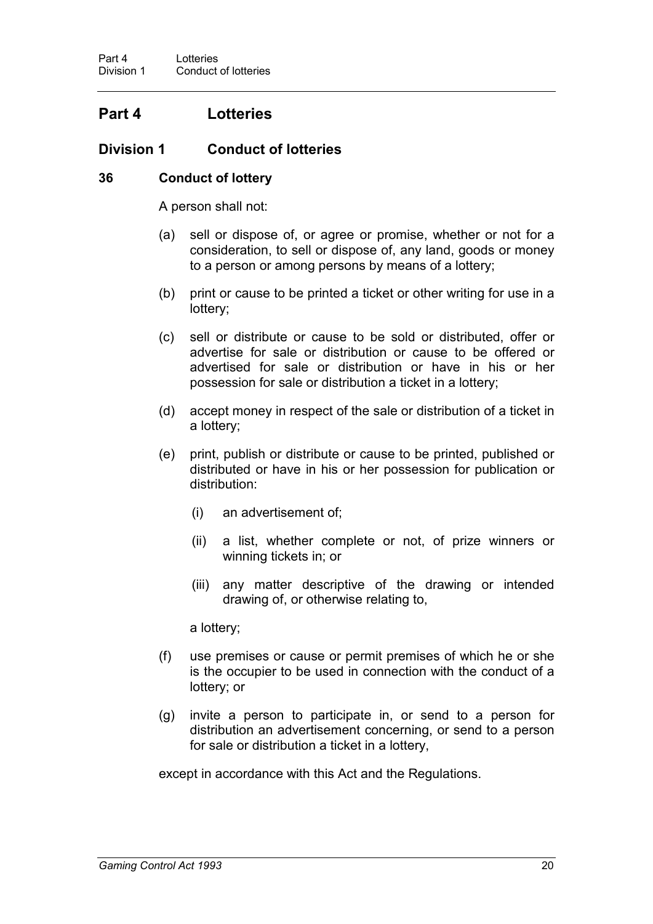## **Part 4 Lotteries**

## **Division 1 Conduct of lotteries**

### **36 Conduct of lottery**

A person shall not:

- (a) sell or dispose of, or agree or promise, whether or not for a consideration, to sell or dispose of, any land, goods or money to a person or among persons by means of a lottery;
- (b) print or cause to be printed a ticket or other writing for use in a lottery;
- (c) sell or distribute or cause to be sold or distributed, offer or advertise for sale or distribution or cause to be offered or advertised for sale or distribution or have in his or her possession for sale or distribution a ticket in a lottery;
- (d) accept money in respect of the sale or distribution of a ticket in a lottery;
- (e) print, publish or distribute or cause to be printed, published or distributed or have in his or her possession for publication or distribution:
	- (i) an advertisement of;
	- (ii) a list, whether complete or not, of prize winners or winning tickets in; or
	- (iii) any matter descriptive of the drawing or intended drawing of, or otherwise relating to,

a lottery;

- (f) use premises or cause or permit premises of which he or she is the occupier to be used in connection with the conduct of a lottery; or
- (g) invite a person to participate in, or send to a person for distribution an advertisement concerning, or send to a person for sale or distribution a ticket in a lottery,

except in accordance with this Act and the Regulations.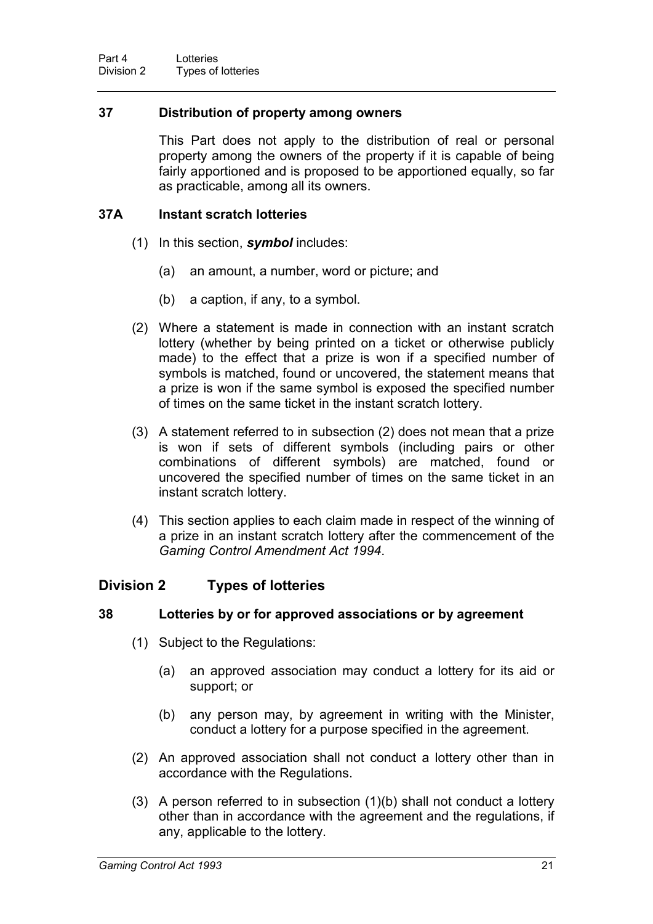### **37 Distribution of property among owners**

This Part does not apply to the distribution of real or personal property among the owners of the property if it is capable of being fairly apportioned and is proposed to be apportioned equally, so far as practicable, among all its owners.

### **37A Instant scratch lotteries**

- (1) In this section, *symbol* includes:
	- (a) an amount, a number, word or picture; and
	- (b) a caption, if any, to a symbol.
- (2) Where a statement is made in connection with an instant scratch lottery (whether by being printed on a ticket or otherwise publicly made) to the effect that a prize is won if a specified number of symbols is matched, found or uncovered, the statement means that a prize is won if the same symbol is exposed the specified number of times on the same ticket in the instant scratch lottery.
- (3) A statement referred to in subsection (2) does not mean that a prize is won if sets of different symbols (including pairs or other combinations of different symbols) are matched, found or uncovered the specified number of times on the same ticket in an instant scratch lottery.
- (4) This section applies to each claim made in respect of the winning of a prize in an instant scratch lottery after the commencement of the *Gaming Control Amendment Act 1994*.

## **Division 2 Types of lotteries**

## **38 Lotteries by or for approved associations or by agreement**

- (1) Subject to the Regulations:
	- (a) an approved association may conduct a lottery for its aid or support; or
	- (b) any person may, by agreement in writing with the Minister, conduct a lottery for a purpose specified in the agreement.
- (2) An approved association shall not conduct a lottery other than in accordance with the Regulations.
- (3) A person referred to in subsection (1)(b) shall not conduct a lottery other than in accordance with the agreement and the regulations, if any, applicable to the lottery.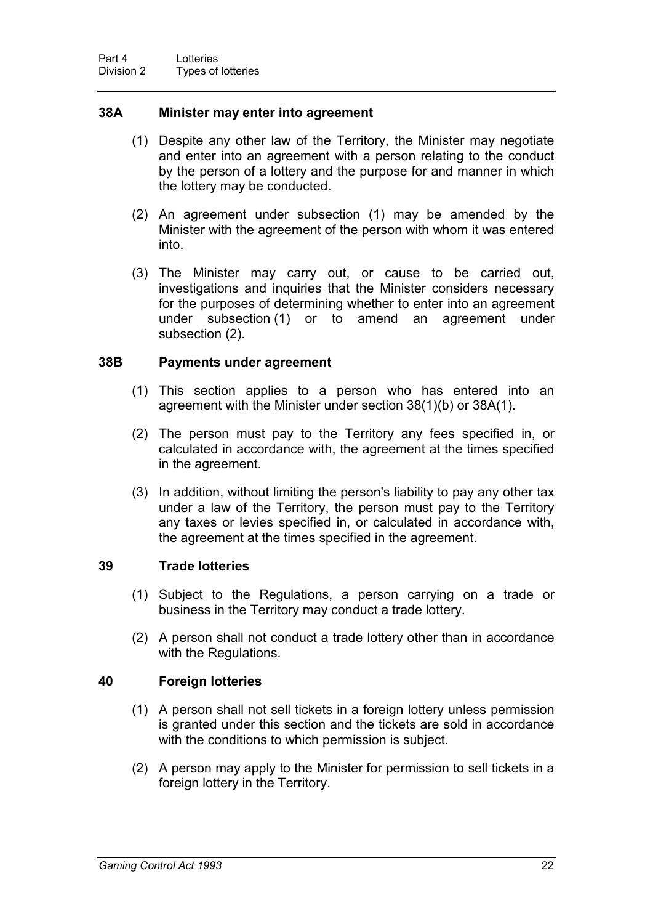#### **38A Minister may enter into agreement**

- (1) Despite any other law of the Territory, the Minister may negotiate and enter into an agreement with a person relating to the conduct by the person of a lottery and the purpose for and manner in which the lottery may be conducted.
- (2) An agreement under subsection (1) may be amended by the Minister with the agreement of the person with whom it was entered into.
- (3) The Minister may carry out, or cause to be carried out, investigations and inquiries that the Minister considers necessary for the purposes of determining whether to enter into an agreement under subsection (1) or to amend an agreement under subsection (2).

#### **38B Payments under agreement**

- (1) This section applies to a person who has entered into an agreement with the Minister under section 38(1)(b) or 38A(1).
- (2) The person must pay to the Territory any fees specified in, or calculated in accordance with, the agreement at the times specified in the agreement.
- (3) In addition, without limiting the person's liability to pay any other tax under a law of the Territory, the person must pay to the Territory any taxes or levies specified in, or calculated in accordance with, the agreement at the times specified in the agreement.

#### **39 Trade lotteries**

- (1) Subject to the Regulations, a person carrying on a trade or business in the Territory may conduct a trade lottery.
- (2) A person shall not conduct a trade lottery other than in accordance with the Regulations.

#### **40 Foreign lotteries**

- (1) A person shall not sell tickets in a foreign lottery unless permission is granted under this section and the tickets are sold in accordance with the conditions to which permission is subject.
- (2) A person may apply to the Minister for permission to sell tickets in a foreign lottery in the Territory.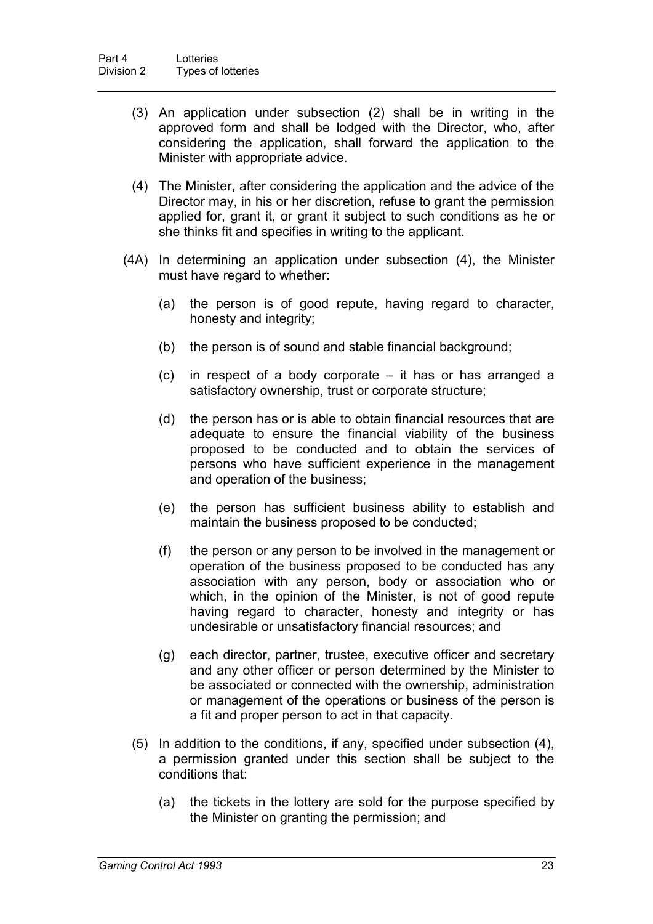- (3) An application under subsection (2) shall be in writing in the approved form and shall be lodged with the Director, who, after considering the application, shall forward the application to the Minister with appropriate advice.
- (4) The Minister, after considering the application and the advice of the Director may, in his or her discretion, refuse to grant the permission applied for, grant it, or grant it subject to such conditions as he or she thinks fit and specifies in writing to the applicant.
- (4A) In determining an application under subsection (4), the Minister must have regard to whether:
	- (a) the person is of good repute, having regard to character, honesty and integrity;
	- (b) the person is of sound and stable financial background;
	- (c) in respect of a body corporate it has or has arranged a satisfactory ownership, trust or corporate structure;
	- (d) the person has or is able to obtain financial resources that are adequate to ensure the financial viability of the business proposed to be conducted and to obtain the services of persons who have sufficient experience in the management and operation of the business;
	- (e) the person has sufficient business ability to establish and maintain the business proposed to be conducted;
	- (f) the person or any person to be involved in the management or operation of the business proposed to be conducted has any association with any person, body or association who or which, in the opinion of the Minister, is not of good repute having regard to character, honesty and integrity or has undesirable or unsatisfactory financial resources; and
	- (g) each director, partner, trustee, executive officer and secretary and any other officer or person determined by the Minister to be associated or connected with the ownership, administration or management of the operations or business of the person is a fit and proper person to act in that capacity.
	- (5) In addition to the conditions, if any, specified under subsection (4), a permission granted under this section shall be subject to the conditions that:
		- (a) the tickets in the lottery are sold for the purpose specified by the Minister on granting the permission; and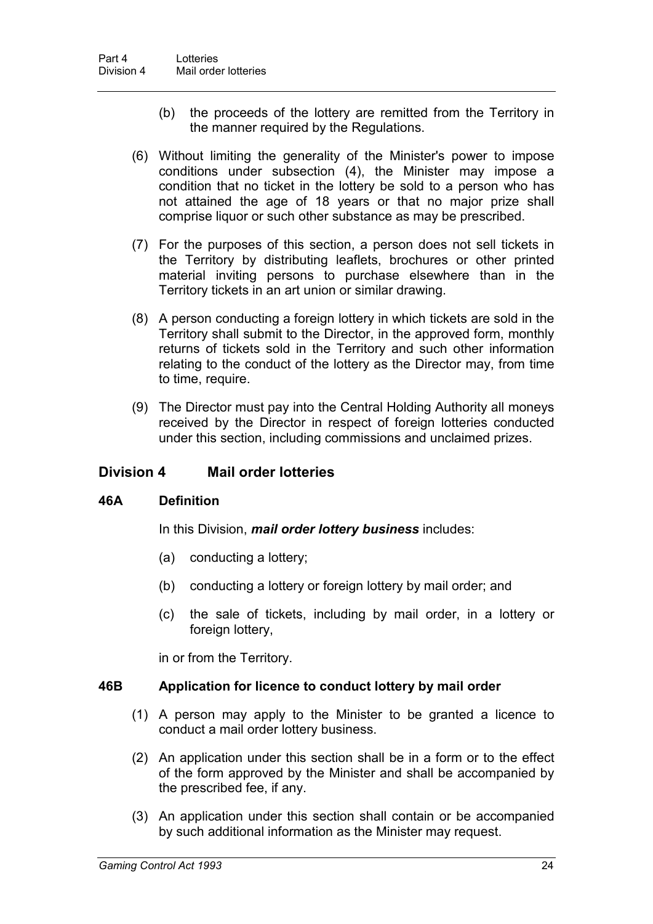- (b) the proceeds of the lottery are remitted from the Territory in the manner required by the Regulations.
- (6) Without limiting the generality of the Minister's power to impose conditions under subsection (4), the Minister may impose a condition that no ticket in the lottery be sold to a person who has not attained the age of 18 years or that no major prize shall comprise liquor or such other substance as may be prescribed.
- (7) For the purposes of this section, a person does not sell tickets in the Territory by distributing leaflets, brochures or other printed material inviting persons to purchase elsewhere than in the Territory tickets in an art union or similar drawing.
- (8) A person conducting a foreign lottery in which tickets are sold in the Territory shall submit to the Director, in the approved form, monthly returns of tickets sold in the Territory and such other information relating to the conduct of the lottery as the Director may, from time to time, require.
- (9) The Director must pay into the Central Holding Authority all moneys received by the Director in respect of foreign lotteries conducted under this section, including commissions and unclaimed prizes.

## **Division 4 Mail order lotteries**

#### **46A Definition**

In this Division, *mail order lottery business* includes:

- (a) conducting a lottery;
- (b) conducting a lottery or foreign lottery by mail order; and
- (c) the sale of tickets, including by mail order, in a lottery or foreign lottery,

in or from the Territory.

#### **46B Application for licence to conduct lottery by mail order**

- (1) A person may apply to the Minister to be granted a licence to conduct a mail order lottery business.
- (2) An application under this section shall be in a form or to the effect of the form approved by the Minister and shall be accompanied by the prescribed fee, if any.
- (3) An application under this section shall contain or be accompanied by such additional information as the Minister may request.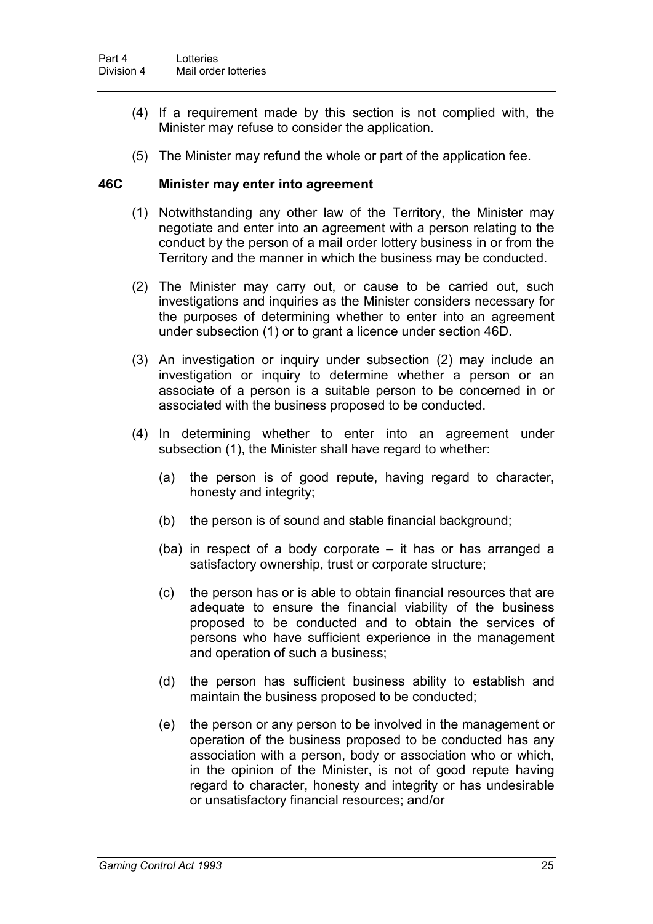- (4) If a requirement made by this section is not complied with, the Minister may refuse to consider the application.
- (5) The Minister may refund the whole or part of the application fee.

#### **46C Minister may enter into agreement**

- (1) Notwithstanding any other law of the Territory, the Minister may negotiate and enter into an agreement with a person relating to the conduct by the person of a mail order lottery business in or from the Territory and the manner in which the business may be conducted.
- (2) The Minister may carry out, or cause to be carried out, such investigations and inquiries as the Minister considers necessary for the purposes of determining whether to enter into an agreement under subsection (1) or to grant a licence under section 46D.
- (3) An investigation or inquiry under subsection (2) may include an investigation or inquiry to determine whether a person or an associate of a person is a suitable person to be concerned in or associated with the business proposed to be conducted.
- (4) In determining whether to enter into an agreement under subsection (1), the Minister shall have regard to whether:
	- (a) the person is of good repute, having regard to character, honesty and integrity;
	- (b) the person is of sound and stable financial background;
	- (ba) in respect of a body corporate it has or has arranged a satisfactory ownership, trust or corporate structure;
	- (c) the person has or is able to obtain financial resources that are adequate to ensure the financial viability of the business proposed to be conducted and to obtain the services of persons who have sufficient experience in the management and operation of such a business;
	- (d) the person has sufficient business ability to establish and maintain the business proposed to be conducted;
	- (e) the person or any person to be involved in the management or operation of the business proposed to be conducted has any association with a person, body or association who or which, in the opinion of the Minister, is not of good repute having regard to character, honesty and integrity or has undesirable or unsatisfactory financial resources; and/or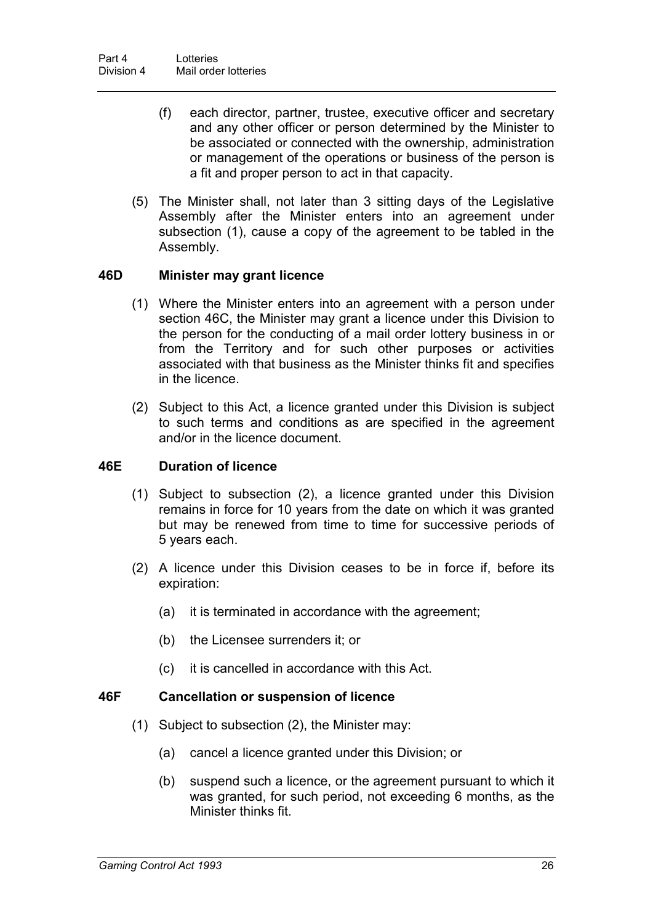- (f) each director, partner, trustee, executive officer and secretary and any other officer or person determined by the Minister to be associated or connected with the ownership, administration or management of the operations or business of the person is a fit and proper person to act in that capacity.
- (5) The Minister shall, not later than 3 sitting days of the Legislative Assembly after the Minister enters into an agreement under subsection (1), cause a copy of the agreement to be tabled in the Assembly.

#### **46D Minister may grant licence**

- (1) Where the Minister enters into an agreement with a person under section 46C, the Minister may grant a licence under this Division to the person for the conducting of a mail order lottery business in or from the Territory and for such other purposes or activities associated with that business as the Minister thinks fit and specifies in the licence.
- (2) Subject to this Act, a licence granted under this Division is subject to such terms and conditions as are specified in the agreement and/or in the licence document.

#### **46E Duration of licence**

- (1) Subject to subsection (2), a licence granted under this Division remains in force for 10 years from the date on which it was granted but may be renewed from time to time for successive periods of 5 years each.
- (2) A licence under this Division ceases to be in force if, before its expiration:
	- (a) it is terminated in accordance with the agreement;
	- (b) the Licensee surrenders it; or
	- (c) it is cancelled in accordance with this Act.

#### **46F Cancellation or suspension of licence**

- (1) Subject to subsection (2), the Minister may:
	- (a) cancel a licence granted under this Division; or
	- (b) suspend such a licence, or the agreement pursuant to which it was granted, for such period, not exceeding 6 months, as the Minister thinks fit.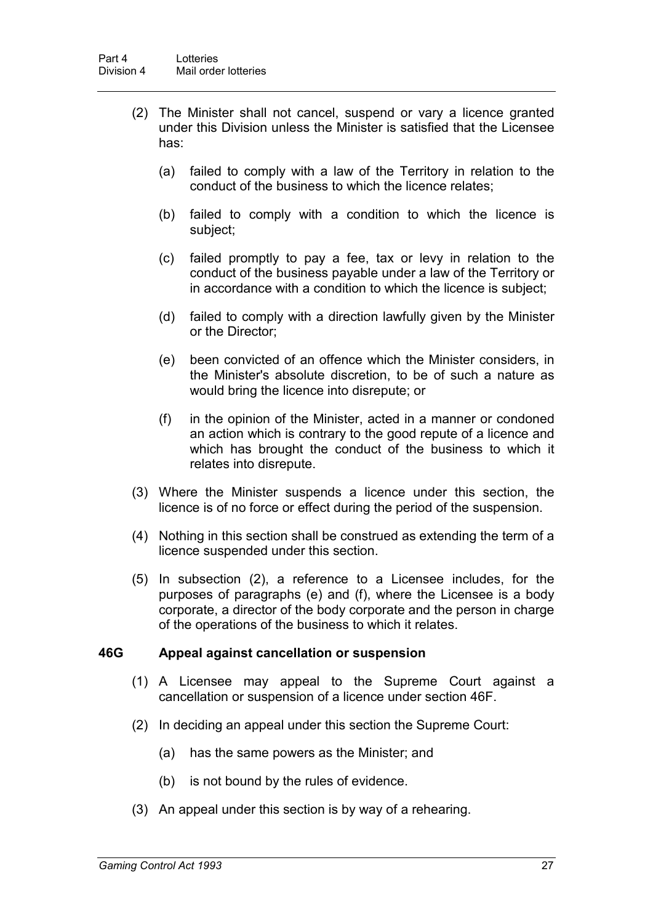- (2) The Minister shall not cancel, suspend or vary a licence granted under this Division unless the Minister is satisfied that the Licensee has:
	- (a) failed to comply with a law of the Territory in relation to the conduct of the business to which the licence relates;
	- (b) failed to comply with a condition to which the licence is subject;
	- (c) failed promptly to pay a fee, tax or levy in relation to the conduct of the business payable under a law of the Territory or in accordance with a condition to which the licence is subject;
	- (d) failed to comply with a direction lawfully given by the Minister or the Director;
	- (e) been convicted of an offence which the Minister considers, in the Minister's absolute discretion, to be of such a nature as would bring the licence into disrepute; or
	- (f) in the opinion of the Minister, acted in a manner or condoned an action which is contrary to the good repute of a licence and which has brought the conduct of the business to which it relates into disrepute.
- (3) Where the Minister suspends a licence under this section, the licence is of no force or effect during the period of the suspension.
- (4) Nothing in this section shall be construed as extending the term of a licence suspended under this section.
- (5) In subsection (2), a reference to a Licensee includes, for the purposes of paragraphs (e) and (f), where the Licensee is a body corporate, a director of the body corporate and the person in charge of the operations of the business to which it relates.

#### **46G Appeal against cancellation or suspension**

- (1) A Licensee may appeal to the Supreme Court against a cancellation or suspension of a licence under section 46F.
- (2) In deciding an appeal under this section the Supreme Court:
	- (a) has the same powers as the Minister; and
	- (b) is not bound by the rules of evidence.
- (3) An appeal under this section is by way of a rehearing.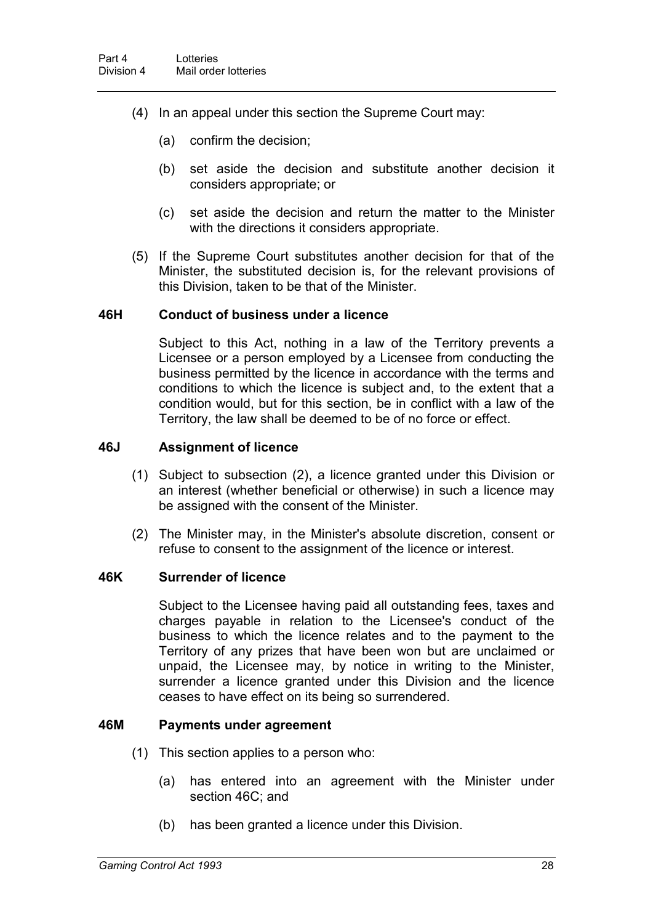- (4) In an appeal under this section the Supreme Court may:
	- (a) confirm the decision;
	- (b) set aside the decision and substitute another decision it considers appropriate; or
	- (c) set aside the decision and return the matter to the Minister with the directions it considers appropriate.
- (5) If the Supreme Court substitutes another decision for that of the Minister, the substituted decision is, for the relevant provisions of this Division, taken to be that of the Minister.

#### **46H Conduct of business under a licence**

Subject to this Act, nothing in a law of the Territory prevents a Licensee or a person employed by a Licensee from conducting the business permitted by the licence in accordance with the terms and conditions to which the licence is subject and, to the extent that a condition would, but for this section, be in conflict with a law of the Territory, the law shall be deemed to be of no force or effect.

#### **46J Assignment of licence**

- (1) Subject to subsection (2), a licence granted under this Division or an interest (whether beneficial or otherwise) in such a licence may be assigned with the consent of the Minister.
- (2) The Minister may, in the Minister's absolute discretion, consent or refuse to consent to the assignment of the licence or interest.

#### **46K Surrender of licence**

Subject to the Licensee having paid all outstanding fees, taxes and charges payable in relation to the Licensee's conduct of the business to which the licence relates and to the payment to the Territory of any prizes that have been won but are unclaimed or unpaid, the Licensee may, by notice in writing to the Minister, surrender a licence granted under this Division and the licence ceases to have effect on its being so surrendered.

#### **46M Payments under agreement**

- (1) This section applies to a person who:
	- (a) has entered into an agreement with the Minister under section 46C; and
	- (b) has been granted a licence under this Division.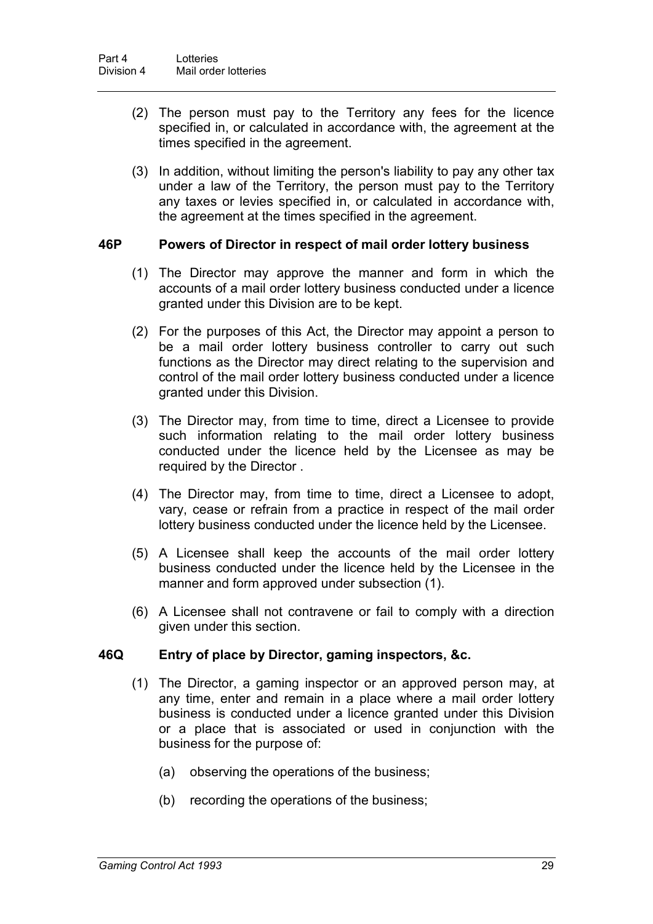- (2) The person must pay to the Territory any fees for the licence specified in, or calculated in accordance with, the agreement at the times specified in the agreement.
- (3) In addition, without limiting the person's liability to pay any other tax under a law of the Territory, the person must pay to the Territory any taxes or levies specified in, or calculated in accordance with, the agreement at the times specified in the agreement.

#### **46P Powers of Director in respect of mail order lottery business**

- (1) The Director may approve the manner and form in which the accounts of a mail order lottery business conducted under a licence granted under this Division are to be kept.
- (2) For the purposes of this Act, the Director may appoint a person to be a mail order lottery business controller to carry out such functions as the Director may direct relating to the supervision and control of the mail order lottery business conducted under a licence granted under this Division.
- (3) The Director may, from time to time, direct a Licensee to provide such information relating to the mail order lottery business conducted under the licence held by the Licensee as may be required by the Director .
- (4) The Director may, from time to time, direct a Licensee to adopt, vary, cease or refrain from a practice in respect of the mail order lottery business conducted under the licence held by the Licensee.
- (5) A Licensee shall keep the accounts of the mail order lottery business conducted under the licence held by the Licensee in the manner and form approved under subsection (1).
- (6) A Licensee shall not contravene or fail to comply with a direction given under this section.

#### **46Q Entry of place by Director, gaming inspectors, &c.**

- (1) The Director, a gaming inspector or an approved person may, at any time, enter and remain in a place where a mail order lottery business is conducted under a licence granted under this Division or a place that is associated or used in conjunction with the business for the purpose of:
	- (a) observing the operations of the business;
	- (b) recording the operations of the business;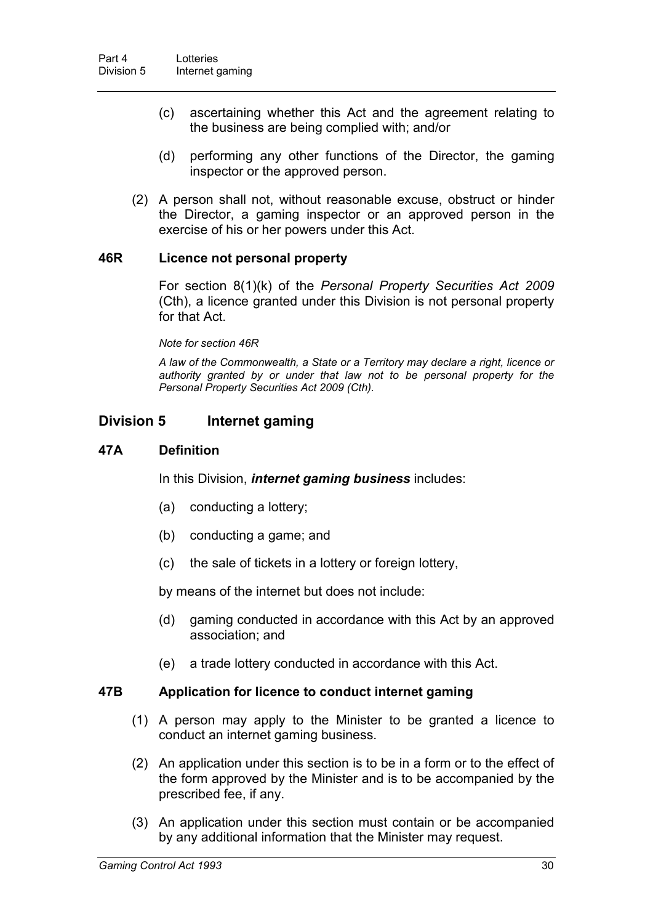- (c) ascertaining whether this Act and the agreement relating to the business are being complied with; and/or
- (d) performing any other functions of the Director, the gaming inspector or the approved person.
- (2) A person shall not, without reasonable excuse, obstruct or hinder the Director, a gaming inspector or an approved person in the exercise of his or her powers under this Act.

#### **46R Licence not personal property**

For section 8(1)(k) of the *Personal Property Securities Act 2009*  (Cth), a licence granted under this Division is not personal property for that Act.

#### *Note for section 46R*

*A law of the Commonwealth, a State or a Territory may declare a right, licence or authority granted by or under that law not to be personal property for the Personal Property Securities Act 2009 (Cth).*

## **Division 5 Internet gaming**

#### **47A Definition**

In this Division, *internet gaming business* includes:

- (a) conducting a lottery;
- (b) conducting a game; and
- (c) the sale of tickets in a lottery or foreign lottery,

by means of the internet but does not include:

- (d) gaming conducted in accordance with this Act by an approved association; and
- (e) a trade lottery conducted in accordance with this Act.

#### **47B Application for licence to conduct internet gaming**

- (1) A person may apply to the Minister to be granted a licence to conduct an internet gaming business.
- (2) An application under this section is to be in a form or to the effect of the form approved by the Minister and is to be accompanied by the prescribed fee, if any.
- (3) An application under this section must contain or be accompanied by any additional information that the Minister may request.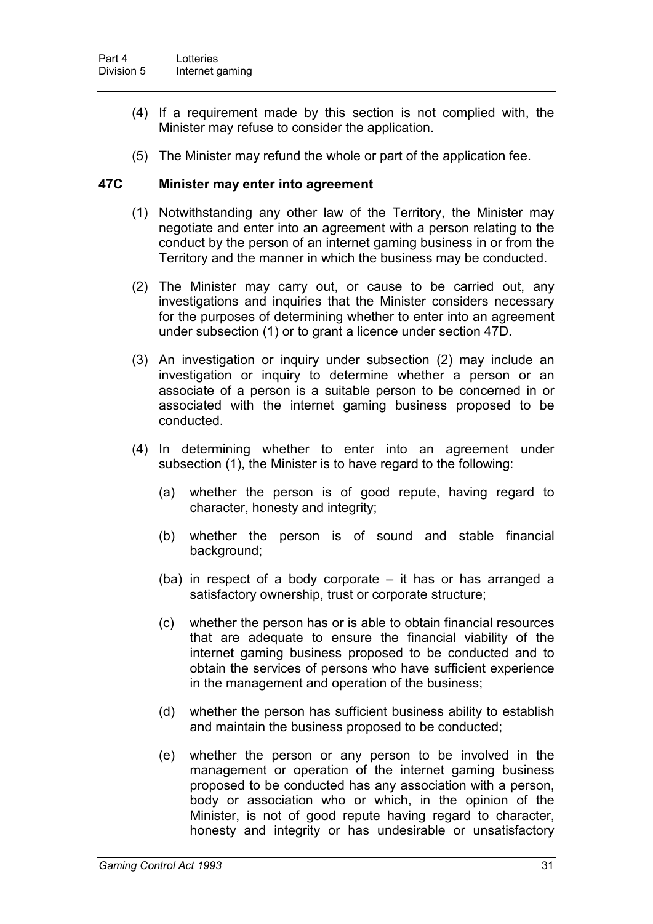- (4) If a requirement made by this section is not complied with, the Minister may refuse to consider the application.
- (5) The Minister may refund the whole or part of the application fee.

### **47C Minister may enter into agreement**

- (1) Notwithstanding any other law of the Territory, the Minister may negotiate and enter into an agreement with a person relating to the conduct by the person of an internet gaming business in or from the Territory and the manner in which the business may be conducted.
- (2) The Minister may carry out, or cause to be carried out, any investigations and inquiries that the Minister considers necessary for the purposes of determining whether to enter into an agreement under subsection (1) or to grant a licence under section 47D.
- (3) An investigation or inquiry under subsection (2) may include an investigation or inquiry to determine whether a person or an associate of a person is a suitable person to be concerned in or associated with the internet gaming business proposed to be conducted.
- (4) In determining whether to enter into an agreement under subsection (1), the Minister is to have regard to the following:
	- (a) whether the person is of good repute, having regard to character, honesty and integrity;
	- (b) whether the person is of sound and stable financial background;
	- (ba) in respect of a body corporate it has or has arranged a satisfactory ownership, trust or corporate structure;
	- (c) whether the person has or is able to obtain financial resources that are adequate to ensure the financial viability of the internet gaming business proposed to be conducted and to obtain the services of persons who have sufficient experience in the management and operation of the business;
	- (d) whether the person has sufficient business ability to establish and maintain the business proposed to be conducted;
	- (e) whether the person or any person to be involved in the management or operation of the internet gaming business proposed to be conducted has any association with a person, body or association who or which, in the opinion of the Minister, is not of good repute having regard to character, honesty and integrity or has undesirable or unsatisfactory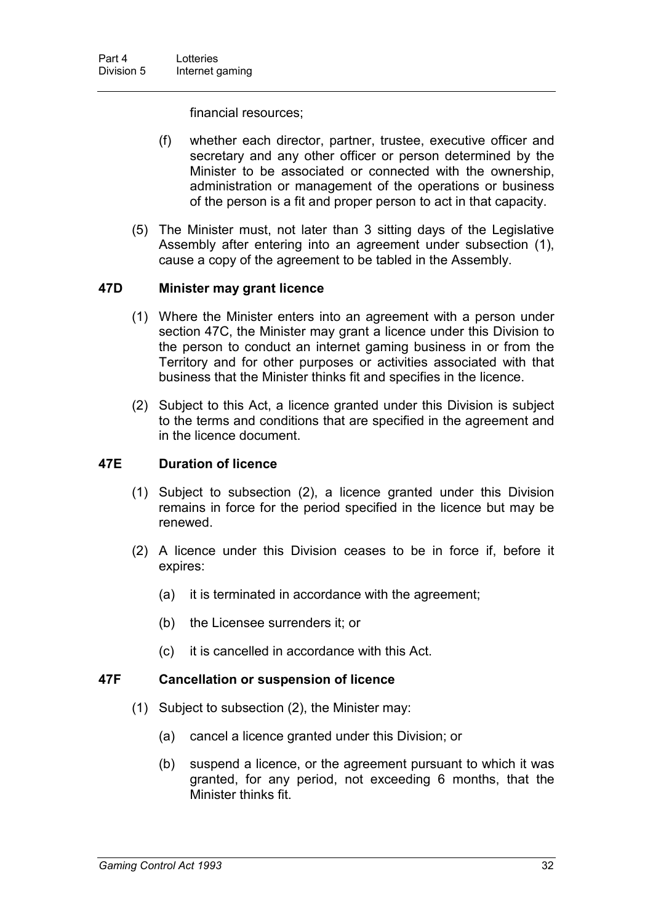financial resources;

- (f) whether each director, partner, trustee, executive officer and secretary and any other officer or person determined by the Minister to be associated or connected with the ownership, administration or management of the operations or business of the person is a fit and proper person to act in that capacity.
- (5) The Minister must, not later than 3 sitting days of the Legislative Assembly after entering into an agreement under subsection (1), cause a copy of the agreement to be tabled in the Assembly.

### **47D Minister may grant licence**

- (1) Where the Minister enters into an agreement with a person under section 47C, the Minister may grant a licence under this Division to the person to conduct an internet gaming business in or from the Territory and for other purposes or activities associated with that business that the Minister thinks fit and specifies in the licence.
- (2) Subject to this Act, a licence granted under this Division is subject to the terms and conditions that are specified in the agreement and in the licence document.

### **47E Duration of licence**

- (1) Subject to subsection (2), a licence granted under this Division remains in force for the period specified in the licence but may be renewed.
- (2) A licence under this Division ceases to be in force if, before it expires:
	- (a) it is terminated in accordance with the agreement;
	- (b) the Licensee surrenders it; or
	- (c) it is cancelled in accordance with this Act.

### **47F Cancellation or suspension of licence**

- (1) Subject to subsection (2), the Minister may:
	- (a) cancel a licence granted under this Division; or
	- (b) suspend a licence, or the agreement pursuant to which it was granted, for any period, not exceeding 6 months, that the Minister thinks fit.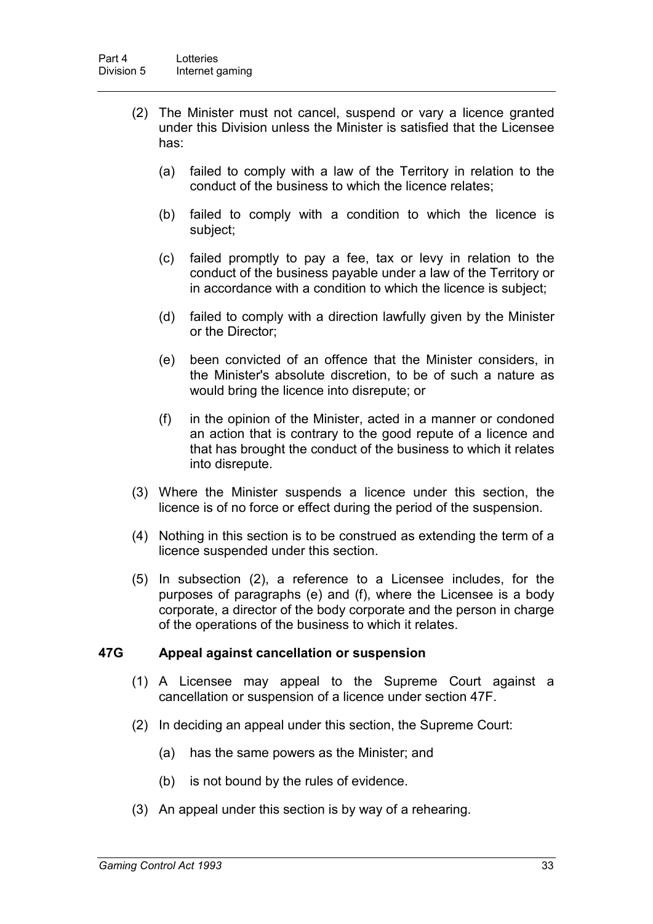- (2) The Minister must not cancel, suspend or vary a licence granted under this Division unless the Minister is satisfied that the Licensee has:
	- (a) failed to comply with a law of the Territory in relation to the conduct of the business to which the licence relates;
	- (b) failed to comply with a condition to which the licence is subject;
	- (c) failed promptly to pay a fee, tax or levy in relation to the conduct of the business payable under a law of the Territory or in accordance with a condition to which the licence is subject;
	- (d) failed to comply with a direction lawfully given by the Minister or the Director;
	- (e) been convicted of an offence that the Minister considers, in the Minister's absolute discretion, to be of such a nature as would bring the licence into disrepute; or
	- (f) in the opinion of the Minister, acted in a manner or condoned an action that is contrary to the good repute of a licence and that has brought the conduct of the business to which it relates into disrepute.
- (3) Where the Minister suspends a licence under this section, the licence is of no force or effect during the period of the suspension.
- (4) Nothing in this section is to be construed as extending the term of a licence suspended under this section.
- (5) In subsection (2), a reference to a Licensee includes, for the purposes of paragraphs (e) and (f), where the Licensee is a body corporate, a director of the body corporate and the person in charge of the operations of the business to which it relates.

### **47G Appeal against cancellation or suspension**

- (1) A Licensee may appeal to the Supreme Court against a cancellation or suspension of a licence under section 47F.
- (2) In deciding an appeal under this section, the Supreme Court:
	- (a) has the same powers as the Minister; and
	- (b) is not bound by the rules of evidence.
- (3) An appeal under this section is by way of a rehearing.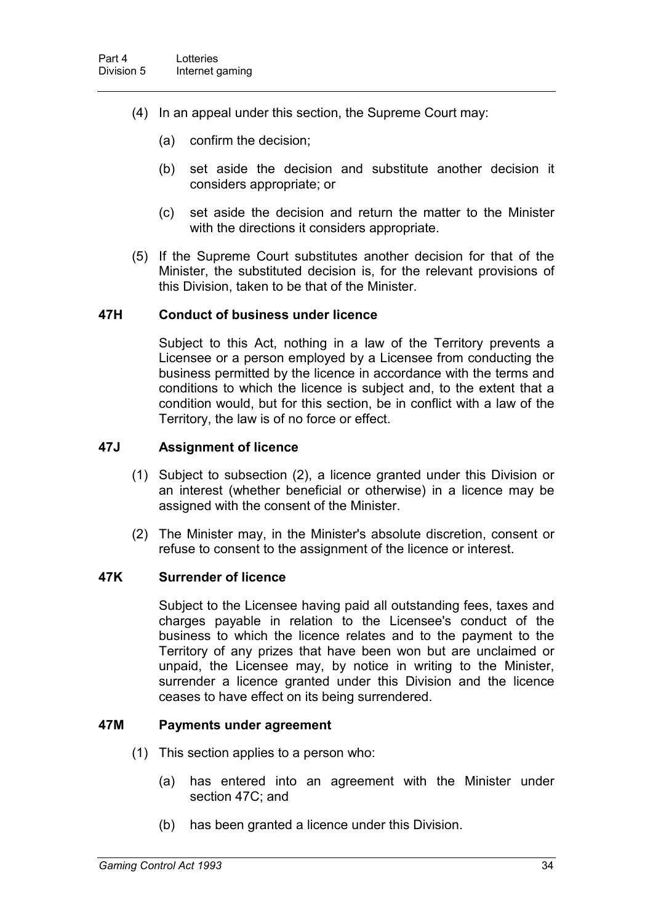- (4) In an appeal under this section, the Supreme Court may:
	- (a) confirm the decision;
	- (b) set aside the decision and substitute another decision it considers appropriate; or
	- (c) set aside the decision and return the matter to the Minister with the directions it considers appropriate.
- (5) If the Supreme Court substitutes another decision for that of the Minister, the substituted decision is, for the relevant provisions of this Division, taken to be that of the Minister.

#### **47H Conduct of business under licence**

Subject to this Act, nothing in a law of the Territory prevents a Licensee or a person employed by a Licensee from conducting the business permitted by the licence in accordance with the terms and conditions to which the licence is subject and, to the extent that a condition would, but for this section, be in conflict with a law of the Territory, the law is of no force or effect.

### **47J Assignment of licence**

- (1) Subject to subsection (2), a licence granted under this Division or an interest (whether beneficial or otherwise) in a licence may be assigned with the consent of the Minister.
- (2) The Minister may, in the Minister's absolute discretion, consent or refuse to consent to the assignment of the licence or interest.

### **47K Surrender of licence**

Subject to the Licensee having paid all outstanding fees, taxes and charges payable in relation to the Licensee's conduct of the business to which the licence relates and to the payment to the Territory of any prizes that have been won but are unclaimed or unpaid, the Licensee may, by notice in writing to the Minister, surrender a licence granted under this Division and the licence ceases to have effect on its being surrendered.

#### **47M Payments under agreement**

- (1) This section applies to a person who:
	- (a) has entered into an agreement with the Minister under section 47C; and
	- (b) has been granted a licence under this Division.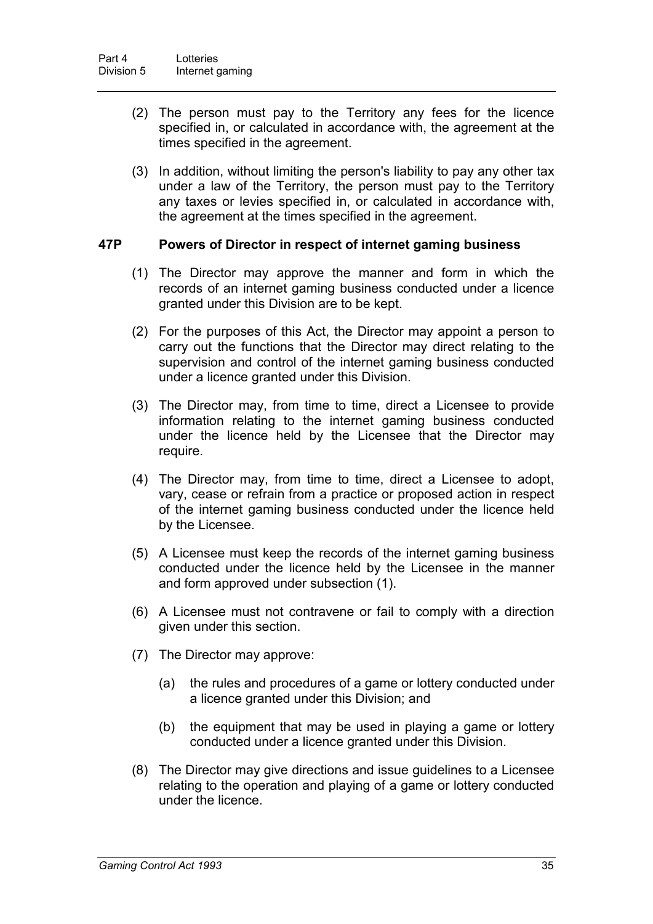- (2) The person must pay to the Territory any fees for the licence specified in, or calculated in accordance with, the agreement at the times specified in the agreement.
- (3) In addition, without limiting the person's liability to pay any other tax under a law of the Territory, the person must pay to the Territory any taxes or levies specified in, or calculated in accordance with, the agreement at the times specified in the agreement.

#### **47P Powers of Director in respect of internet gaming business**

- (1) The Director may approve the manner and form in which the records of an internet gaming business conducted under a licence granted under this Division are to be kept.
- (2) For the purposes of this Act, the Director may appoint a person to carry out the functions that the Director may direct relating to the supervision and control of the internet gaming business conducted under a licence granted under this Division.
- (3) The Director may, from time to time, direct a Licensee to provide information relating to the internet gaming business conducted under the licence held by the Licensee that the Director may require.
- (4) The Director may, from time to time, direct a Licensee to adopt, vary, cease or refrain from a practice or proposed action in respect of the internet gaming business conducted under the licence held by the Licensee.
- (5) A Licensee must keep the records of the internet gaming business conducted under the licence held by the Licensee in the manner and form approved under subsection (1).
- (6) A Licensee must not contravene or fail to comply with a direction given under this section.
- (7) The Director may approve:
	- (a) the rules and procedures of a game or lottery conducted under a licence granted under this Division; and
	- (b) the equipment that may be used in playing a game or lottery conducted under a licence granted under this Division.
- (8) The Director may give directions and issue guidelines to a Licensee relating to the operation and playing of a game or lottery conducted under the licence.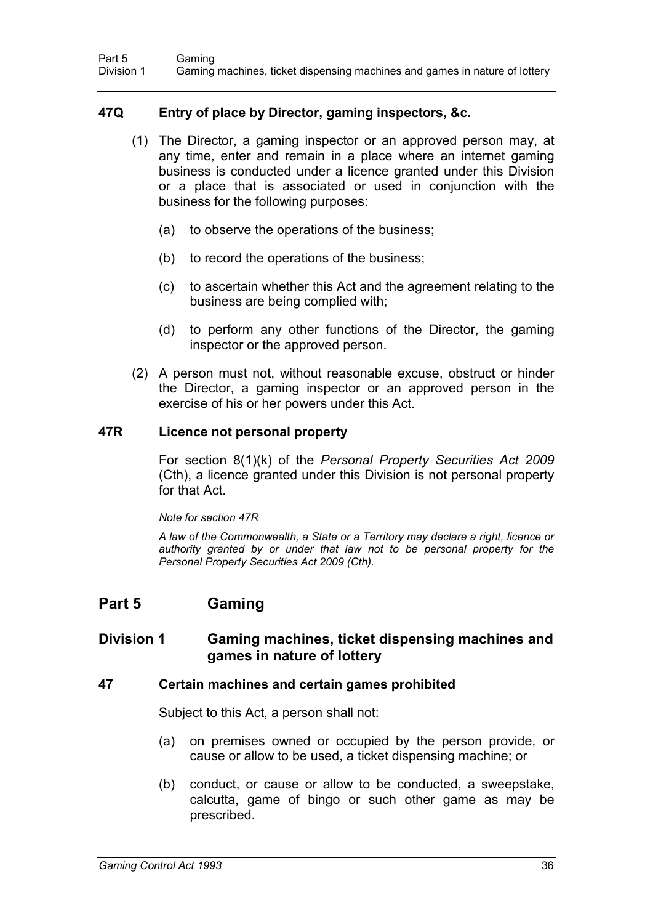### **47Q Entry of place by Director, gaming inspectors, &c.**

- (1) The Director, a gaming inspector or an approved person may, at any time, enter and remain in a place where an internet gaming business is conducted under a licence granted under this Division or a place that is associated or used in conjunction with the business for the following purposes:
	- (a) to observe the operations of the business;
	- (b) to record the operations of the business;
	- (c) to ascertain whether this Act and the agreement relating to the business are being complied with;
	- (d) to perform any other functions of the Director, the gaming inspector or the approved person.
- (2) A person must not, without reasonable excuse, obstruct or hinder the Director, a gaming inspector or an approved person in the exercise of his or her powers under this Act.

#### **47R Licence not personal property**

For section 8(1)(k) of the *Personal Property Securities Act 2009*  (Cth), a licence granted under this Division is not personal property for that Act.

#### *Note for section 47R*

*A law of the Commonwealth, a State or a Territory may declare a right, licence or authority granted by or under that law not to be personal property for the Personal Property Securities Act 2009 (Cth).*

# **Part 5 Gaming**

### **Division 1 Gaming machines, ticket dispensing machines and games in nature of lottery**

#### **47 Certain machines and certain games prohibited**

Subject to this Act, a person shall not:

- (a) on premises owned or occupied by the person provide, or cause or allow to be used, a ticket dispensing machine; or
- (b) conduct, or cause or allow to be conducted, a sweepstake, calcutta, game of bingo or such other game as may be prescribed.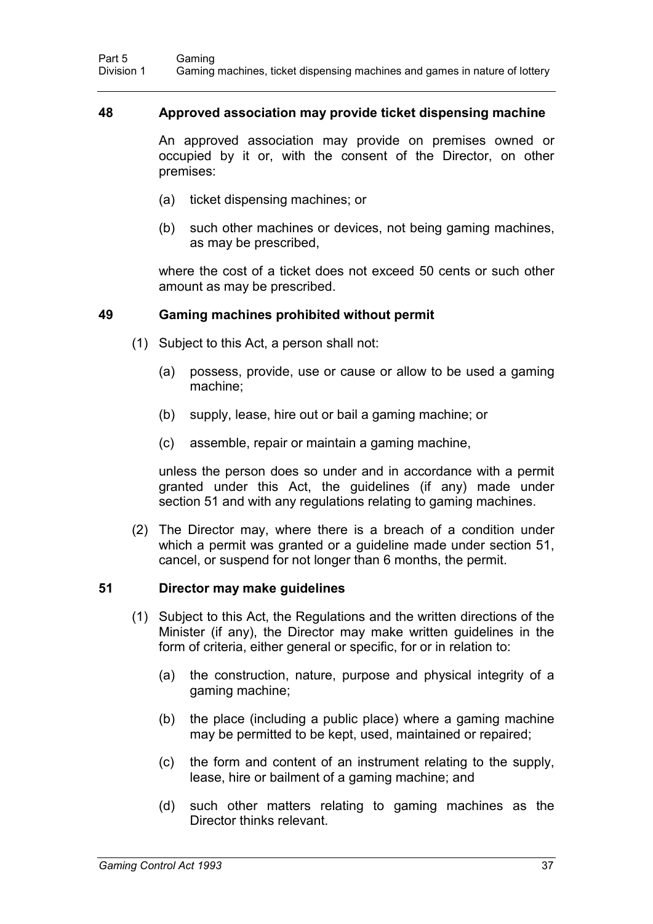#### **48 Approved association may provide ticket dispensing machine**

An approved association may provide on premises owned or occupied by it or, with the consent of the Director, on other premises:

- (a) ticket dispensing machines; or
- (b) such other machines or devices, not being gaming machines, as may be prescribed,

where the cost of a ticket does not exceed 50 cents or such other amount as may be prescribed.

#### **49 Gaming machines prohibited without permit**

- (1) Subject to this Act, a person shall not:
	- (a) possess, provide, use or cause or allow to be used a gaming machine;
	- (b) supply, lease, hire out or bail a gaming machine; or
	- (c) assemble, repair or maintain a gaming machine,

unless the person does so under and in accordance with a permit granted under this Act, the guidelines (if any) made under section 51 and with any regulations relating to gaming machines.

(2) The Director may, where there is a breach of a condition under which a permit was granted or a guideline made under section 51, cancel, or suspend for not longer than 6 months, the permit.

### **51 Director may make guidelines**

- (1) Subject to this Act, the Regulations and the written directions of the Minister (if any), the Director may make written guidelines in the form of criteria, either general or specific, for or in relation to:
	- (a) the construction, nature, purpose and physical integrity of a gaming machine;
	- (b) the place (including a public place) where a gaming machine may be permitted to be kept, used, maintained or repaired;
	- (c) the form and content of an instrument relating to the supply, lease, hire or bailment of a gaming machine; and
	- (d) such other matters relating to gaming machines as the Director thinks relevant.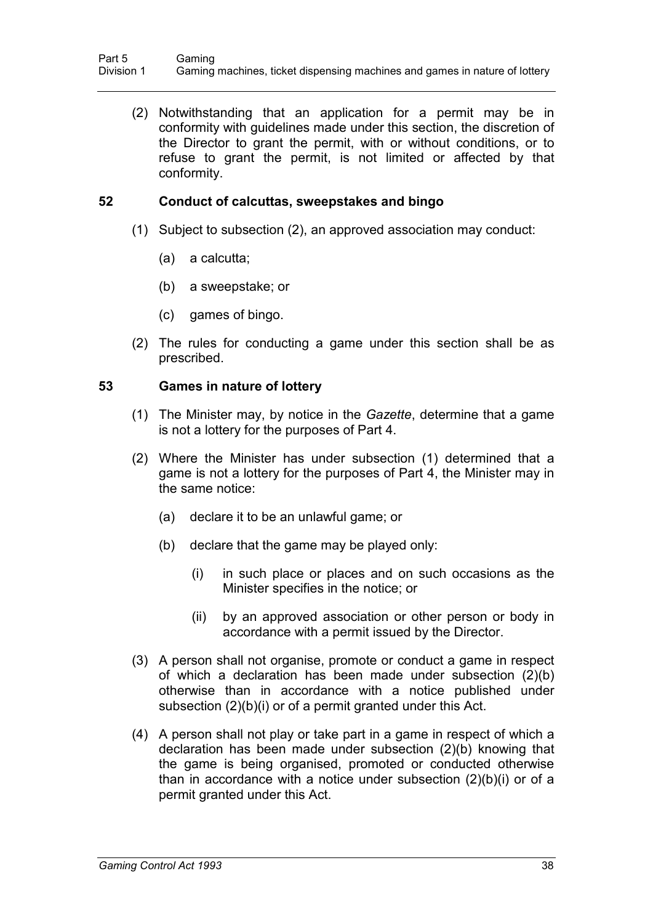(2) Notwithstanding that an application for a permit may be in conformity with guidelines made under this section, the discretion of the Director to grant the permit, with or without conditions, or to refuse to grant the permit, is not limited or affected by that conformity.

### **52 Conduct of calcuttas, sweepstakes and bingo**

- (1) Subject to subsection (2), an approved association may conduct:
	- (a) a calcutta;
	- (b) a sweepstake; or
	- (c) games of bingo.
- (2) The rules for conducting a game under this section shall be as prescribed.

#### **53 Games in nature of lottery**

- (1) The Minister may, by notice in the *Gazette*, determine that a game is not a lottery for the purposes of Part 4.
- (2) Where the Minister has under subsection (1) determined that a game is not a lottery for the purposes of Part 4, the Minister may in the same notice:
	- (a) declare it to be an unlawful game; or
	- (b) declare that the game may be played only:
		- (i) in such place or places and on such occasions as the Minister specifies in the notice; or
		- (ii) by an approved association or other person or body in accordance with a permit issued by the Director.
- (3) A person shall not organise, promote or conduct a game in respect of which a declaration has been made under subsection (2)(b) otherwise than in accordance with a notice published under subsection (2)(b)(i) or of a permit granted under this Act.
- (4) A person shall not play or take part in a game in respect of which a declaration has been made under subsection (2)(b) knowing that the game is being organised, promoted or conducted otherwise than in accordance with a notice under subsection (2)(b)(i) or of a permit granted under this Act.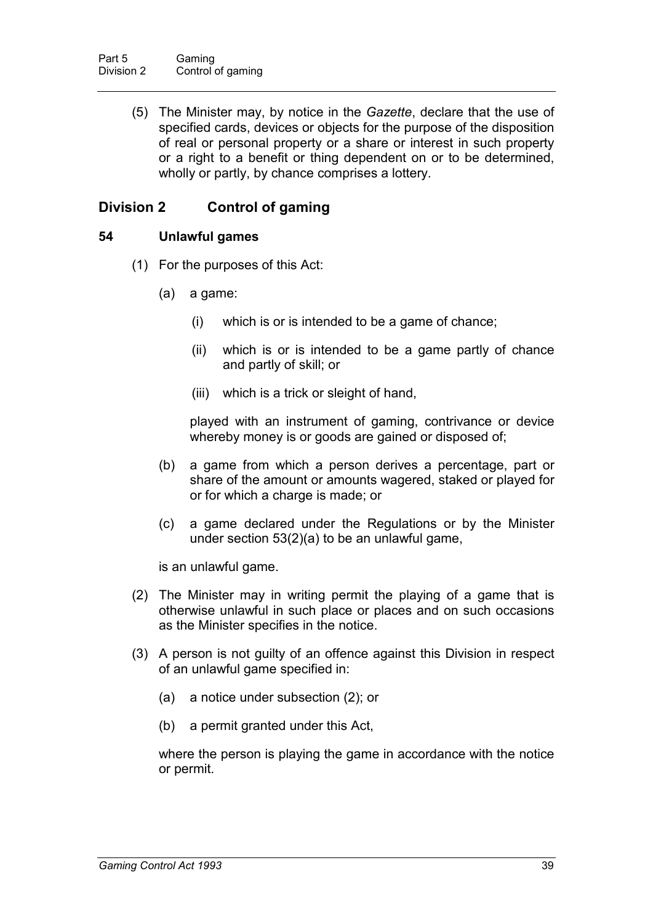(5) The Minister may, by notice in the *Gazette*, declare that the use of specified cards, devices or objects for the purpose of the disposition of real or personal property or a share or interest in such property or a right to a benefit or thing dependent on or to be determined, wholly or partly, by chance comprises a lottery.

# **Division 2 Control of gaming**

### **54 Unlawful games**

- (1) For the purposes of this Act:
	- (a) a game:
		- (i) which is or is intended to be a game of chance;
		- (ii) which is or is intended to be a game partly of chance and partly of skill; or
		- (iii) which is a trick or sleight of hand,

played with an instrument of gaming, contrivance or device whereby money is or goods are gained or disposed of;

- (b) a game from which a person derives a percentage, part or share of the amount or amounts wagered, staked or played for or for which a charge is made; or
- (c) a game declared under the Regulations or by the Minister under section 53(2)(a) to be an unlawful game,

is an unlawful game.

- (2) The Minister may in writing permit the playing of a game that is otherwise unlawful in such place or places and on such occasions as the Minister specifies in the notice.
- (3) A person is not guilty of an offence against this Division in respect of an unlawful game specified in:
	- (a) a notice under subsection (2); or
	- (b) a permit granted under this Act,

where the person is playing the game in accordance with the notice or permit.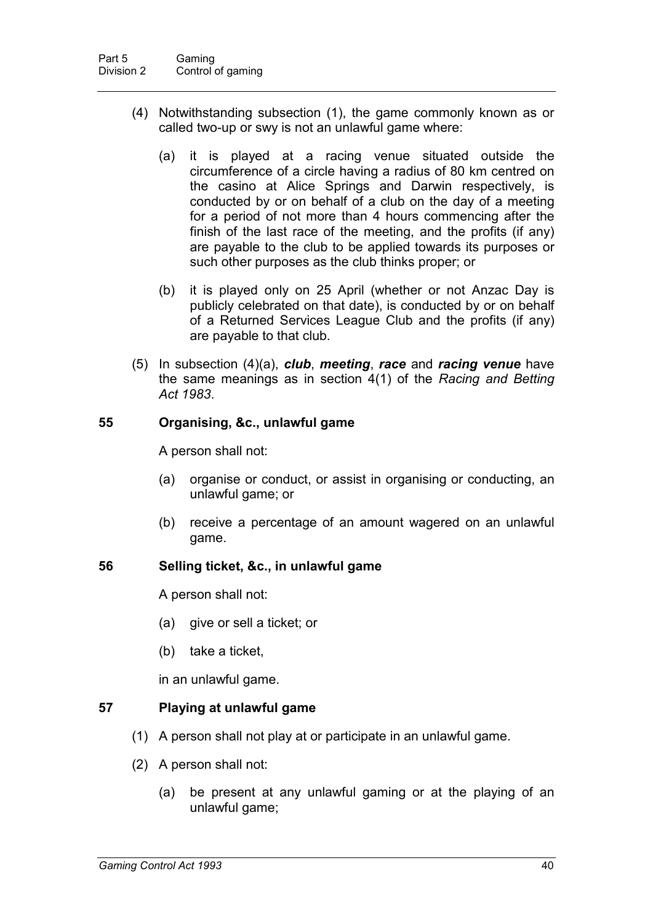- (4) Notwithstanding subsection (1), the game commonly known as or called two-up or swy is not an unlawful game where:
	- (a) it is played at a racing venue situated outside the circumference of a circle having a radius of 80 km centred on the casino at Alice Springs and Darwin respectively, is conducted by or on behalf of a club on the day of a meeting for a period of not more than 4 hours commencing after the finish of the last race of the meeting, and the profits (if any) are payable to the club to be applied towards its purposes or such other purposes as the club thinks proper; or
	- (b) it is played only on 25 April (whether or not Anzac Day is publicly celebrated on that date), is conducted by or on behalf of a Returned Services League Club and the profits (if any) are payable to that club.
- (5) In subsection (4)(a), *club*, *meeting*, *race* and *racing venue* have the same meanings as in section 4(1) of the *Racing and Betting Act 1983*.

### **55 Organising, &c., unlawful game**

A person shall not:

- (a) organise or conduct, or assist in organising or conducting, an unlawful game; or
- (b) receive a percentage of an amount wagered on an unlawful game.

### **56 Selling ticket, &c., in unlawful game**

A person shall not:

- (a) give or sell a ticket; or
- (b) take a ticket,

in an unlawful game.

# **57 Playing at unlawful game**

- (1) A person shall not play at or participate in an unlawful game.
- (2) A person shall not:
	- (a) be present at any unlawful gaming or at the playing of an unlawful game;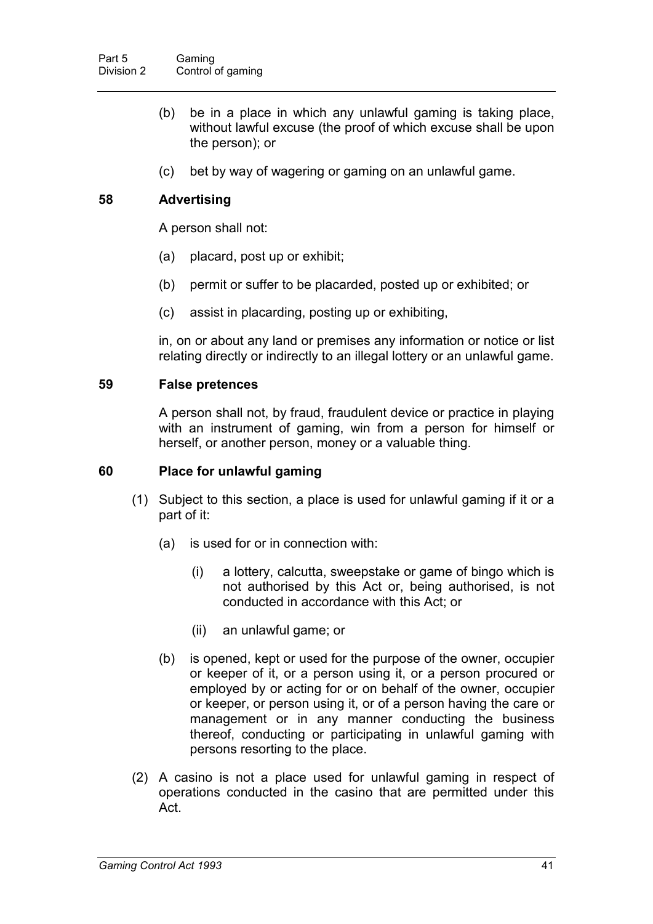- (b) be in a place in which any unlawful gaming is taking place, without lawful excuse (the proof of which excuse shall be upon the person); or
- (c) bet by way of wagering or gaming on an unlawful game.

## **58 Advertising**

A person shall not:

- (a) placard, post up or exhibit;
- (b) permit or suffer to be placarded, posted up or exhibited; or
- (c) assist in placarding, posting up or exhibiting,

in, on or about any land or premises any information or notice or list relating directly or indirectly to an illegal lottery or an unlawful game.

#### **59 False pretences**

A person shall not, by fraud, fraudulent device or practice in playing with an instrument of gaming, win from a person for himself or herself, or another person, money or a valuable thing.

#### **60 Place for unlawful gaming**

- (1) Subject to this section, a place is used for unlawful gaming if it or a part of it:
	- (a) is used for or in connection with:
		- (i) a lottery, calcutta, sweepstake or game of bingo which is not authorised by this Act or, being authorised, is not conducted in accordance with this Act; or
		- (ii) an unlawful game; or
	- (b) is opened, kept or used for the purpose of the owner, occupier or keeper of it, or a person using it, or a person procured or employed by or acting for or on behalf of the owner, occupier or keeper, or person using it, or of a person having the care or management or in any manner conducting the business thereof, conducting or participating in unlawful gaming with persons resorting to the place.
- (2) A casino is not a place used for unlawful gaming in respect of operations conducted in the casino that are permitted under this Act.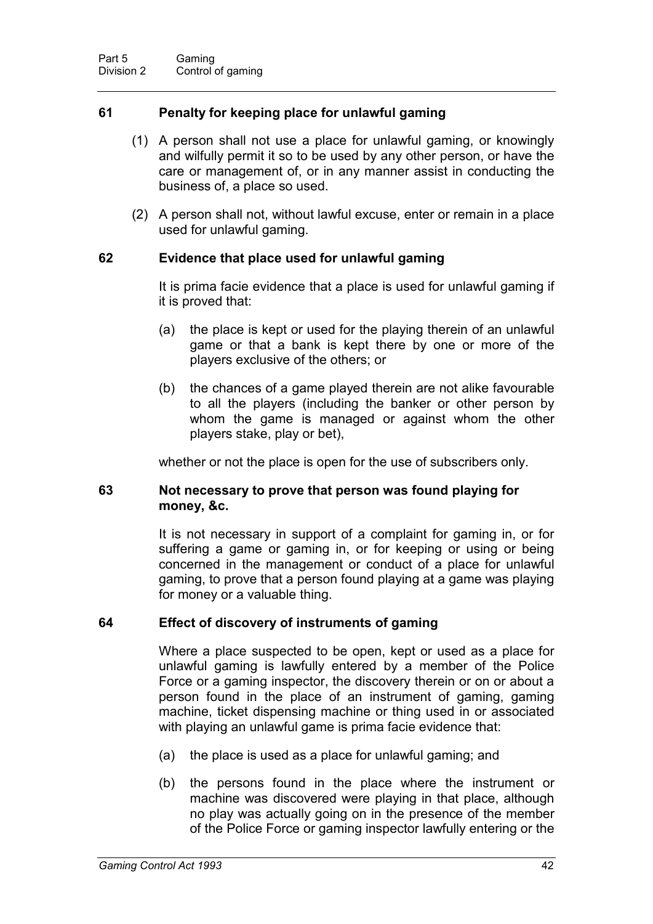### **61 Penalty for keeping place for unlawful gaming**

- (1) A person shall not use a place for unlawful gaming, or knowingly and wilfully permit it so to be used by any other person, or have the care or management of, or in any manner assist in conducting the business of, a place so used.
- (2) A person shall not, without lawful excuse, enter or remain in a place used for unlawful gaming.

### **62 Evidence that place used for unlawful gaming**

It is prima facie evidence that a place is used for unlawful gaming if it is proved that:

- (a) the place is kept or used for the playing therein of an unlawful game or that a bank is kept there by one or more of the players exclusive of the others; or
- (b) the chances of a game played therein are not alike favourable to all the players (including the banker or other person by whom the game is managed or against whom the other players stake, play or bet),

whether or not the place is open for the use of subscribers only.

### **63 Not necessary to prove that person was found playing for money, &c.**

It is not necessary in support of a complaint for gaming in, or for suffering a game or gaming in, or for keeping or using or being concerned in the management or conduct of a place for unlawful gaming, to prove that a person found playing at a game was playing for money or a valuable thing.

### **64 Effect of discovery of instruments of gaming**

Where a place suspected to be open, kept or used as a place for unlawful gaming is lawfully entered by a member of the Police Force or a gaming inspector, the discovery therein or on or about a person found in the place of an instrument of gaming, gaming machine, ticket dispensing machine or thing used in or associated with playing an unlawful game is prima facie evidence that:

- (a) the place is used as a place for unlawful gaming; and
- (b) the persons found in the place where the instrument or machine was discovered were playing in that place, although no play was actually going on in the presence of the member of the Police Force or gaming inspector lawfully entering or the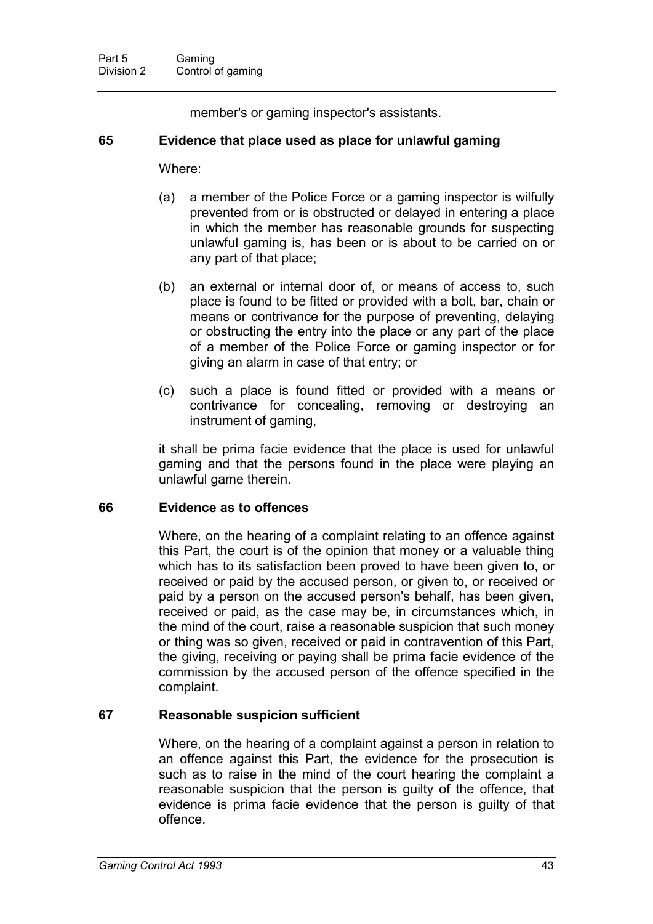member's or gaming inspector's assistants.

### **65 Evidence that place used as place for unlawful gaming**

#### Where:

- (a) a member of the Police Force or a gaming inspector is wilfully prevented from or is obstructed or delayed in entering a place in which the member has reasonable grounds for suspecting unlawful gaming is, has been or is about to be carried on or any part of that place;
- (b) an external or internal door of, or means of access to, such place is found to be fitted or provided with a bolt, bar, chain or means or contrivance for the purpose of preventing, delaying or obstructing the entry into the place or any part of the place of a member of the Police Force or gaming inspector or for giving an alarm in case of that entry; or
- (c) such a place is found fitted or provided with a means or contrivance for concealing, removing or destroying an instrument of gaming,

it shall be prima facie evidence that the place is used for unlawful gaming and that the persons found in the place were playing an unlawful game therein.

### **66 Evidence as to offences**

Where, on the hearing of a complaint relating to an offence against this Part, the court is of the opinion that money or a valuable thing which has to its satisfaction been proved to have been given to, or received or paid by the accused person, or given to, or received or paid by a person on the accused person's behalf, has been given, received or paid, as the case may be, in circumstances which, in the mind of the court, raise a reasonable suspicion that such money or thing was so given, received or paid in contravention of this Part, the giving, receiving or paying shall be prima facie evidence of the commission by the accused person of the offence specified in the complaint.

# **67 Reasonable suspicion sufficient**

Where, on the hearing of a complaint against a person in relation to an offence against this Part, the evidence for the prosecution is such as to raise in the mind of the court hearing the complaint a reasonable suspicion that the person is guilty of the offence, that evidence is prima facie evidence that the person is guilty of that offence.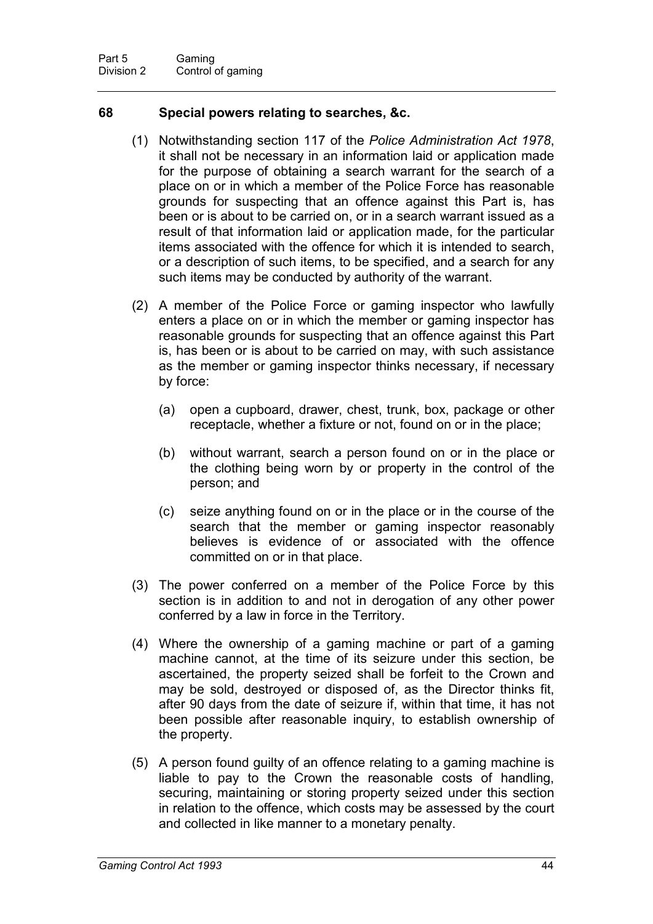### **68 Special powers relating to searches, &c.**

- (1) Notwithstanding section 117 of the *Police Administration Act 1978*, it shall not be necessary in an information laid or application made for the purpose of obtaining a search warrant for the search of a place on or in which a member of the Police Force has reasonable grounds for suspecting that an offence against this Part is, has been or is about to be carried on, or in a search warrant issued as a result of that information laid or application made, for the particular items associated with the offence for which it is intended to search, or a description of such items, to be specified, and a search for any such items may be conducted by authority of the warrant.
- (2) A member of the Police Force or gaming inspector who lawfully enters a place on or in which the member or gaming inspector has reasonable grounds for suspecting that an offence against this Part is, has been or is about to be carried on may, with such assistance as the member or gaming inspector thinks necessary, if necessary by force:
	- (a) open a cupboard, drawer, chest, trunk, box, package or other receptacle, whether a fixture or not, found on or in the place;
	- (b) without warrant, search a person found on or in the place or the clothing being worn by or property in the control of the person; and
	- (c) seize anything found on or in the place or in the course of the search that the member or gaming inspector reasonably believes is evidence of or associated with the offence committed on or in that place.
- (3) The power conferred on a member of the Police Force by this section is in addition to and not in derogation of any other power conferred by a law in force in the Territory.
- (4) Where the ownership of a gaming machine or part of a gaming machine cannot, at the time of its seizure under this section, be ascertained, the property seized shall be forfeit to the Crown and may be sold, destroyed or disposed of, as the Director thinks fit, after 90 days from the date of seizure if, within that time, it has not been possible after reasonable inquiry, to establish ownership of the property.
- (5) A person found guilty of an offence relating to a gaming machine is liable to pay to the Crown the reasonable costs of handling, securing, maintaining or storing property seized under this section in relation to the offence, which costs may be assessed by the court and collected in like manner to a monetary penalty.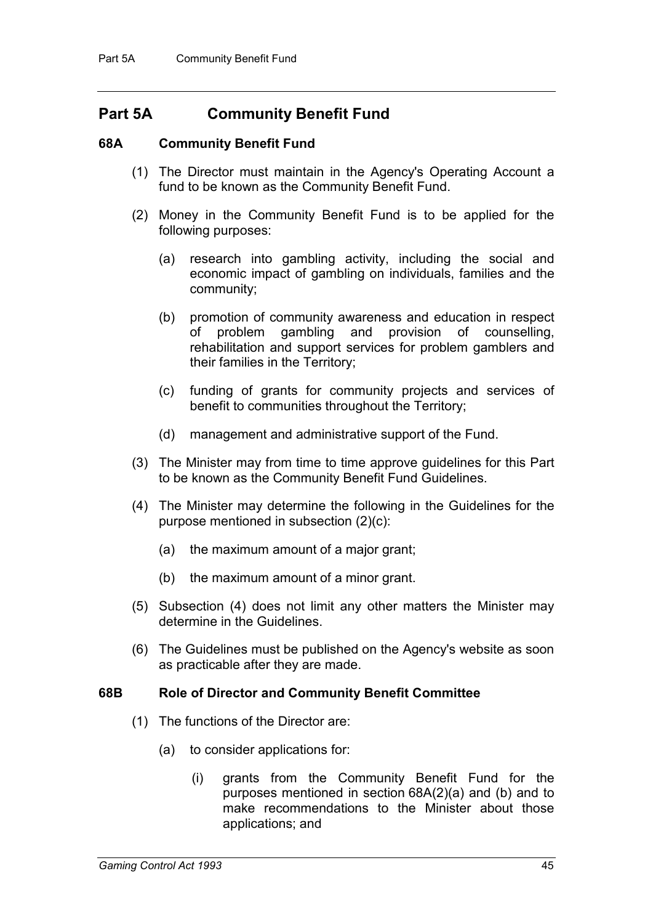# **Part 5A Community Benefit Fund**

### **68A Community Benefit Fund**

- (1) The Director must maintain in the Agency's Operating Account a fund to be known as the Community Benefit Fund.
- (2) Money in the Community Benefit Fund is to be applied for the following purposes:
	- (a) research into gambling activity, including the social and economic impact of gambling on individuals, families and the community;
	- (b) promotion of community awareness and education in respect of problem gambling and provision of counselling, rehabilitation and support services for problem gamblers and their families in the Territory;
	- (c) funding of grants for community projects and services of benefit to communities throughout the Territory;
	- (d) management and administrative support of the Fund.
- (3) The Minister may from time to time approve guidelines for this Part to be known as the Community Benefit Fund Guidelines.
- (4) The Minister may determine the following in the Guidelines for the purpose mentioned in subsection (2)(c):
	- (a) the maximum amount of a major grant;
	- (b) the maximum amount of a minor grant.
- (5) Subsection (4) does not limit any other matters the Minister may determine in the Guidelines.
- (6) The Guidelines must be published on the Agency's website as soon as practicable after they are made.

#### **68B Role of Director and Community Benefit Committee**

- (1) The functions of the Director are:
	- (a) to consider applications for:
		- (i) grants from the Community Benefit Fund for the purposes mentioned in section 68A(2)(a) and (b) and to make recommendations to the Minister about those applications; and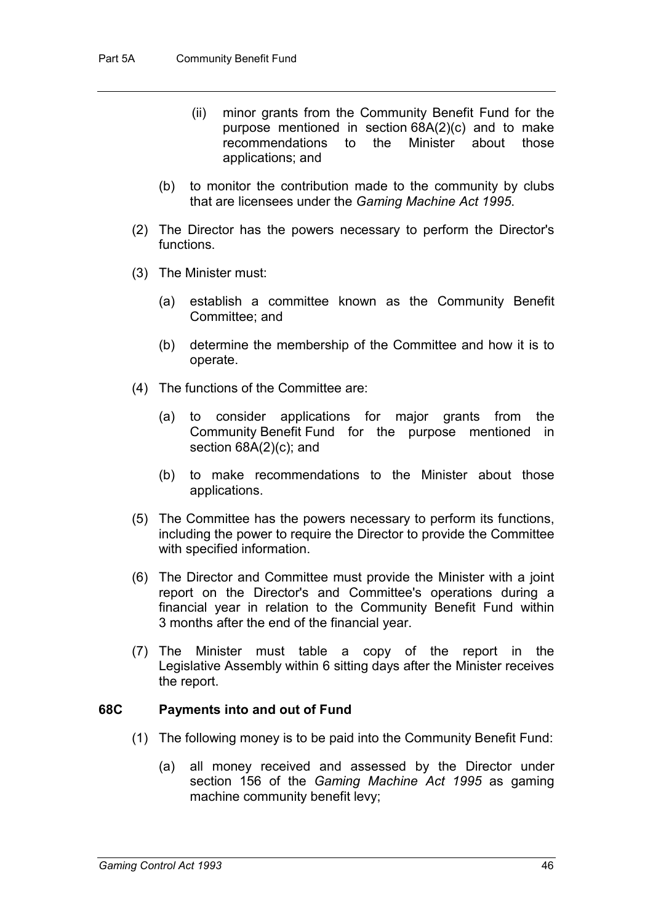- (ii) minor grants from the Community Benefit Fund for the purpose mentioned in section 68A(2)(c) and to make<br>recommendations to the Minister about those recommendations to the applications; and
- (b) to monitor the contribution made to the community by clubs that are licensees under the *Gaming Machine Act 1995*.
- (2) The Director has the powers necessary to perform the Director's functions.
- (3) The Minister must:
	- (a) establish a committee known as the Community Benefit Committee; and
	- (b) determine the membership of the Committee and how it is to operate.
- (4) The functions of the Committee are:
	- (a) to consider applications for major grants from the Community Benefit Fund for the purpose mentioned in section 68A(2)(c); and
	- (b) to make recommendations to the Minister about those applications.
- (5) The Committee has the powers necessary to perform its functions, including the power to require the Director to provide the Committee with specified information.
- (6) The Director and Committee must provide the Minister with a joint report on the Director's and Committee's operations during a financial year in relation to the Community Benefit Fund within 3 months after the end of the financial year.
- (7) The Minister must table a copy of the report in the Legislative Assembly within 6 sitting days after the Minister receives the report.

### **68C Payments into and out of Fund**

- (1) The following money is to be paid into the Community Benefit Fund:
	- (a) all money received and assessed by the Director under section 156 of the *Gaming Machine Act 1995* as gaming machine community benefit levy;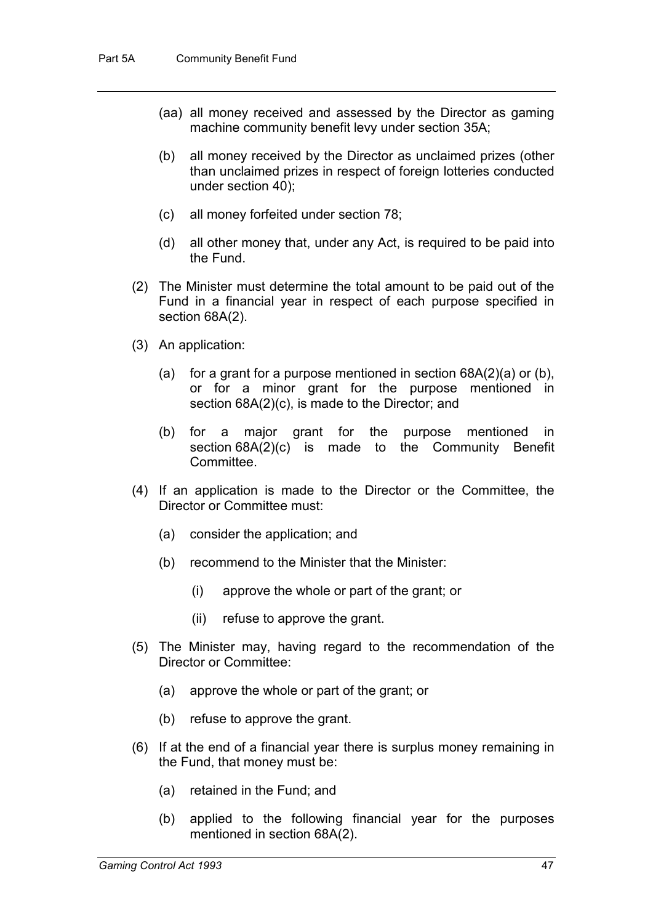- (aa) all money received and assessed by the Director as gaming machine community benefit levy under section 35A;
- (b) all money received by the Director as unclaimed prizes (other than unclaimed prizes in respect of foreign lotteries conducted under section 40);
- (c) all money forfeited under section 78;
- (d) all other money that, under any Act, is required to be paid into the Fund.
- (2) The Minister must determine the total amount to be paid out of the Fund in a financial year in respect of each purpose specified in section 68A(2).
- (3) An application:
	- (a) for a grant for a purpose mentioned in section  $68A(2)(a)$  or (b), or for a minor grant for the purpose mentioned in section 68A(2)(c), is made to the Director; and
	- (b) for a major grant for the purpose mentioned in section 68A(2)(c) is made to the Community Benefit Committee.
- (4) If an application is made to the Director or the Committee, the Director or Committee must:
	- (a) consider the application; and
	- (b) recommend to the Minister that the Minister:
		- (i) approve the whole or part of the grant; or
		- (ii) refuse to approve the grant.
- (5) The Minister may, having regard to the recommendation of the Director or Committee:
	- (a) approve the whole or part of the grant; or
	- (b) refuse to approve the grant.
- (6) If at the end of a financial year there is surplus money remaining in the Fund, that money must be:
	- (a) retained in the Fund; and
	- (b) applied to the following financial year for the purposes mentioned in section 68A(2).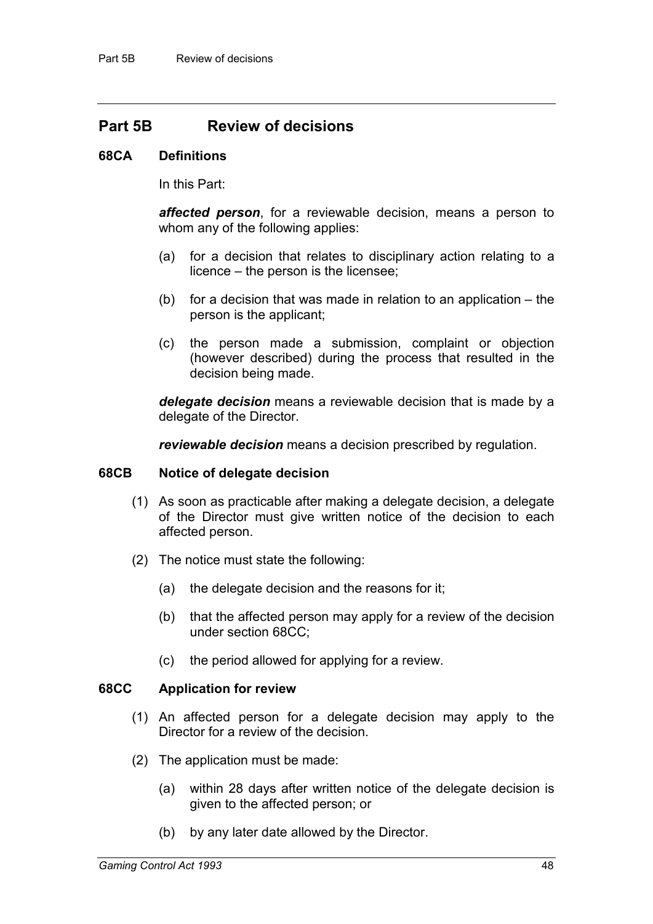# **Part 5B Review of decisions**

#### **68CA Definitions**

In this Part:

*affected person*, for a reviewable decision, means a person to whom any of the following applies:

- (a) for a decision that relates to disciplinary action relating to a licence – the person is the licensee;
- (b) for a decision that was made in relation to an application the person is the applicant;
- (c) the person made a submission, complaint or objection (however described) during the process that resulted in the decision being made.

*delegate decision* means a reviewable decision that is made by a delegate of the Director.

*reviewable decision* means a decision prescribed by regulation.

#### **68CB Notice of delegate decision**

- (1) As soon as practicable after making a delegate decision, a delegate of the Director must give written notice of the decision to each affected person.
- (2) The notice must state the following:
	- (a) the delegate decision and the reasons for it;
	- (b) that the affected person may apply for a review of the decision under section 68CC;
	- (c) the period allowed for applying for a review.

#### **68CC Application for review**

- (1) An affected person for a delegate decision may apply to the Director for a review of the decision.
- (2) The application must be made:
	- (a) within 28 days after written notice of the delegate decision is given to the affected person; or
	- (b) by any later date allowed by the Director.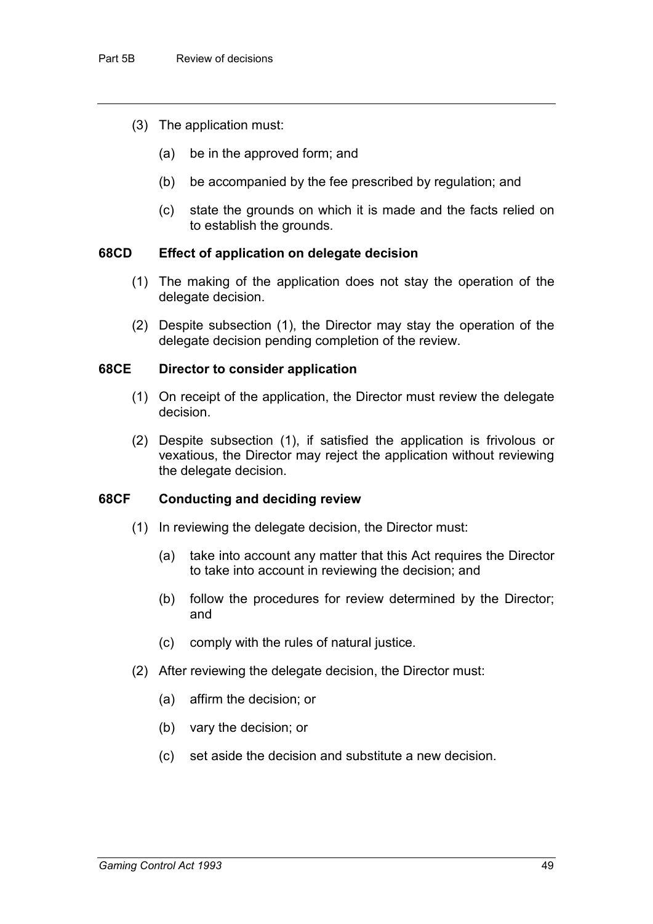- (3) The application must:
	- (a) be in the approved form; and
	- (b) be accompanied by the fee prescribed by regulation; and
	- (c) state the grounds on which it is made and the facts relied on to establish the grounds.

#### **68CD Effect of application on delegate decision**

- (1) The making of the application does not stay the operation of the delegate decision.
- (2) Despite subsection (1), the Director may stay the operation of the delegate decision pending completion of the review.

#### **68CE Director to consider application**

- (1) On receipt of the application, the Director must review the delegate decision.
- (2) Despite subsection (1), if satisfied the application is frivolous or vexatious, the Director may reject the application without reviewing the delegate decision.

#### **68CF Conducting and deciding review**

- (1) In reviewing the delegate decision, the Director must:
	- (a) take into account any matter that this Act requires the Director to take into account in reviewing the decision; and
	- (b) follow the procedures for review determined by the Director; and
	- (c) comply with the rules of natural justice.
- (2) After reviewing the delegate decision, the Director must:
	- (a) affirm the decision; or
	- (b) vary the decision; or
	- (c) set aside the decision and substitute a new decision.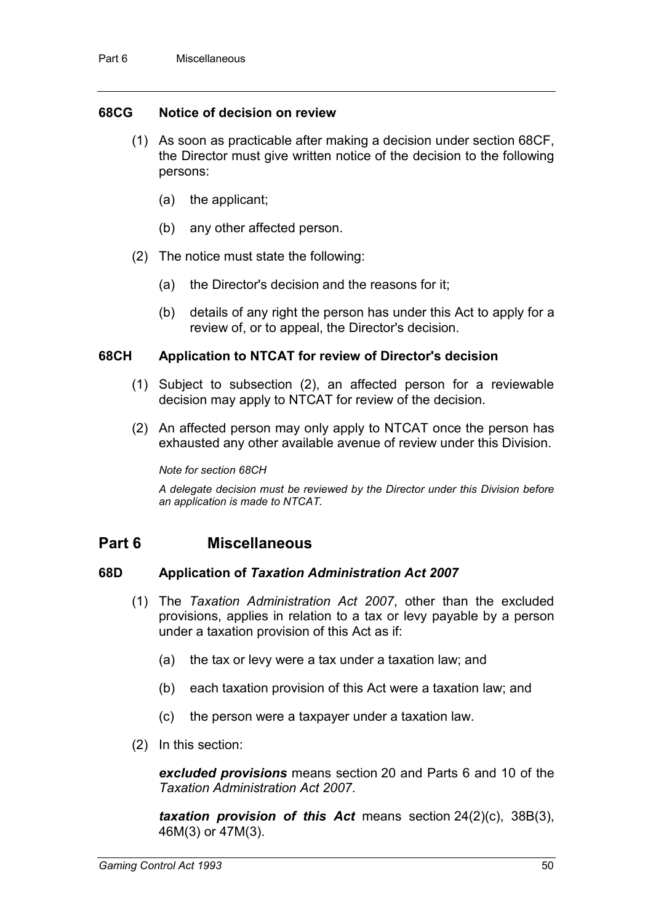#### **68CG Notice of decision on review**

- (1) As soon as practicable after making a decision under section 68CF, the Director must give written notice of the decision to the following persons:
	- (a) the applicant;
	- (b) any other affected person.
- (2) The notice must state the following:
	- (a) the Director's decision and the reasons for it;
	- (b) details of any right the person has under this Act to apply for a review of, or to appeal, the Director's decision.

#### **68CH Application to NTCAT for review of Director's decision**

- (1) Subject to subsection (2), an affected person for a reviewable decision may apply to NTCAT for review of the decision.
- (2) An affected person may only apply to NTCAT once the person has exhausted any other available avenue of review under this Division.

*Note for section 68CH*

*A delegate decision must be reviewed by the Director under this Division before an application is made to NTCAT.*

# **Part 6 Miscellaneous**

#### **68D Application of** *Taxation Administration Act 2007*

- (1) The *Taxation Administration Act 2007*, other than the excluded provisions, applies in relation to a tax or levy payable by a person under a taxation provision of this Act as if:
	- (a) the tax or levy were a tax under a taxation law; and
	- (b) each taxation provision of this Act were a taxation law; and
	- (c) the person were a taxpayer under a taxation law.
- (2) In this section:

*excluded provisions* means section 20 and Parts 6 and 10 of the *Taxation Administration Act 2007*.

*taxation provision of this Act* means section 24(2)(c), 38B(3), 46M(3) or 47M(3).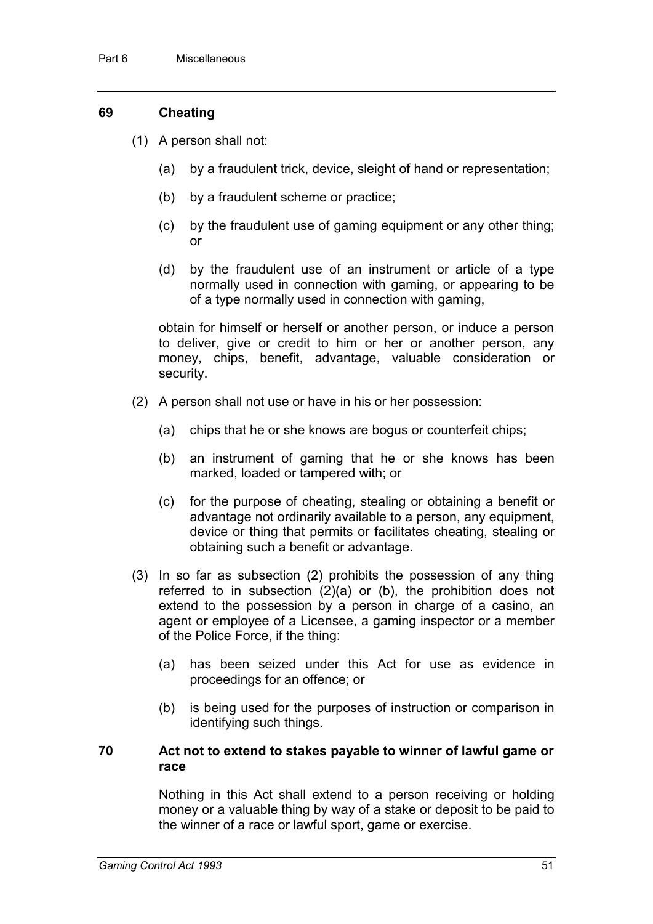### **69 Cheating**

- (1) A person shall not:
	- (a) by a fraudulent trick, device, sleight of hand or representation;
	- (b) by a fraudulent scheme or practice;
	- (c) by the fraudulent use of gaming equipment or any other thing; or
	- (d) by the fraudulent use of an instrument or article of a type normally used in connection with gaming, or appearing to be of a type normally used in connection with gaming,

obtain for himself or herself or another person, or induce a person to deliver, give or credit to him or her or another person, any money, chips, benefit, advantage, valuable consideration or security.

- (2) A person shall not use or have in his or her possession:
	- (a) chips that he or she knows are bogus or counterfeit chips;
	- (b) an instrument of gaming that he or she knows has been marked, loaded or tampered with; or
	- (c) for the purpose of cheating, stealing or obtaining a benefit or advantage not ordinarily available to a person, any equipment, device or thing that permits or facilitates cheating, stealing or obtaining such a benefit or advantage.
- (3) In so far as subsection (2) prohibits the possession of any thing referred to in subsection (2)(a) or (b), the prohibition does not extend to the possession by a person in charge of a casino, an agent or employee of a Licensee, a gaming inspector or a member of the Police Force, if the thing:
	- (a) has been seized under this Act for use as evidence in proceedings for an offence; or
	- (b) is being used for the purposes of instruction or comparison in identifying such things.

### **70 Act not to extend to stakes payable to winner of lawful game or race**

Nothing in this Act shall extend to a person receiving or holding money or a valuable thing by way of a stake or deposit to be paid to the winner of a race or lawful sport, game or exercise.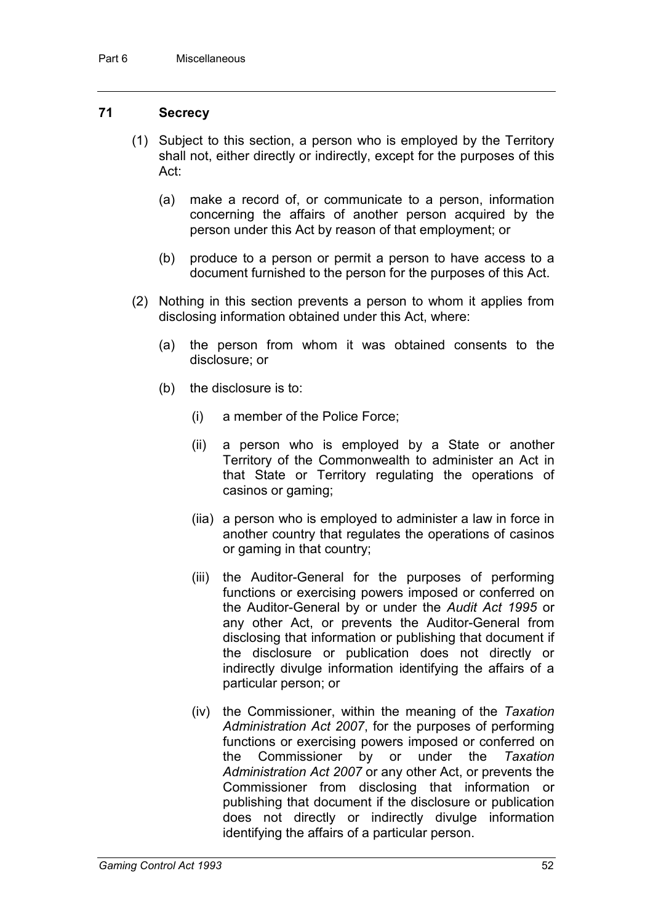### **71 Secrecy**

- (1) Subject to this section, a person who is employed by the Territory shall not, either directly or indirectly, except for the purposes of this Act:
	- (a) make a record of, or communicate to a person, information concerning the affairs of another person acquired by the person under this Act by reason of that employment; or
	- (b) produce to a person or permit a person to have access to a document furnished to the person for the purposes of this Act.
- (2) Nothing in this section prevents a person to whom it applies from disclosing information obtained under this Act, where:
	- (a) the person from whom it was obtained consents to the disclosure; or
	- (b) the disclosure is to:
		- (i) a member of the Police Force;
		- (ii) a person who is employed by a State or another Territory of the Commonwealth to administer an Act in that State or Territory regulating the operations of casinos or gaming;
		- (iia) a person who is employed to administer a law in force in another country that regulates the operations of casinos or gaming in that country;
		- (iii) the Auditor-General for the purposes of performing functions or exercising powers imposed or conferred on the Auditor-General by or under the *Audit Act 1995* or any other Act, or prevents the Auditor-General from disclosing that information or publishing that document if the disclosure or publication does not directly or indirectly divulge information identifying the affairs of a particular person; or
		- (iv) the Commissioner, within the meaning of the *Taxation Administration Act 2007*, for the purposes of performing functions or exercising powers imposed or conferred on the Commissioner by or under the *Taxation Administration Act 2007* or any other Act, or prevents the Commissioner from disclosing that information or publishing that document if the disclosure or publication does not directly or indirectly divulge information identifying the affairs of a particular person.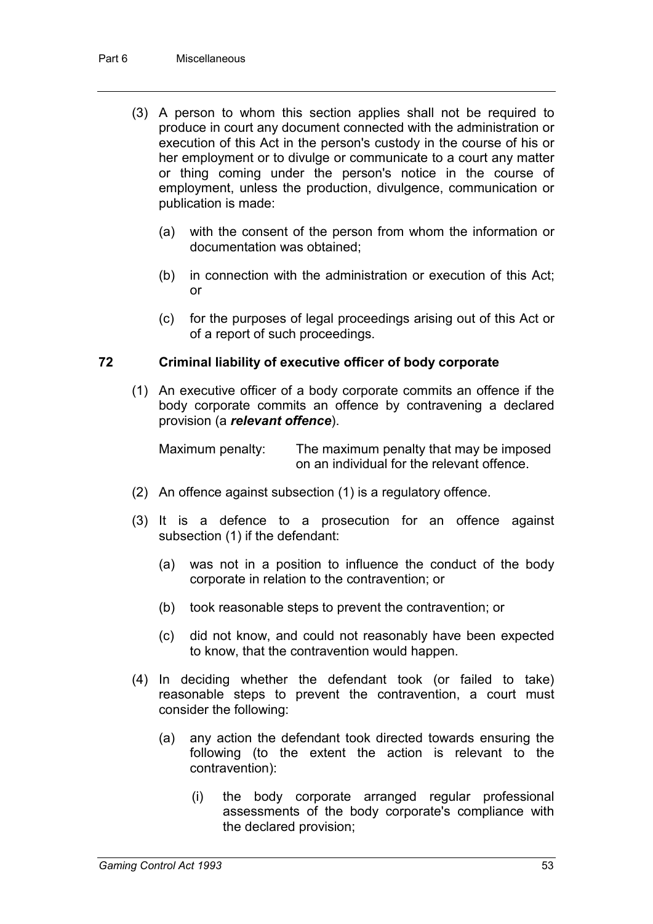- (3) A person to whom this section applies shall not be required to produce in court any document connected with the administration or execution of this Act in the person's custody in the course of his or her employment or to divulge or communicate to a court any matter or thing coming under the person's notice in the course of employment, unless the production, divulgence, communication or publication is made:
	- (a) with the consent of the person from whom the information or documentation was obtained;
	- (b) in connection with the administration or execution of this Act; or
	- (c) for the purposes of legal proceedings arising out of this Act or of a report of such proceedings.

### **72 Criminal liability of executive officer of body corporate**

(1) An executive officer of a body corporate commits an offence if the body corporate commits an offence by contravening a declared provision (a *relevant offence*).

Maximum penalty: The maximum penalty that may be imposed on an individual for the relevant offence.

- (2) An offence against subsection (1) is a regulatory offence.
- (3) It is a defence to a prosecution for an offence against subsection (1) if the defendant:
	- (a) was not in a position to influence the conduct of the body corporate in relation to the contravention; or
	- (b) took reasonable steps to prevent the contravention; or
	- (c) did not know, and could not reasonably have been expected to know, that the contravention would happen.
- (4) In deciding whether the defendant took (or failed to take) reasonable steps to prevent the contravention, a court must consider the following:
	- (a) any action the defendant took directed towards ensuring the following (to the extent the action is relevant to the contravention):
		- (i) the body corporate arranged regular professional assessments of the body corporate's compliance with the declared provision;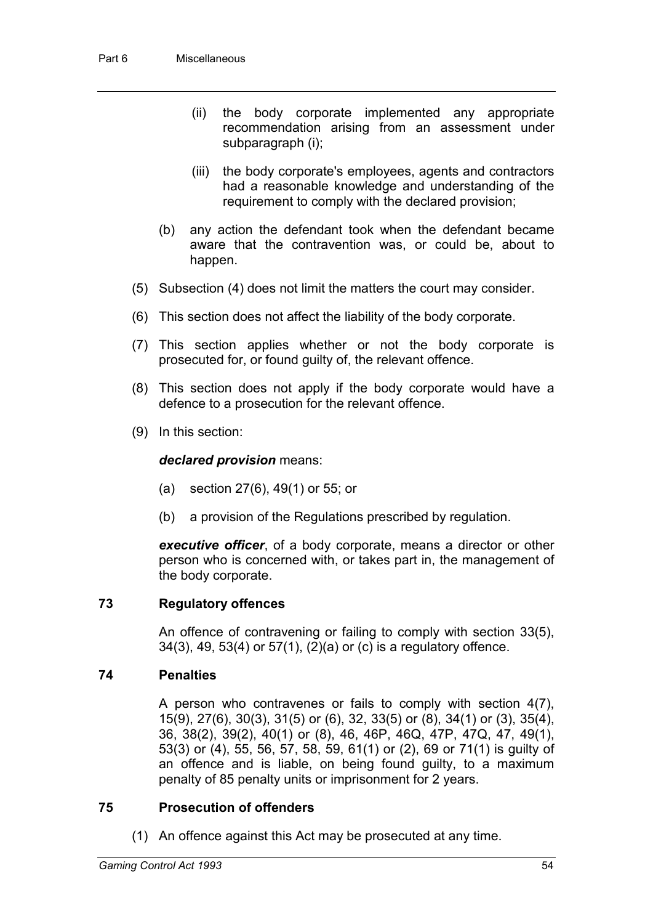- (ii) the body corporate implemented any appropriate recommendation arising from an assessment under subparagraph (i);
- (iii) the body corporate's employees, agents and contractors had a reasonable knowledge and understanding of the requirement to comply with the declared provision;
- (b) any action the defendant took when the defendant became aware that the contravention was, or could be, about to happen.
- (5) Subsection (4) does not limit the matters the court may consider.
- (6) This section does not affect the liability of the body corporate.
- (7) This section applies whether or not the body corporate is prosecuted for, or found guilty of, the relevant offence.
- (8) This section does not apply if the body corporate would have a defence to a prosecution for the relevant offence.
- (9) In this section:

### *declared provision* means:

- (a) section 27(6), 49(1) or 55; or
- (b) a provision of the Regulations prescribed by regulation.

*executive officer*, of a body corporate, means a director or other person who is concerned with, or takes part in, the management of the body corporate.

### **73 Regulatory offences**

An offence of contravening or failing to comply with section 33(5), 34(3), 49, 53(4) or 57(1), (2)(a) or (c) is a regulatory offence.

### **74 Penalties**

A person who contravenes or fails to comply with section 4(7), 15(9), 27(6), 30(3), 31(5) or (6), 32, 33(5) or (8), 34(1) or (3), 35(4), 36, 38(2), 39(2), 40(1) or (8), 46, 46P, 46Q, 47P, 47Q, 47, 49(1), 53(3) or (4), 55, 56, 57, 58, 59, 61(1) or (2), 69 or 71(1) is guilty of an offence and is liable, on being found guilty, to a maximum penalty of 85 penalty units or imprisonment for 2 years.

### **75 Prosecution of offenders**

(1) An offence against this Act may be prosecuted at any time.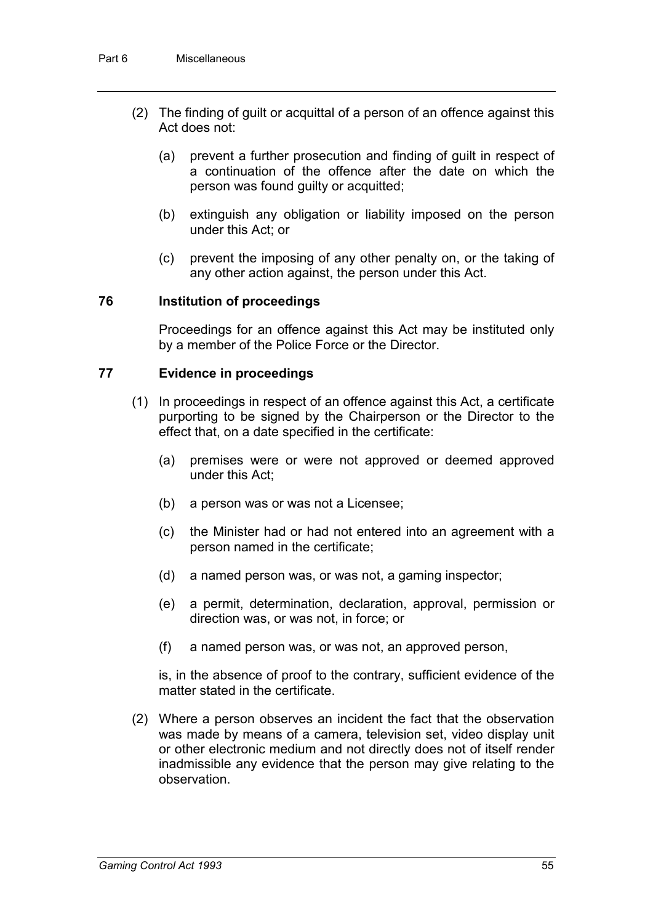- (2) The finding of guilt or acquittal of a person of an offence against this Act does not:
	- (a) prevent a further prosecution and finding of guilt in respect of a continuation of the offence after the date on which the person was found guilty or acquitted;
	- (b) extinguish any obligation or liability imposed on the person under this Act; or
	- (c) prevent the imposing of any other penalty on, or the taking of any other action against, the person under this Act.

#### **76 Institution of proceedings**

Proceedings for an offence against this Act may be instituted only by a member of the Police Force or the Director.

#### **77 Evidence in proceedings**

- (1) In proceedings in respect of an offence against this Act, a certificate purporting to be signed by the Chairperson or the Director to the effect that, on a date specified in the certificate:
	- (a) premises were or were not approved or deemed approved under this Act;
	- (b) a person was or was not a Licensee;
	- (c) the Minister had or had not entered into an agreement with a person named in the certificate;
	- (d) a named person was, or was not, a gaming inspector;
	- (e) a permit, determination, declaration, approval, permission or direction was, or was not, in force; or
	- (f) a named person was, or was not, an approved person,

is, in the absence of proof to the contrary, sufficient evidence of the matter stated in the certificate.

(2) Where a person observes an incident the fact that the observation was made by means of a camera, television set, video display unit or other electronic medium and not directly does not of itself render inadmissible any evidence that the person may give relating to the observation.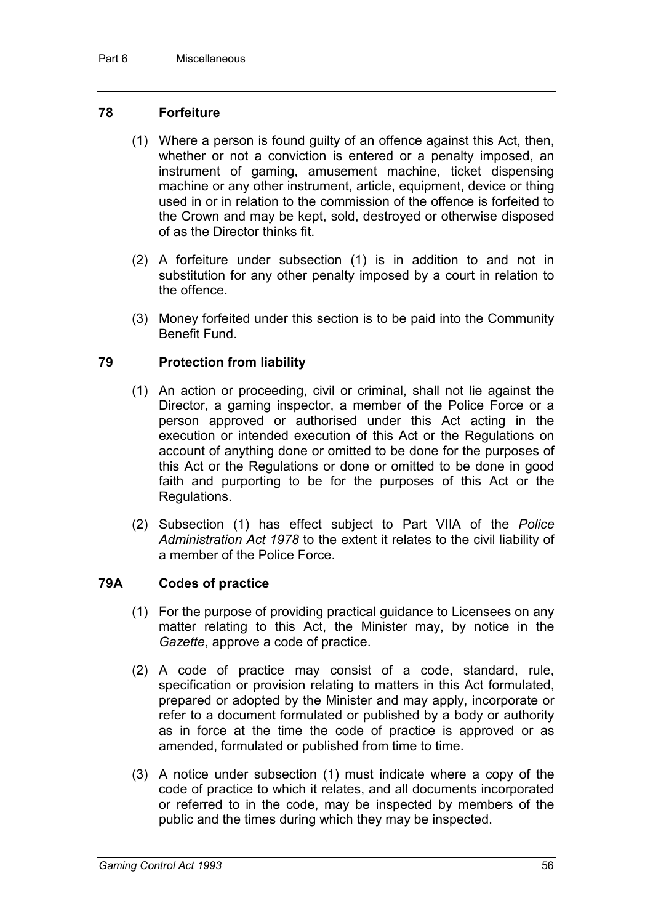### **78 Forfeiture**

- (1) Where a person is found guilty of an offence against this Act, then, whether or not a conviction is entered or a penalty imposed, an instrument of gaming, amusement machine, ticket dispensing machine or any other instrument, article, equipment, device or thing used in or in relation to the commission of the offence is forfeited to the Crown and may be kept, sold, destroyed or otherwise disposed of as the Director thinks fit.
- (2) A forfeiture under subsection (1) is in addition to and not in substitution for any other penalty imposed by a court in relation to the offence.
- (3) Money forfeited under this section is to be paid into the Community Benefit Fund.

### **79 Protection from liability**

- (1) An action or proceeding, civil or criminal, shall not lie against the Director, a gaming inspector, a member of the Police Force or a person approved or authorised under this Act acting in the execution or intended execution of this Act or the Regulations on account of anything done or omitted to be done for the purposes of this Act or the Regulations or done or omitted to be done in good faith and purporting to be for the purposes of this Act or the Regulations.
- (2) Subsection (1) has effect subject to Part VIIA of the *Police Administration Act 1978* to the extent it relates to the civil liability of a member of the Police Force.

### **79A Codes of practice**

- (1) For the purpose of providing practical guidance to Licensees on any matter relating to this Act, the Minister may, by notice in the *Gazette*, approve a code of practice.
- (2) A code of practice may consist of a code, standard, rule, specification or provision relating to matters in this Act formulated, prepared or adopted by the Minister and may apply, incorporate or refer to a document formulated or published by a body or authority as in force at the time the code of practice is approved or as amended, formulated or published from time to time.
- (3) A notice under subsection (1) must indicate where a copy of the code of practice to which it relates, and all documents incorporated or referred to in the code, may be inspected by members of the public and the times during which they may be inspected.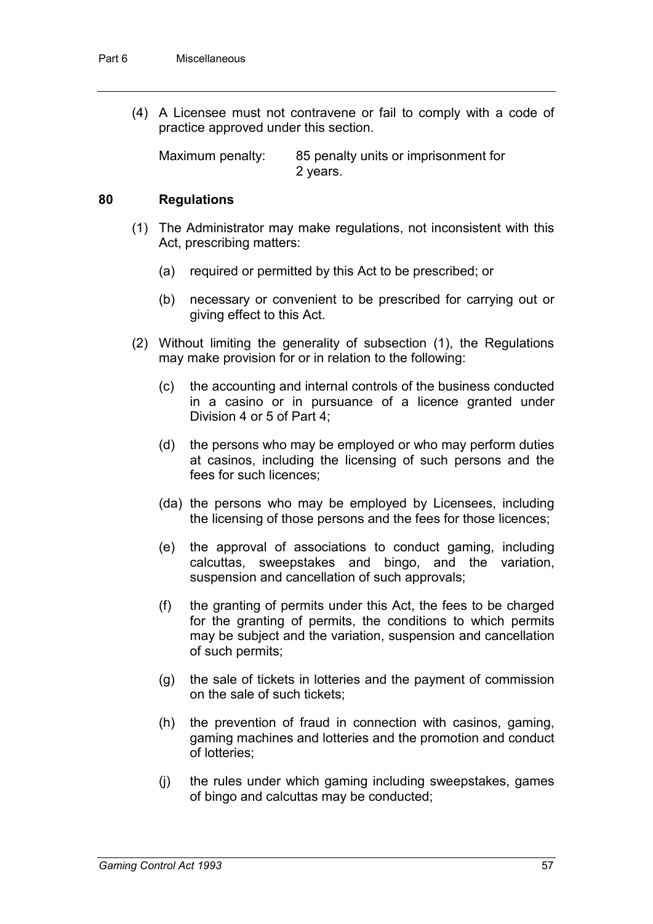(4) A Licensee must not contravene or fail to comply with a code of practice approved under this section.

Maximum penalty: 85 penalty units or imprisonment for 2 years.

### **80 Regulations**

- (1) The Administrator may make regulations, not inconsistent with this Act, prescribing matters:
	- (a) required or permitted by this Act to be prescribed; or
	- (b) necessary or convenient to be prescribed for carrying out or giving effect to this Act.
- (2) Without limiting the generality of subsection (1), the Regulations may make provision for or in relation to the following:
	- (c) the accounting and internal controls of the business conducted in a casino or in pursuance of a licence granted under Division 4 or 5 of Part 4;
	- (d) the persons who may be employed or who may perform duties at casinos, including the licensing of such persons and the fees for such licences;
	- (da) the persons who may be employed by Licensees, including the licensing of those persons and the fees for those licences;
	- (e) the approval of associations to conduct gaming, including calcuttas, sweepstakes and bingo, and the variation, suspension and cancellation of such approvals;
	- (f) the granting of permits under this Act, the fees to be charged for the granting of permits, the conditions to which permits may be subject and the variation, suspension and cancellation of such permits;
	- (g) the sale of tickets in lotteries and the payment of commission on the sale of such tickets;
	- (h) the prevention of fraud in connection with casinos, gaming, gaming machines and lotteries and the promotion and conduct of lotteries;
	- (j) the rules under which gaming including sweepstakes, games of bingo and calcuttas may be conducted;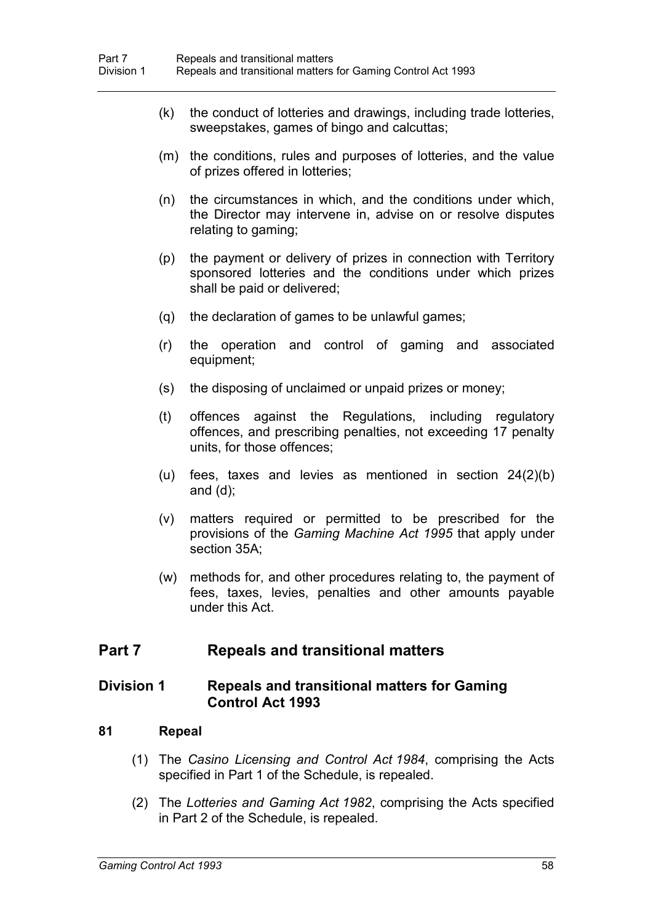- (k) the conduct of lotteries and drawings, including trade lotteries, sweepstakes, games of bingo and calcuttas;
- (m) the conditions, rules and purposes of lotteries, and the value of prizes offered in lotteries;
- (n) the circumstances in which, and the conditions under which, the Director may intervene in, advise on or resolve disputes relating to gaming;
- (p) the payment or delivery of prizes in connection with Territory sponsored lotteries and the conditions under which prizes shall be paid or delivered;
- (q) the declaration of games to be unlawful games;
- (r) the operation and control of gaming and associated equipment;
- (s) the disposing of unclaimed or unpaid prizes or money;
- (t) offences against the Regulations, including regulatory offences, and prescribing penalties, not exceeding 17 penalty units, for those offences;
- (u) fees, taxes and levies as mentioned in section 24(2)(b) and (d);
- (v) matters required or permitted to be prescribed for the provisions of the *Gaming Machine Act 1995* that apply under section 35A;
- (w) methods for, and other procedures relating to, the payment of fees, taxes, levies, penalties and other amounts payable under this Act.

# **Part 7 Repeals and transitional matters**

### **Division 1 Repeals and transitional matters for Gaming Control Act 1993**

### **81 Repeal**

- (1) The *Casino Licensing and Control Act 1984*, comprising the Acts specified in Part 1 of the Schedule, is repealed.
- (2) The *Lotteries and Gaming Act 1982*, comprising the Acts specified in Part 2 of the Schedule, is repealed.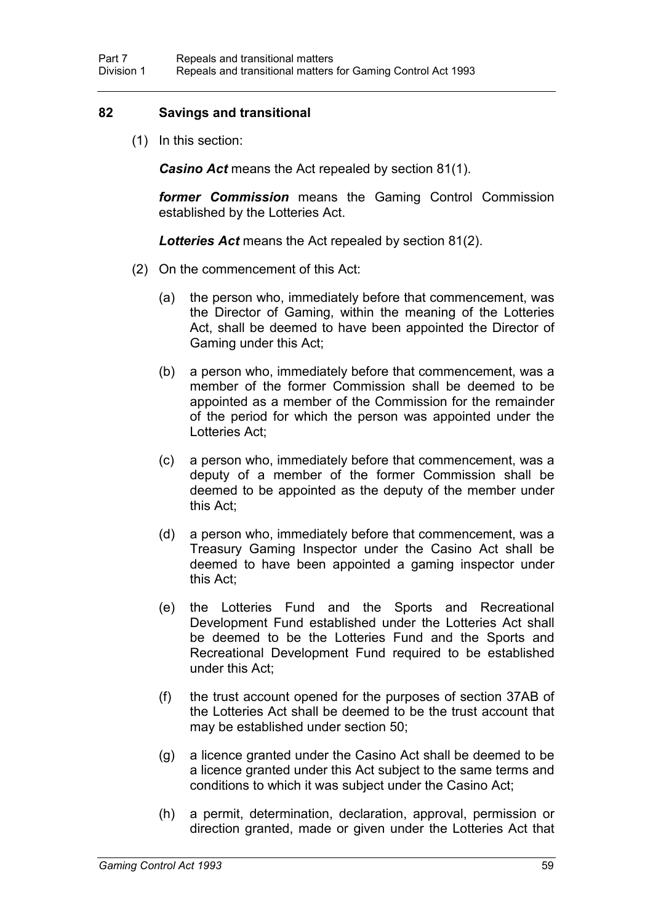### **82 Savings and transitional**

(1) In this section:

*Casino Act* means the Act repealed by section 81(1).

*former Commission* means the Gaming Control Commission established by the Lotteries Act.

*Lotteries Act* means the Act repealed by section 81(2).

- (2) On the commencement of this Act:
	- (a) the person who, immediately before that commencement, was the Director of Gaming, within the meaning of the Lotteries Act, shall be deemed to have been appointed the Director of Gaming under this Act;
	- (b) a person who, immediately before that commencement, was a member of the former Commission shall be deemed to be appointed as a member of the Commission for the remainder of the period for which the person was appointed under the Lotteries Act;
	- (c) a person who, immediately before that commencement, was a deputy of a member of the former Commission shall be deemed to be appointed as the deputy of the member under this Act;
	- (d) a person who, immediately before that commencement, was a Treasury Gaming Inspector under the Casino Act shall be deemed to have been appointed a gaming inspector under this Act;
	- (e) the Lotteries Fund and the Sports and Recreational Development Fund established under the Lotteries Act shall be deemed to be the Lotteries Fund and the Sports and Recreational Development Fund required to be established under this Act;
	- (f) the trust account opened for the purposes of section 37AB of the Lotteries Act shall be deemed to be the trust account that may be established under section 50;
	- (g) a licence granted under the Casino Act shall be deemed to be a licence granted under this Act subject to the same terms and conditions to which it was subject under the Casino Act;
	- (h) a permit, determination, declaration, approval, permission or direction granted, made or given under the Lotteries Act that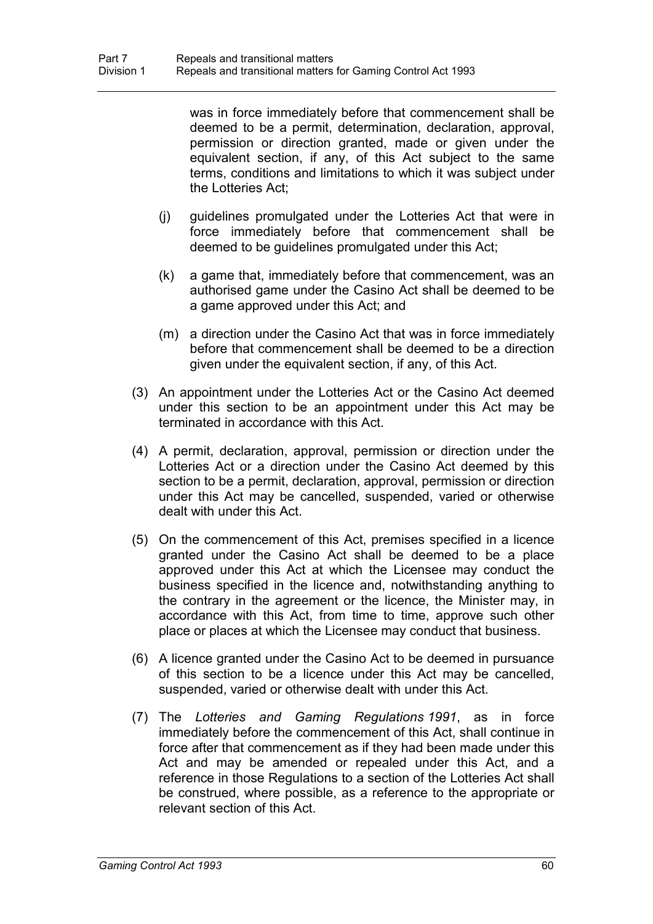was in force immediately before that commencement shall be deemed to be a permit, determination, declaration, approval, permission or direction granted, made or given under the equivalent section, if any, of this Act subject to the same terms, conditions and limitations to which it was subject under the Lotteries Act;

- (j) guidelines promulgated under the Lotteries Act that were in force immediately before that commencement shall be deemed to be guidelines promulgated under this Act;
- (k) a game that, immediately before that commencement, was an authorised game under the Casino Act shall be deemed to be a game approved under this Act; and
- (m) a direction under the Casino Act that was in force immediately before that commencement shall be deemed to be a direction given under the equivalent section, if any, of this Act.
- (3) An appointment under the Lotteries Act or the Casino Act deemed under this section to be an appointment under this Act may be terminated in accordance with this Act.
- (4) A permit, declaration, approval, permission or direction under the Lotteries Act or a direction under the Casino Act deemed by this section to be a permit, declaration, approval, permission or direction under this Act may be cancelled, suspended, varied or otherwise dealt with under this Act.
- (5) On the commencement of this Act, premises specified in a licence granted under the Casino Act shall be deemed to be a place approved under this Act at which the Licensee may conduct the business specified in the licence and, notwithstanding anything to the contrary in the agreement or the licence, the Minister may, in accordance with this Act, from time to time, approve such other place or places at which the Licensee may conduct that business.
- (6) A licence granted under the Casino Act to be deemed in pursuance of this section to be a licence under this Act may be cancelled, suspended, varied or otherwise dealt with under this Act.
- (7) The *Lotteries and Gaming Regulations 1991*, as in force immediately before the commencement of this Act, shall continue in force after that commencement as if they had been made under this Act and may be amended or repealed under this Act, and a reference in those Regulations to a section of the Lotteries Act shall be construed, where possible, as a reference to the appropriate or relevant section of this Act.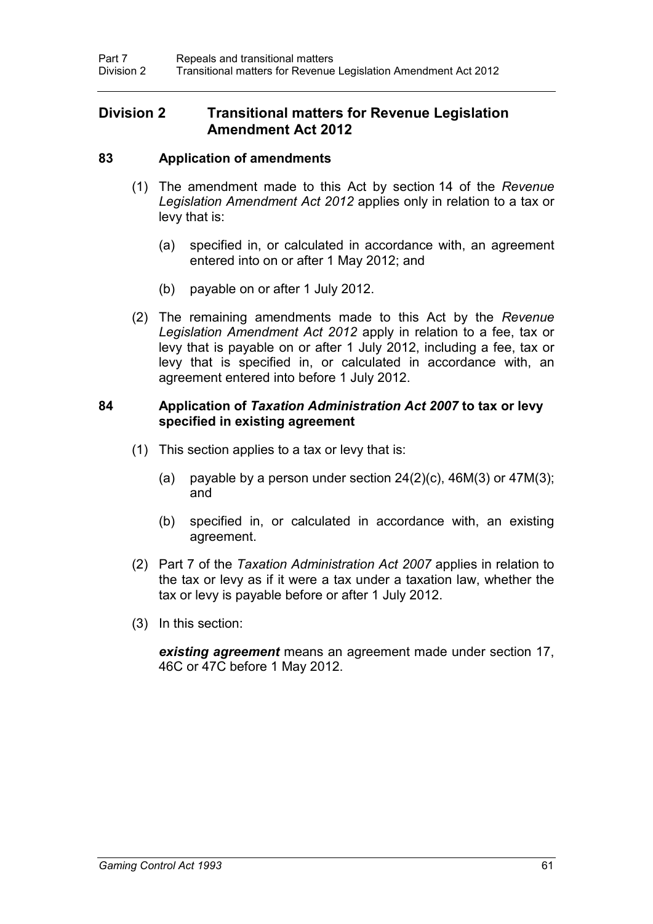# **Division 2 Transitional matters for Revenue Legislation Amendment Act 2012**

### **83 Application of amendments**

- (1) The amendment made to this Act by section 14 of the *Revenue Legislation Amendment Act 2012* applies only in relation to a tax or levy that is:
	- (a) specified in, or calculated in accordance with, an agreement entered into on or after 1 May 2012; and
	- (b) payable on or after 1 July 2012.
- (2) The remaining amendments made to this Act by the *Revenue Legislation Amendment Act 2012* apply in relation to a fee, tax or levy that is payable on or after 1 July 2012, including a fee, tax or levy that is specified in, or calculated in accordance with, an agreement entered into before 1 July 2012.

### **84 Application of** *Taxation Administration Act 2007* **to tax or levy specified in existing agreement**

- (1) This section applies to a tax or levy that is:
	- (a) payable by a person under section  $24(2)(c)$ ,  $46M(3)$  or  $47M(3)$ ; and
	- (b) specified in, or calculated in accordance with, an existing agreement.
- (2) Part 7 of the *Taxation Administration Act 2007* applies in relation to the tax or levy as if it were a tax under a taxation law, whether the tax or levy is payable before or after 1 July 2012.
- (3) In this section:

*existing agreement* means an agreement made under section 17, 46C or 47C before 1 May 2012.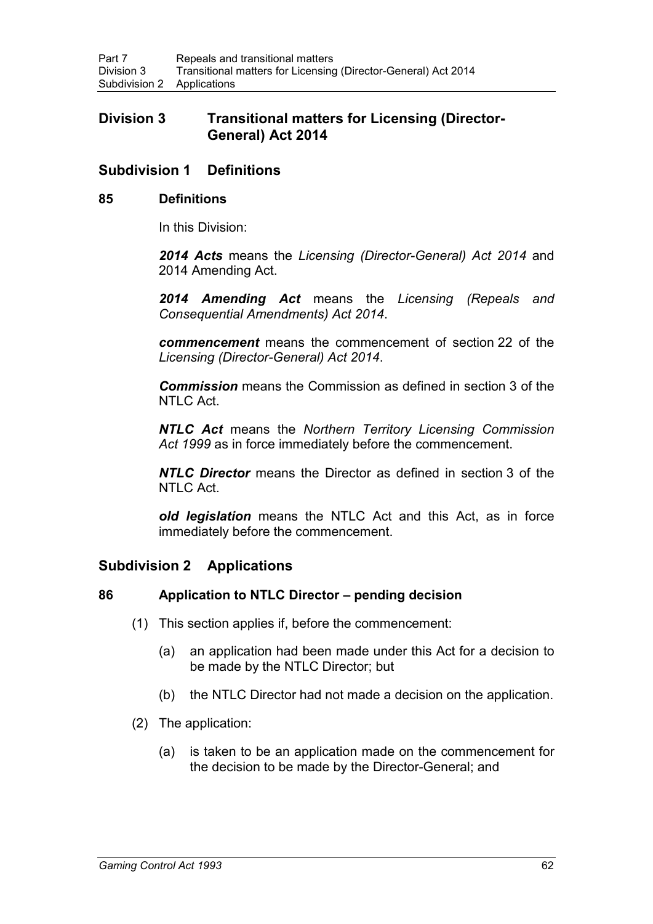# **Division 3 Transitional matters for Licensing (Director-General) Act 2014**

# **Subdivision 1 Definitions**

### **85 Definitions**

In this Division:

*2014 Acts* means the *Licensing (Director-General) Act 2014* and 2014 Amending Act.

*2014 Amending Act* means the *Licensing (Repeals and Consequential Amendments) Act 2014*.

*commencement* means the commencement of section 22 of the *Licensing (Director-General) Act 2014*.

*Commission* means the Commission as defined in section 3 of the NTLC Act.

*NTLC Act* means the *Northern Territory Licensing Commission Act 1999* as in force immediately before the commencement.

*NTLC Director* means the Director as defined in section 3 of the NTLC Act.

*old legislation* means the NTLC Act and this Act, as in force immediately before the commencement.

# **Subdivision 2 Applications**

### **86 Application to NTLC Director – pending decision**

- (1) This section applies if, before the commencement:
	- (a) an application had been made under this Act for a decision to be made by the NTLC Director; but
	- (b) the NTLC Director had not made a decision on the application.
- (2) The application:
	- (a) is taken to be an application made on the commencement for the decision to be made by the Director-General; and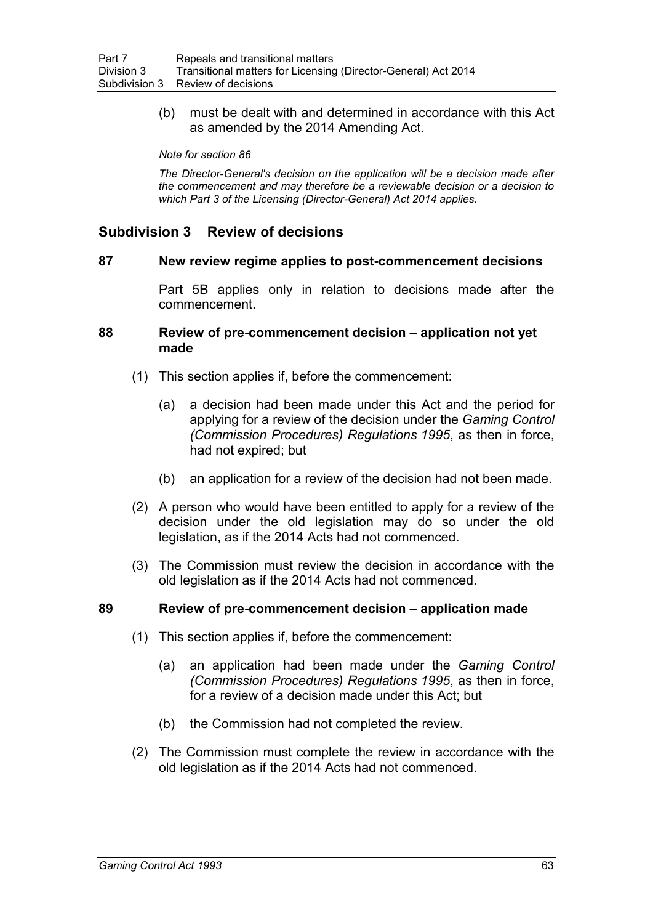(b) must be dealt with and determined in accordance with this Act as amended by the 2014 Amending Act.

*Note for section 86*

*The Director-General's decision on the application will be a decision made after the commencement and may therefore be a reviewable decision or a decision to which Part 3 of the Licensing (Director-General) Act 2014 applies.*

# **Subdivision 3 Review of decisions**

#### **87 New review regime applies to post-commencement decisions**

Part 5B applies only in relation to decisions made after the commencement.

#### **88 Review of pre-commencement decision – application not yet made**

- (1) This section applies if, before the commencement:
	- (a) a decision had been made under this Act and the period for applying for a review of the decision under the *Gaming Control (Commission Procedures) Regulations 1995*, as then in force, had not expired; but
	- (b) an application for a review of the decision had not been made.
- (2) A person who would have been entitled to apply for a review of the decision under the old legislation may do so under the old legislation, as if the 2014 Acts had not commenced.
- (3) The Commission must review the decision in accordance with the old legislation as if the 2014 Acts had not commenced.

#### **89 Review of pre-commencement decision – application made**

- (1) This section applies if, before the commencement:
	- (a) an application had been made under the *Gaming Control (Commission Procedures) Regulations 1995*, as then in force, for a review of a decision made under this Act; but
	- (b) the Commission had not completed the review.
- (2) The Commission must complete the review in accordance with the old legislation as if the 2014 Acts had not commenced.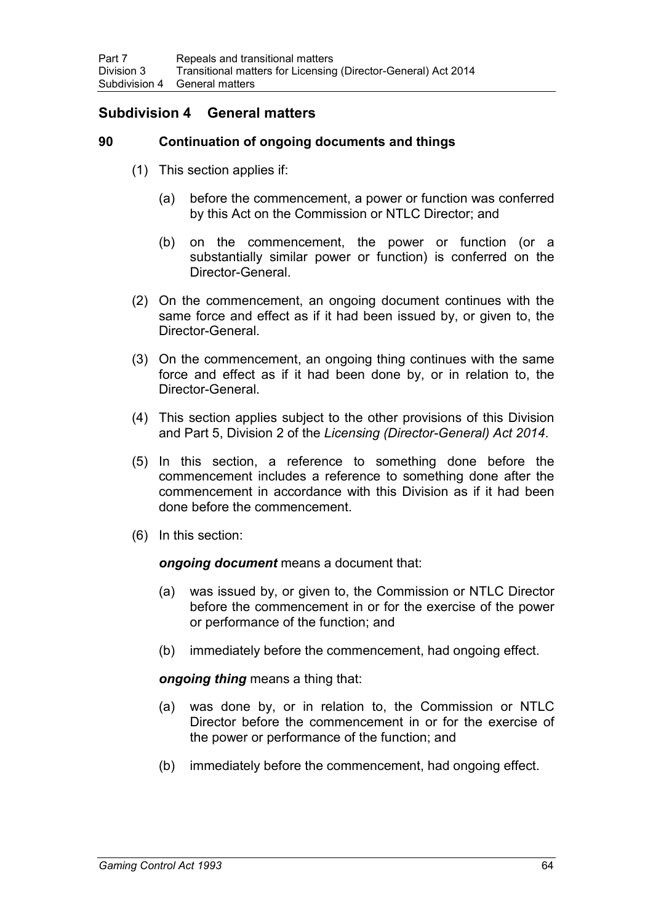# **Subdivision 4 General matters**

### **90 Continuation of ongoing documents and things**

- (1) This section applies if:
	- (a) before the commencement, a power or function was conferred by this Act on the Commission or NTLC Director; and
	- (b) on the commencement, the power or function (or a substantially similar power or function) is conferred on the Director-General.
- (2) On the commencement, an ongoing document continues with the same force and effect as if it had been issued by, or given to, the Director-General.
- (3) On the commencement, an ongoing thing continues with the same force and effect as if it had been done by, or in relation to, the Director-General.
- (4) This section applies subject to the other provisions of this Division and Part 5, Division 2 of the *Licensing (Director-General) Act 2014*.
- (5) In this section, a reference to something done before the commencement includes a reference to something done after the commencement in accordance with this Division as if it had been done before the commencement.
- (6) In this section:

*ongoing document* means a document that:

- (a) was issued by, or given to, the Commission or NTLC Director before the commencement in or for the exercise of the power or performance of the function; and
- (b) immediately before the commencement, had ongoing effect.

*ongoing thing* means a thing that:

- (a) was done by, or in relation to, the Commission or NTLC Director before the commencement in or for the exercise of the power or performance of the function; and
- (b) immediately before the commencement, had ongoing effect.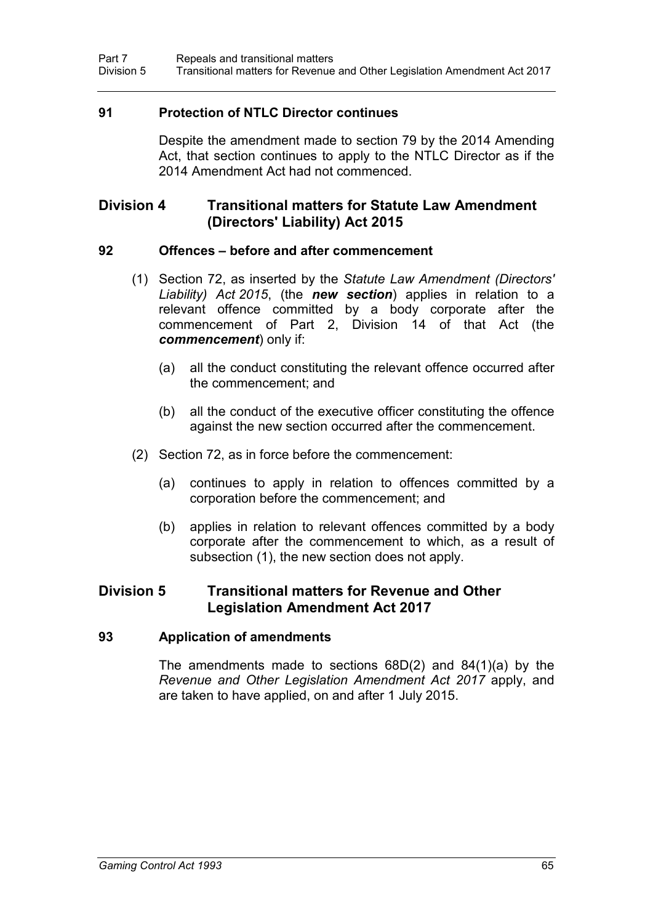### **91 Protection of NTLC Director continues**

Despite the amendment made to section 79 by the 2014 Amending Act, that section continues to apply to the NTLC Director as if the 2014 Amendment Act had not commenced.

# **Division 4 Transitional matters for Statute Law Amendment (Directors' Liability) Act 2015**

#### **92 Offences – before and after commencement**

- (1) Section 72, as inserted by the *Statute Law Amendment (Directors' Liability) Act 2015*, (the *new section*) applies in relation to a relevant offence committed by a body corporate after the commencement of Part 2, Division 14 of that Act (the *commencement*) only if:
	- (a) all the conduct constituting the relevant offence occurred after the commencement; and
	- (b) all the conduct of the executive officer constituting the offence against the new section occurred after the commencement.
- (2) Section 72, as in force before the commencement:
	- (a) continues to apply in relation to offences committed by a corporation before the commencement; and
	- (b) applies in relation to relevant offences committed by a body corporate after the commencement to which, as a result of subsection (1), the new section does not apply.

### **Division 5 Transitional matters for Revenue and Other Legislation Amendment Act 2017**

#### **93 Application of amendments**

The amendments made to sections 68D(2) and 84(1)(a) by the *Revenue and Other Legislation Amendment Act 2017* apply, and are taken to have applied, on and after 1 July 2015.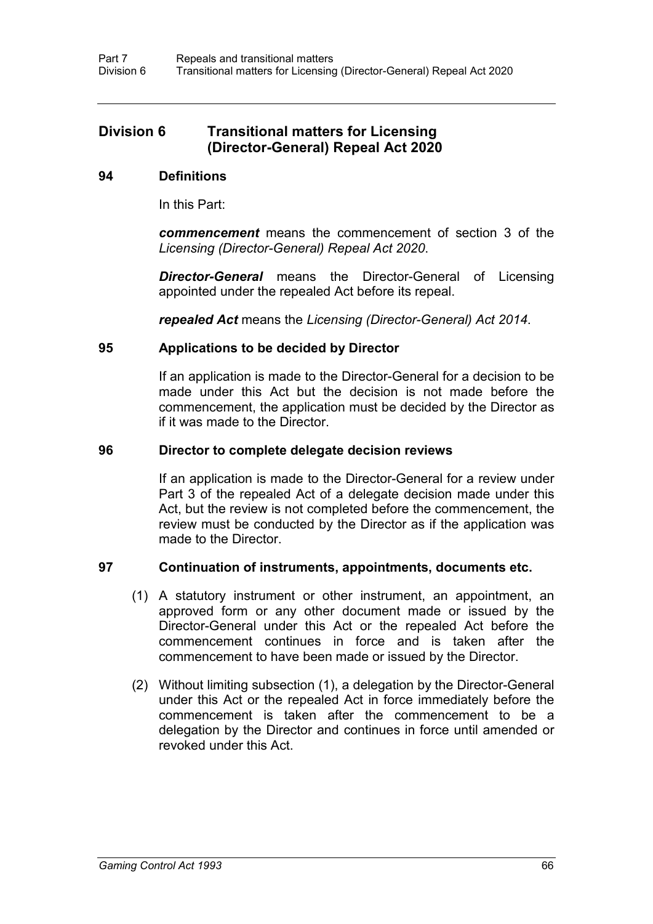# **Division 6 Transitional matters for Licensing (Director-General) Repeal Act 2020**

### **94 Definitions**

In this Part:

*commencement* means the commencement of section 3 of the *Licensing (Director-General) Repeal Act 2020*.

*Director-General* means the Director-General of Licensing appointed under the repealed Act before its repeal.

*repealed Act* means the *Licensing (Director-General) Act 2014*.

#### **95 Applications to be decided by Director**

If an application is made to the Director-General for a decision to be made under this Act but the decision is not made before the commencement, the application must be decided by the Director as if it was made to the Director.

#### **96 Director to complete delegate decision reviews**

If an application is made to the Director-General for a review under Part 3 of the repealed Act of a delegate decision made under this Act, but the review is not completed before the commencement, the review must be conducted by the Director as if the application was made to the Director.

#### **97 Continuation of instruments, appointments, documents etc.**

- (1) A statutory instrument or other instrument, an appointment, an approved form or any other document made or issued by the Director-General under this Act or the repealed Act before the commencement continues in force and is taken after the commencement to have been made or issued by the Director.
- (2) Without limiting subsection (1), a delegation by the Director-General under this Act or the repealed Act in force immediately before the commencement is taken after the commencement to be a delegation by the Director and continues in force until amended or revoked under this Act.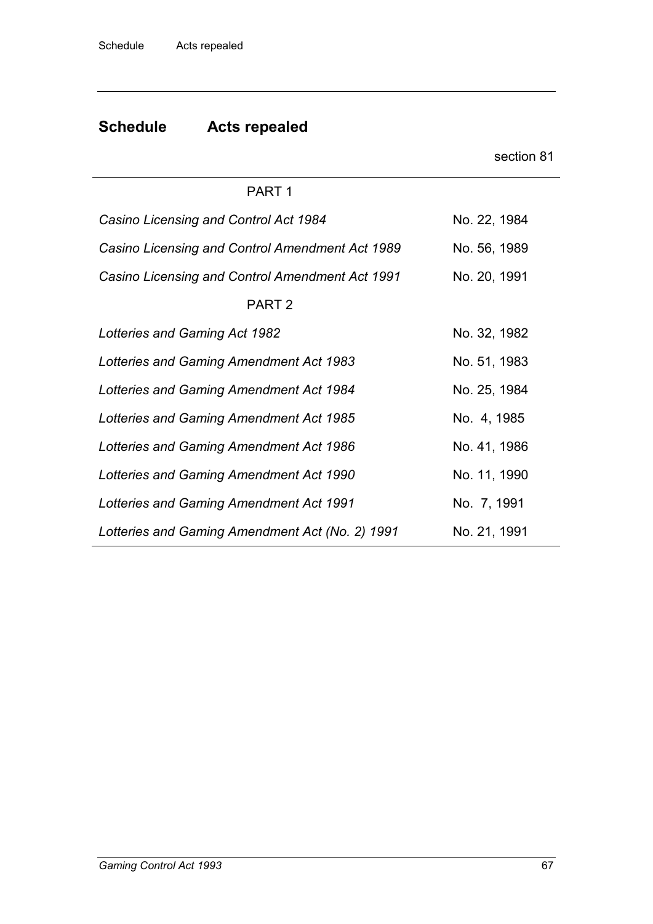|                                                 | section 81   |
|-------------------------------------------------|--------------|
| PART <sub>1</sub>                               |              |
| Casino Licensing and Control Act 1984           | No. 22, 1984 |
| Casino Licensing and Control Amendment Act 1989 | No. 56, 1989 |
| Casino Licensing and Control Amendment Act 1991 | No. 20, 1991 |
| PART <sub>2</sub>                               |              |
| <b>Lotteries and Gaming Act 1982</b>            | No. 32, 1982 |
| Lotteries and Gaming Amendment Act 1983         | No. 51, 1983 |
| Lotteries and Gaming Amendment Act 1984         | No. 25, 1984 |
| Lotteries and Gaming Amendment Act 1985         | No. 4, 1985  |
| Lotteries and Gaming Amendment Act 1986         | No. 41, 1986 |
| Lotteries and Gaming Amendment Act 1990         | No. 11, 1990 |
| Lotteries and Gaming Amendment Act 1991         | No. 7, 1991  |
| Lotteries and Gaming Amendment Act (No. 2) 1991 | No. 21, 1991 |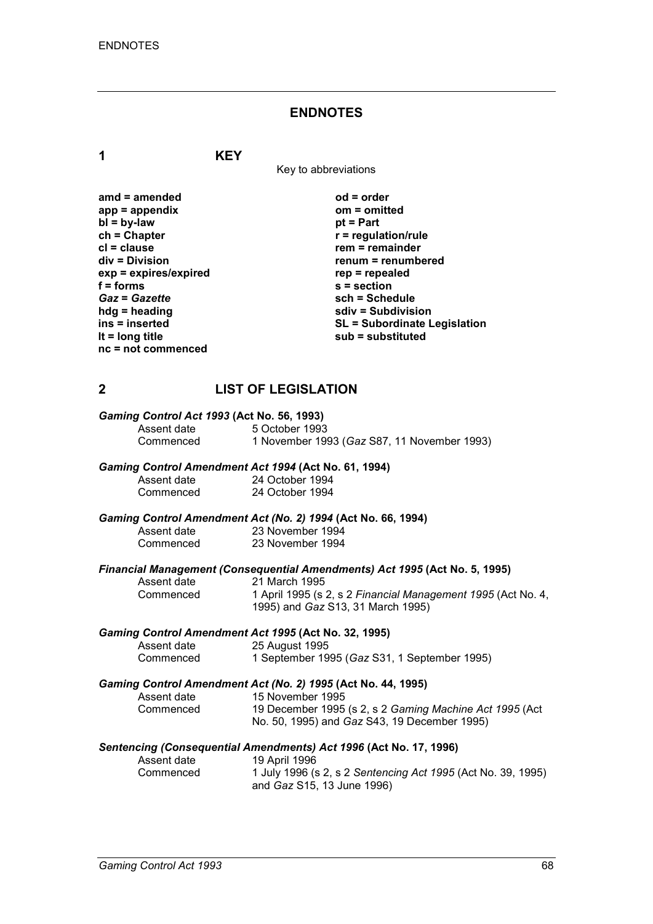### **ENDNOTES**

**1 KEY**

Key to abbreviations

| amd = amended         |
|-----------------------|
| app = appendix        |
| $bl = by-law$         |
| ch = Chapter          |
| cl = clause           |
| div = Division        |
| exp = expires/expired |
| f = forms             |
| <b>Gaz = Gazette</b>  |
| hdg = heading         |
| ins = inserted        |
| It = long title       |
| nc = not commenced    |
|                       |

**amd = amended od = order app = appendix om = omitted** *<u>pt</u>* **= Part**  $r$  = regulation/rule **crem** = remainder **div = Division renum = renumbered exp = expires/expired rep = repealed f = forms s = section** *Gaz* **=** *Gazette* **sch = Schedule hdg = heading sdiv = Subdivision ins = inserted SL = Subordinate Legislation lt = long title sub = substituted**

### **2 LIST OF LEGISLATION**

| Gaming Control Act 1993 (Act No. 56, 1993) |                                             |  |
|--------------------------------------------|---------------------------------------------|--|
| Assent date                                | 5 October 1993                              |  |
| Commenced                                  | 1 November 1993 (Gaz S87, 11 November 1993) |  |

### *Gaming Control Amendment Act 1994* **(Act No. 61, 1994)**

| Assent date | 24 October 1994 |
|-------------|-----------------|
| Commenced   | 24 October 1994 |

### *Gaming Control Amendment Act (No. 2) 1994* **(Act No. 66, 1994)**

| Assent date | $\sim$ $\sim$ $\sim$ $\sim$<br>23 November 1994 |
|-------------|-------------------------------------------------|
| Commenced   | 23 November 1994                                |

# *Financial Management (Consequential Amendments) Act 1995* **(Act No. 5, 1995)**

Assent date 21 March 1995<br>Commenced 1 April 1995 (s)

Commenced 1 April 1995 (s 2, s 2 *Financial Management 1995* (Act No. 4, 1995) and *Gaz* S13, 31 March 1995)

## *Gaming Control Amendment Act 1995* **(Act No. 32, 1995)**

Assent date 25 August 1995<br>Commenced 19 September 19 1 September 1995 (*Gaz* S31, 1 September 1995)

### *Gaming Control Amendment Act (No. 2) 1995* **(Act No. 44, 1995)**

| Assent date | 15 November 1995                                        |
|-------------|---------------------------------------------------------|
| Commenced   | 19 December 1995 (s 2, s 2 Gaming Machine Act 1995 (Act |
|             | No. 50, 1995) and <i>Gaz</i> S43, 19 December 1995)     |

# *Sentencing (Consequential Amendments) Act 1996* **(Act No. 17, 1996)**

Assent date 19 April 1996<br>Commenced 1 July 1996 (s Commenced 1 July 1996 (s 2, s 2 *Sentencing Act 1995* (Act No. 39, 1995) and *Gaz* S15, 13 June 1996)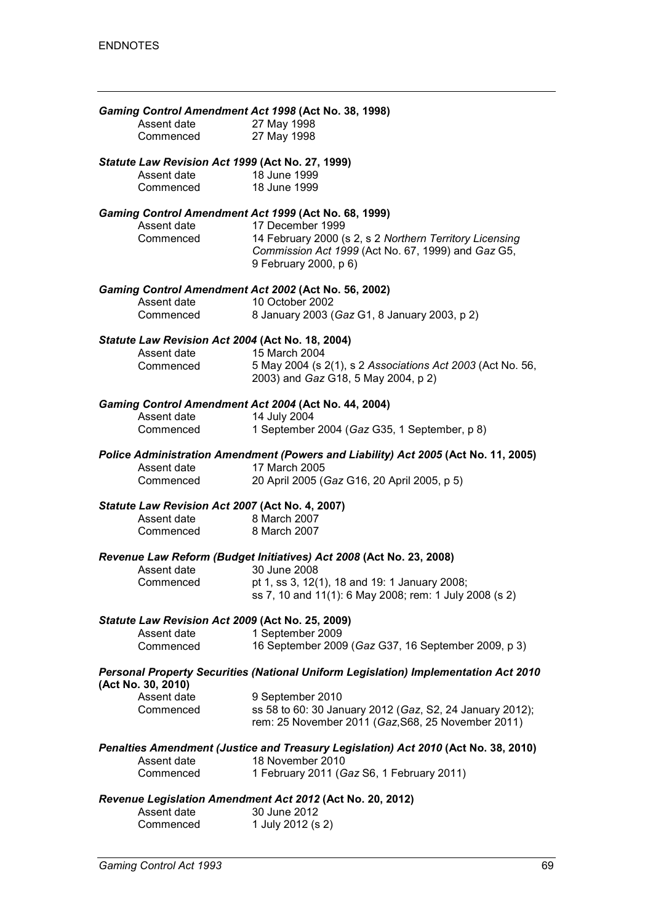| Assent date                                      | Gaming Control Amendment Act 1998 (Act No. 38, 1998)<br>27 May 1998                                            |
|--------------------------------------------------|----------------------------------------------------------------------------------------------------------------|
| Commenced                                        | 27 May 1998                                                                                                    |
| Statute Law Revision Act 1999 (Act No. 27, 1999) |                                                                                                                |
| Assent date                                      | 18 June 1999                                                                                                   |
| Commenced                                        | 18 June 1999                                                                                                   |
|                                                  | Gaming Control Amendment Act 1999 (Act No. 68, 1999)                                                           |
| Assent date<br>Commenced                         | 17 December 1999                                                                                               |
|                                                  | 14 February 2000 (s 2, s 2 Northern Territory Licensing<br>Commission Act 1999 (Act No. 67, 1999) and Gaz G5,  |
|                                                  | 9 February 2000, p 6)                                                                                          |
|                                                  | Gaming Control Amendment Act 2002 (Act No. 56, 2002)                                                           |
| Assent date                                      | 10 October 2002                                                                                                |
| Commenced                                        | 8 January 2003 (Gaz G1, 8 January 2003, p 2)                                                                   |
| Statute Law Revision Act 2004 (Act No. 18, 2004) |                                                                                                                |
| Assent date                                      | 15 March 2004                                                                                                  |
| Commenced                                        | 5 May 2004 (s 2(1), s 2 Associations Act 2003 (Act No. 56,<br>2003) and Gaz G18, 5 May 2004, p 2)              |
|                                                  | Gaming Control Amendment Act 2004 (Act No. 44, 2004)                                                           |
| Assent date                                      | 14 July 2004                                                                                                   |
| Commenced                                        | 1 September 2004 (Gaz G35, 1 September, p 8)                                                                   |
|                                                  | Police Administration Amendment (Powers and Liability) Act 2005 (Act No. 11, 2005)                             |
| Assent date                                      | 17 March 2005                                                                                                  |
| Commenced                                        | 20 April 2005 (Gaz G16, 20 April 2005, p 5)                                                                    |
| Statute Law Revision Act 2007 (Act No. 4, 2007)  |                                                                                                                |
| Assent date                                      | 8 March 2007                                                                                                   |
| Commenced                                        | 8 March 2007                                                                                                   |
|                                                  | Revenue Law Reform (Budget Initiatives) Act 2008 (Act No. 23, 2008)                                            |
| Assent date                                      | 30 June 2008                                                                                                   |
| Commenced                                        | pt 1, ss 3, 12(1), 18 and 19: 1 January 2008;<br>ss 7, 10 and 11(1): 6 May 2008; rem: 1 July 2008 (s 2)        |
| Statute Law Revision Act 2009 (Act No. 25, 2009) |                                                                                                                |
| Assent date                                      | 1 September 2009                                                                                               |
| Commenced                                        | 16 September 2009 (Gaz G37, 16 September 2009, p 3)                                                            |
| (Act No. 30, 2010)                               | Personal Property Securities (National Uniform Legislation) Implementation Act 2010                            |
| Assent date                                      | 9 September 2010                                                                                               |
| Commenced                                        | ss 58 to 60: 30 January 2012 (Gaz, S2, 24 January 2012);<br>rem: 25 November 2011 (Gaz, S68, 25 November 2011) |
|                                                  | Penalties Amendment (Justice and Treasury Legislation) Act 2010 (Act No. 38, 2010)                             |
| Assent date                                      | 18 November 2010                                                                                               |
| Commenced                                        | 1 February 2011 (Gaz S6, 1 February 2011)                                                                      |
|                                                  | Revenue Legislation Amendment Act 2012 (Act No. 20, 2012)                                                      |
| Assent date<br>Commenced                         | 30 June 2012<br>1 July 2012 (s 2)                                                                              |
|                                                  |                                                                                                                |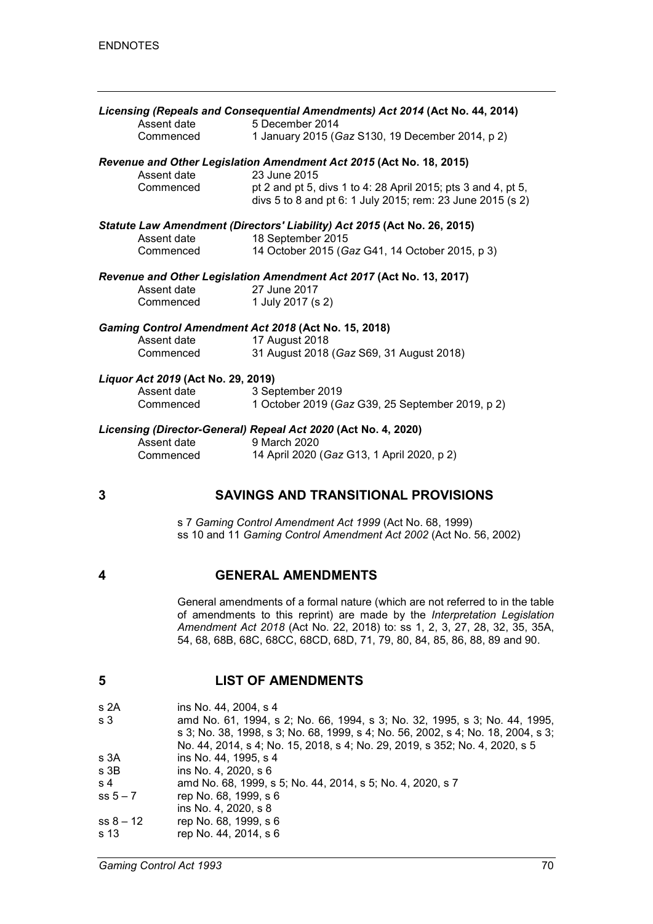|   | Assent date                        | Licensing (Repeals and Consequential Amendments) Act 2014 (Act No. 44, 2014)<br>5 December 2014                             |
|---|------------------------------------|-----------------------------------------------------------------------------------------------------------------------------|
|   | Commenced                          | 1 January 2015 (Gaz S130, 19 December 2014, p 2)                                                                            |
|   | Assent date                        | Revenue and Other Legislation Amendment Act 2015 (Act No. 18, 2015)<br>23 June 2015                                         |
|   | Commenced                          | pt 2 and pt 5, divs 1 to 4: 28 April 2015; pts 3 and 4, pt 5,<br>divs 5 to 8 and pt 6: 1 July 2015; rem: 23 June 2015 (s 2) |
|   | Assent date                        | Statute Law Amendment (Directors' Liability) Act 2015 (Act No. 26, 2015)<br>18 September 2015                               |
|   | Commenced                          | 14 October 2015 (Gaz G41, 14 October 2015, p 3)                                                                             |
|   | Assent date<br>Commenced           | Revenue and Other Legislation Amendment Act 2017 (Act No. 13, 2017)<br>27 June 2017<br>1 July 2017 (s 2)                    |
|   |                                    | Gaming Control Amendment Act 2018 (Act No. 15, 2018)                                                                        |
|   | Assent date<br>Commenced           | 17 August 2018<br>31 August 2018 (Gaz S69, 31 August 2018)                                                                  |
|   | Liquor Act 2019 (Act No. 29, 2019) |                                                                                                                             |
|   | Assent date<br>Commenced           | 3 September 2019<br>1 October 2019 (Gaz G39, 25 September 2019, p 2)                                                        |
|   |                                    | Licensing (Director-General) Repeal Act 2020 (Act No. 4, 2020)                                                              |
|   | Assent date<br>Commenced           | 9 March 2020<br>14 April 2020 (Gaz G13, 1 April 2020, p 2)                                                                  |
| 3 |                                    | <b>SAVINGS AND TRANSITIONAL PROVISIONS</b>                                                                                  |

s 7 *Gaming Control Amendment Act 1999* (Act No. 68, 1999) ss 10 and 11 *Gaming Control Amendment Act 2002* (Act No. 56, 2002)

### **4 GENERAL AMENDMENTS**

General amendments of a formal nature (which are not referred to in the table of amendments to this reprint) are made by the *Interpretation Legislation Amendment Act 2018* (Act No. 22, 2018) to: ss 1, 2, 3, 27, 28, 32, 35, 35A, 54, 68, 68B, 68C, 68CC, 68CD, 68D, 71, 79, 80, 84, 85, 86, 88, 89 and 90.

### **5 LIST OF AMENDMENTS**

| s 2A        | ins No. 44, 2004, s 4                                                                                                                                          |
|-------------|----------------------------------------------------------------------------------------------------------------------------------------------------------------|
| s 3         | amd No. 61, 1994, s 2; No. 66, 1994, s 3; No. 32, 1995, s 3; No. 44, 1995,<br>s 3; No. 38, 1998, s 3; No. 68, 1999, s 4; No. 56, 2002, s 4; No. 18, 2004, s 3; |
|             | No. 44, 2014, s 4; No. 15, 2018, s 4; No. 29, 2019, s 352; No. 4, 2020, s 5                                                                                    |
| s 3A        | ins No. 44, 1995, s 4                                                                                                                                          |
| s 3B        | ins No. 4, 2020, s 6                                                                                                                                           |
| s 4         | amd No. 68, 1999, s 5; No. 44, 2014, s 5; No. 4, 2020, s 7                                                                                                     |
| $ss 5 - 7$  | rep No. 68, 1999, s 6                                                                                                                                          |
|             | ins No. 4, 2020, s 8                                                                                                                                           |
| $ss 8 - 12$ | rep No. 68, 1999, s 6                                                                                                                                          |
| s 13        | rep No. 44, 2014, s 6                                                                                                                                          |
|             |                                                                                                                                                                |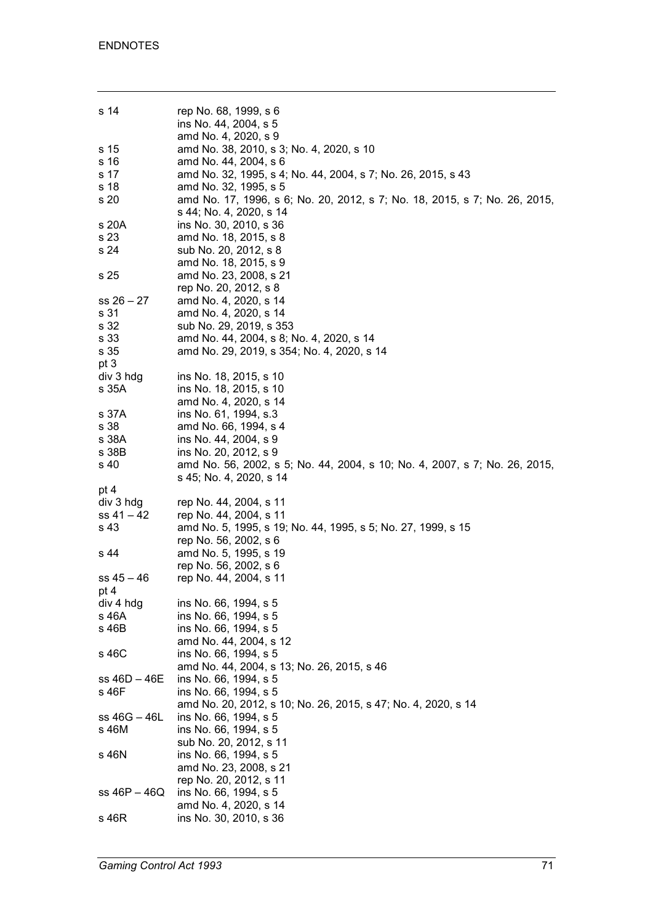| s 14           | rep No. 68, 1999, s 6<br>ins No. 44, 2004, s 5                                                        |
|----------------|-------------------------------------------------------------------------------------------------------|
|                | amd No. 4, 2020, s 9                                                                                  |
| s 15           | amd No. 38, 2010, s 3; No. 4, 2020, s 10                                                              |
| s 16           | amd No. 44, 2004, s 6                                                                                 |
| s 17           | amd No. 32, 1995, s 4; No. 44, 2004, s 7; No. 26, 2015, s 43                                          |
| s 18           | amd No. 32, 1995, s 5                                                                                 |
| s 20           | amd No. 17, 1996, s 6; No. 20, 2012, s 7; No. 18, 2015, s 7; No. 26, 2015,<br>s 44; No. 4, 2020, s 14 |
| s 20A          | ins No. 30, 2010, s 36                                                                                |
| s 23           | amd No. 18, 2015, s 8                                                                                 |
| s 24           | sub No. 20, 2012, s 8                                                                                 |
|                | amd No. 18, 2015, s 9                                                                                 |
| s 25           | amd No. 23, 2008, s 21                                                                                |
|                | rep No. 20, 2012, s 8                                                                                 |
| $ss 26 - 27$   | amd No. 4, 2020, s 14                                                                                 |
| s 31           | amd No. 4, 2020, s 14                                                                                 |
| s 32           | sub No. 29, 2019, s 353                                                                               |
| s 33           | amd No. 44, 2004, s 8; No. 4, 2020, s 14                                                              |
| s 35           | amd No. 29, 2019, s 354; No. 4, 2020, s 14                                                            |
| pt 3           |                                                                                                       |
| div 3 hdg      | ins No. 18, 2015, s 10                                                                                |
| s 35A          | ins No. 18, 2015, s 10                                                                                |
|                | amd No. 4, 2020, s 14                                                                                 |
| s 37A          | ins No. 61, 1994, s.3                                                                                 |
| s 38           | amd No. 66, 1994, s 4                                                                                 |
| s 38A          | ins No. 44, 2004, s 9                                                                                 |
| s 38B          | ins No. 20, 2012, s 9                                                                                 |
| s 40           | amd No. 56, 2002, s 5; No. 44, 2004, s 10; No. 4, 2007, s 7; No. 26, 2015,                            |
|                | s 45; No. 4, 2020, s 14                                                                               |
| pt 4           |                                                                                                       |
| div 3 hdg      | rep No. 44, 2004, s 11                                                                                |
| $ss 41 - 42$   | rep No. 44, 2004, s 11                                                                                |
| s 43           | amd No. 5, 1995, s 19; No. 44, 1995, s 5; No. 27, 1999, s 15                                          |
|                | rep No. 56, 2002, s 6                                                                                 |
| s 44           | amd No. 5, 1995, s 19                                                                                 |
|                | rep No. 56, 2002, s 6                                                                                 |
| $ss 45 - 46$   | rep No. 44, 2004, s 11                                                                                |
| pt 4           |                                                                                                       |
| div 4 hdg      | ins No. 66, 1994, s 5                                                                                 |
| s 46A          | ins No. 66, 1994, s 5                                                                                 |
| s 46B          | ins No. 66, 1994, s 5                                                                                 |
|                | amd No. 44, 2004, s 12                                                                                |
| s 46C          | ins No. 66, 1994, s 5                                                                                 |
|                | amd No. 44, 2004, s 13; No. 26, 2015, s 46                                                            |
| ss 46D – 46E   | ins No. 66, 1994, s 5                                                                                 |
| s 46F          | ins No. 66, 1994, s 5                                                                                 |
|                | amd No. 20, 2012, s 10; No. 26, 2015, s 47; No. 4, 2020, s 14                                         |
| $ss 46G - 46L$ | ins No. 66, 1994, s 5                                                                                 |
| s 46M          | ins No. 66, 1994, s 5                                                                                 |
|                | sub No. 20, 2012, s 11                                                                                |
| s 46N          | ins No. 66, 1994, s 5                                                                                 |
|                | amd No. 23, 2008, s 21                                                                                |
|                | rep No. 20, 2012, s 11                                                                                |
| ss 46P - 46Q   | ins No. 66, 1994, s 5                                                                                 |
|                | amd No. 4, 2020, s 14                                                                                 |
| s 46R          | ins No. 30, 2010, s 36                                                                                |
|                |                                                                                                       |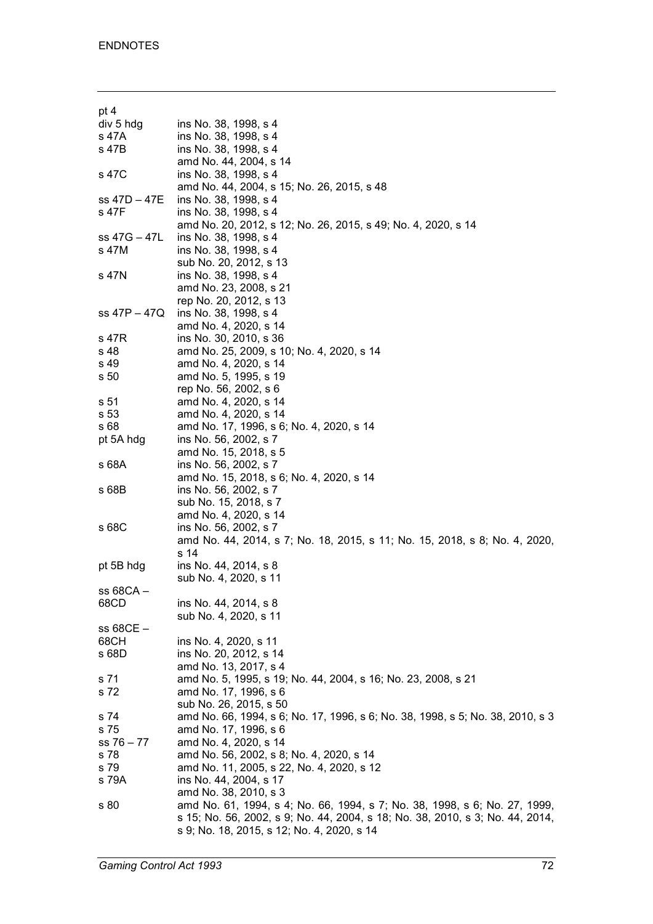| pt 4            |                                                                                |
|-----------------|--------------------------------------------------------------------------------|
| div 5 hdg       | ins No. 38, 1998, s 4                                                          |
| s 47A           | ins No. 38, 1998, s 4                                                          |
| s 47B           | ins No. 38, 1998, s 4                                                          |
|                 | amd No. 44, 2004, s 14                                                         |
|                 |                                                                                |
| s 47C           | ins No. 38, 1998, s 4                                                          |
|                 | amd No. 44, 2004, s 15; No. 26, 2015, s 48                                     |
| ss 47D – 47E    | ins No. 38, 1998, s 4                                                          |
| s 47F           | ins No. 38, 1998, s 4                                                          |
|                 | amd No. 20, 2012, s 12; No. 26, 2015, s 49; No. 4, 2020, s 14                  |
| ss 47G - 47L    | ins No. 38, 1998, s 4                                                          |
| s 47M           | ins No. 38, 1998, s 4                                                          |
|                 | sub No. 20, 2012, s 13                                                         |
| s 47N           | ins No. 38, 1998, s 4                                                          |
|                 | amd No. 23, 2008, s 21                                                         |
|                 | rep No. 20, 2012, s 13                                                         |
| ss 47P – 47Q    | ins No. 38, 1998, s 4                                                          |
|                 | amd No. 4, 2020, s 14                                                          |
| s 47R           | ins No. 30, 2010, s 36                                                         |
| s 48            | amd No. 25, 2009, s 10; No. 4, 2020, s 14                                      |
|                 |                                                                                |
| s 49            | amd No. 4, 2020, s 14                                                          |
| s <sub>50</sub> | amd No. 5, 1995, s 19                                                          |
|                 | rep No. 56, 2002, s 6                                                          |
| s 51            | amd No. 4, 2020, s 14                                                          |
| s 53            | amd No. 4, 2020, s 14                                                          |
| s 68            | amd No. 17, 1996, s 6; No. 4, 2020, s 14                                       |
| pt 5A hdg       | ins No. 56, 2002, s 7                                                          |
|                 | amd No. 15, 2018, s 5                                                          |
| s 68A           | ins No. 56, 2002, s 7                                                          |
|                 | amd No. 15, 2018, s 6; No. 4, 2020, s 14                                       |
| s 68B           | ins No. 56, 2002, s 7                                                          |
|                 | sub No. 15, 2018, s 7                                                          |
|                 | amd No. 4, 2020, s 14                                                          |
| s 68C           | ins No. 56, 2002, s 7                                                          |
|                 | amd No. 44, 2014, s 7; No. 18, 2015, s 11; No. 15, 2018, s 8; No. 4, 2020,     |
|                 | s 14                                                                           |
|                 |                                                                                |
| pt 5B hdg       | ins No. 44, 2014, s 8                                                          |
|                 | sub No. 4, 2020, s 11                                                          |
| $ss68CA -$      |                                                                                |
| 68CD            | ins No. 44, 2014, s 8                                                          |
|                 | sub No. 4, 2020, s 11                                                          |
| $ss 68CE -$     |                                                                                |
| 68CH            | ins No. 4, 2020, s 11                                                          |
| s 68D           | ins No. 20, 2012, s 14                                                         |
|                 | amd No. 13, 2017, s 4                                                          |
| s 71            | amd No. 5, 1995, s 19; No. 44, 2004, s 16; No. 23, 2008, s 21                  |
| s 72            | amd No. 17, 1996, s 6                                                          |
|                 | sub No. 26, 2015, s 50                                                         |
| s 74            | amd No. 66, 1994, s 6; No. 17, 1996, s 6; No. 38, 1998, s 5; No. 38, 2010, s 3 |
| s 75            | amd No. 17, 1996, s 6                                                          |
| $ss 76 - 77$    |                                                                                |
|                 | amd No. 4, 2020, s 14                                                          |
| s 78            | amd No. 56, 2002, s 8; No. 4, 2020, s 14                                       |
| s 79            | amd No. 11, 2005, s 22, No. 4, 2020, s 12                                      |
| s 79A           | ins No. 44, 2004, s 17                                                         |
|                 | amd No. 38, 2010, s 3                                                          |
| s 80            | amd No. 61, 1994, s 4; No. 66, 1994, s 7; No. 38, 1998, s 6; No. 27, 1999,     |
|                 | s 15; No. 56, 2002, s 9; No. 44, 2004, s 18; No. 38, 2010, s 3; No. 44, 2014,  |
|                 | s 9; No. 18, 2015, s 12; No. 4, 2020, s 14                                     |